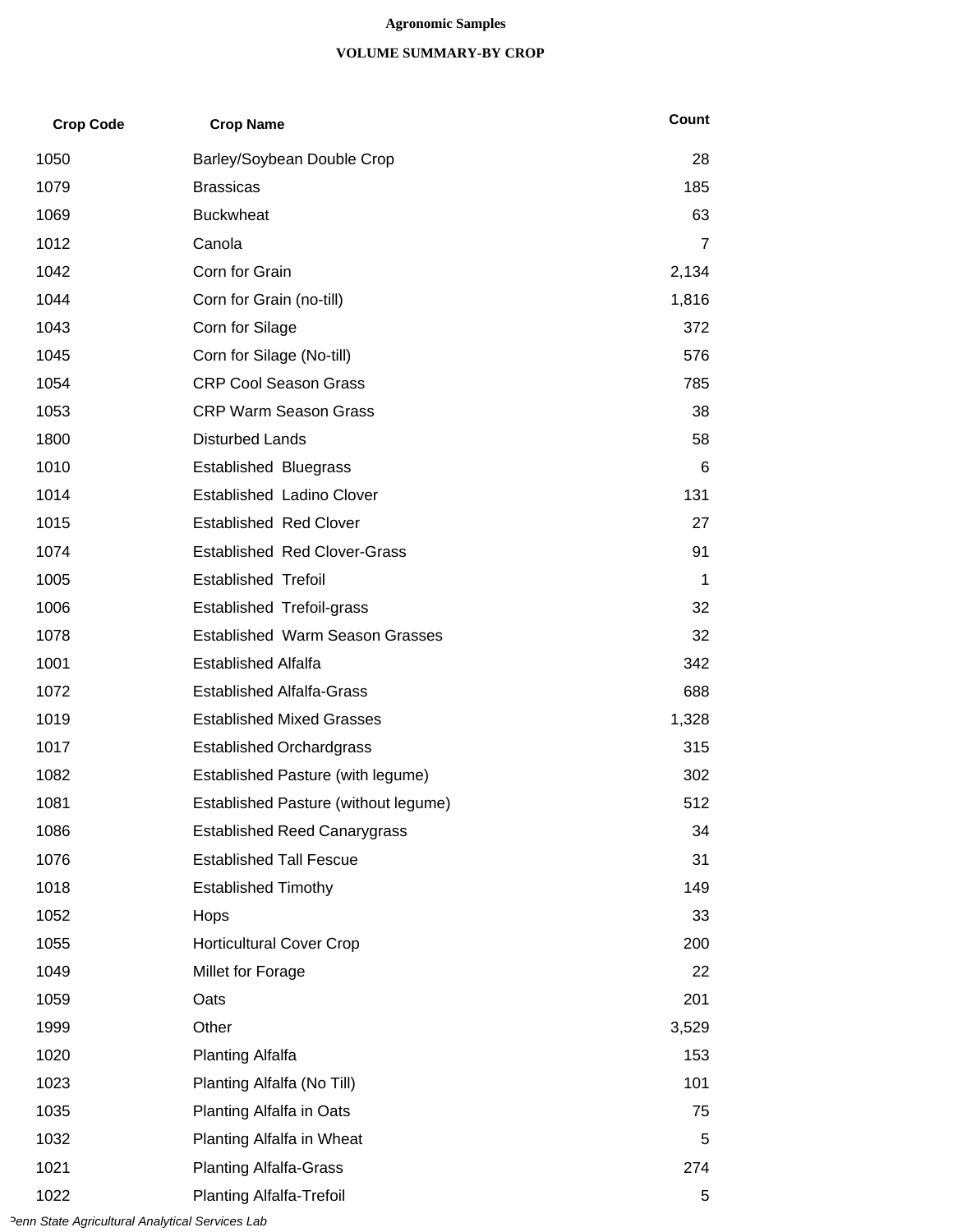## **Agronomic Samples**

## **VOLUME SUMMARY-BY CROP**

| <b>Crop Code</b> | <b>Crop Name</b>                       | Count |
|------------------|----------------------------------------|-------|
| 1050             | Barley/Soybean Double Crop             | 28    |
| 1079             | <b>Brassicas</b>                       | 185   |
| 1069             | <b>Buckwheat</b>                       | 63    |
| 1012             | Canola                                 | 7     |
| 1042             | Corn for Grain                         | 2,134 |
| 1044             | Corn for Grain (no-till)               | 1,816 |
| 1043             | Corn for Silage                        | 372   |
| 1045             | Corn for Silage (No-till)              | 576   |
| 1054             | <b>CRP Cool Season Grass</b>           | 785   |
| 1053             | <b>CRP Warm Season Grass</b>           | 38    |
| 1800             | <b>Disturbed Lands</b>                 | 58    |
| 1010             | <b>Established Bluegrass</b>           | 6     |
| 1014             | <b>Established Ladino Clover</b>       | 131   |
| 1015             | <b>Established Red Clover</b>          | 27    |
| 1074             | <b>Established Red Clover-Grass</b>    | 91    |
| 1005             | <b>Established Trefoil</b>             | 1     |
| 1006             | <b>Established Trefoil-grass</b>       | 32    |
| 1078             | <b>Established Warm Season Grasses</b> | 32    |
| 1001             | <b>Established Alfalfa</b>             | 342   |
| 1072             | <b>Established Alfalfa-Grass</b>       | 688   |
| 1019             | <b>Established Mixed Grasses</b>       | 1,328 |
| 1017             | <b>Established Orchardgrass</b>        | 315   |
| 1082             | Established Pasture (with legume)      | 302   |
| 1081             | Established Pasture (without legume)   | 512   |
| 1086             | <b>Established Reed Canarygrass</b>    | 34    |
| 1076             | <b>Established Tall Fescue</b>         | 31    |
| 1018             | <b>Established Timothy</b>             | 149   |
| 1052             | Hops                                   | 33    |
| 1055             | <b>Horticultural Cover Crop</b>        | 200   |
| 1049             | Millet for Forage                      | 22    |
| 1059             | Oats                                   | 201   |
| 1999             | Other                                  | 3,529 |
| 1020             | <b>Planting Alfalfa</b>                | 153   |
| 1023             | Planting Alfalfa (No Till)             | 101   |
| 1035             | Planting Alfalfa in Oats               | 75    |
| 1032             | Planting Alfalfa in Wheat              | 5     |
| 1021             | <b>Planting Alfalfa-Grass</b>          | 274   |
| 1022             | <b>Planting Alfalfa-Trefoil</b>        | 5     |

*Penn State Agricultural Analytical Services Lab*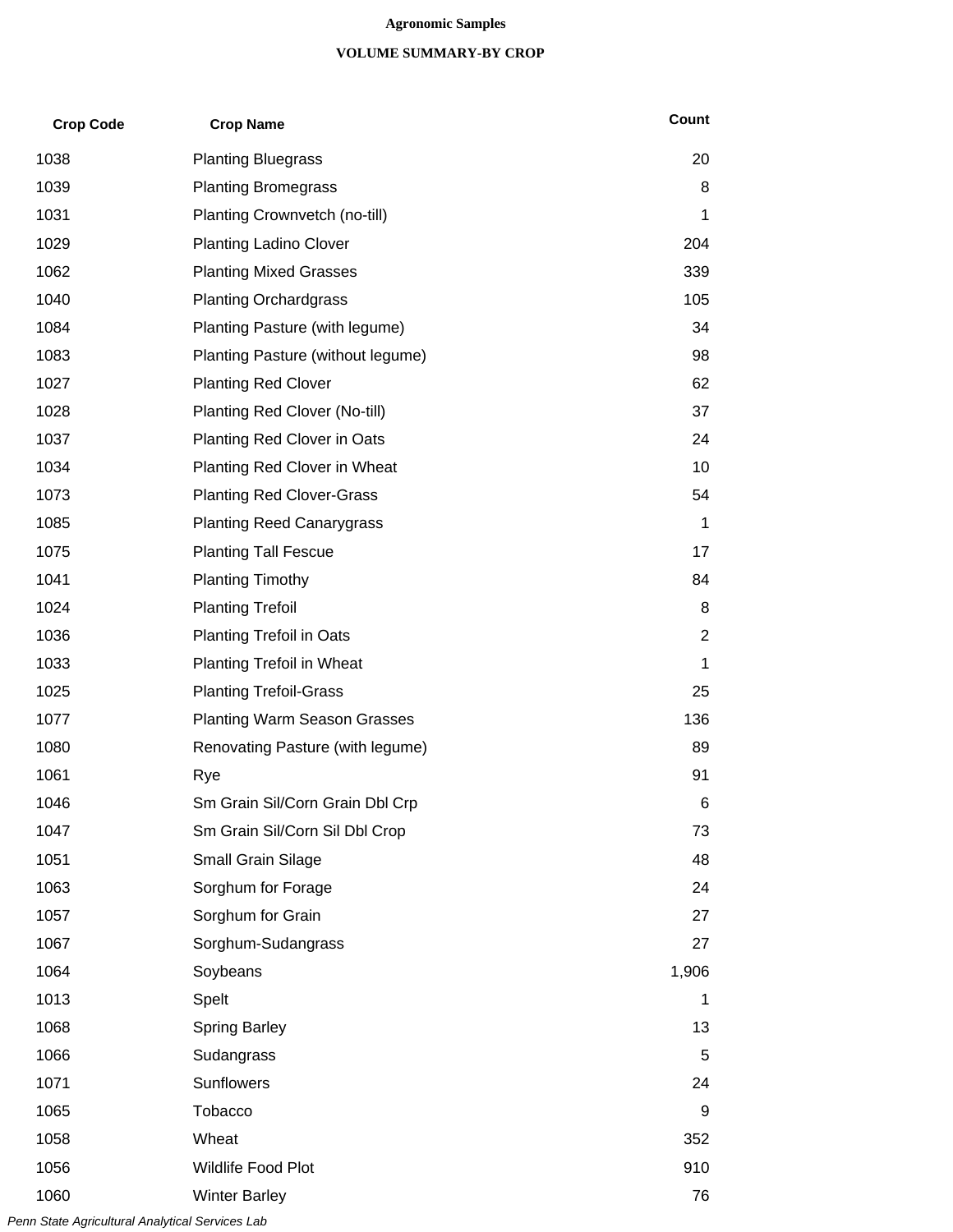## **Agronomic Samples**

## **VOLUME SUMMARY-BY CROP**

| <b>Crop Code</b> | <b>Crop Name</b>                    | Count |
|------------------|-------------------------------------|-------|
| 1038             | <b>Planting Bluegrass</b>           | 20    |
| 1039             | <b>Planting Bromegrass</b>          | 8     |
| 1031             | Planting Crownvetch (no-till)       | 1     |
| 1029             | <b>Planting Ladino Clover</b>       | 204   |
| 1062             | <b>Planting Mixed Grasses</b>       | 339   |
| 1040             | <b>Planting Orchardgrass</b>        | 105   |
| 1084             | Planting Pasture (with legume)      | 34    |
| 1083             | Planting Pasture (without legume)   | 98    |
| 1027             | <b>Planting Red Clover</b>          | 62    |
| 1028             | Planting Red Clover (No-till)       | 37    |
| 1037             | Planting Red Clover in Oats         | 24    |
| 1034             | Planting Red Clover in Wheat        | 10    |
| 1073             | <b>Planting Red Clover-Grass</b>    | 54    |
| 1085             | <b>Planting Reed Canarygrass</b>    | 1     |
| 1075             | <b>Planting Tall Fescue</b>         | 17    |
| 1041             | <b>Planting Timothy</b>             | 84    |
| 1024             | <b>Planting Trefoil</b>             | 8     |
| 1036             | <b>Planting Trefoil in Oats</b>     | 2     |
| 1033             | <b>Planting Trefoil in Wheat</b>    | 1     |
| 1025             | <b>Planting Trefoil-Grass</b>       | 25    |
| 1077             | <b>Planting Warm Season Grasses</b> | 136   |
| 1080             | Renovating Pasture (with legume)    | 89    |
| 1061             | Rye                                 | 91    |
| 1046             | Sm Grain Sil/Corn Grain Dbl Crp     | 6     |
| 1047             | Sm Grain Sil/Corn Sil Dbl Crop      | 73    |
| 1051             | Small Grain Silage                  | 48    |
| 1063             | Sorghum for Forage                  | 24    |
| 1057             | Sorghum for Grain                   | 27    |
| 1067             | Sorghum-Sudangrass                  | 27    |
| 1064             | Soybeans                            | 1,906 |
| 1013             | Spelt                               | 1     |
| 1068             | <b>Spring Barley</b>                | 13    |
| 1066             | Sudangrass                          | 5     |
| 1071             | Sunflowers                          | 24    |
| 1065             | Tobacco                             | 9     |
| 1058             | Wheat                               | 352   |
| 1056             | Wildlife Food Plot                  | 910   |
| 1060             | <b>Winter Barley</b>                | 76    |

*Penn State Agricultural Analytical Services Lab*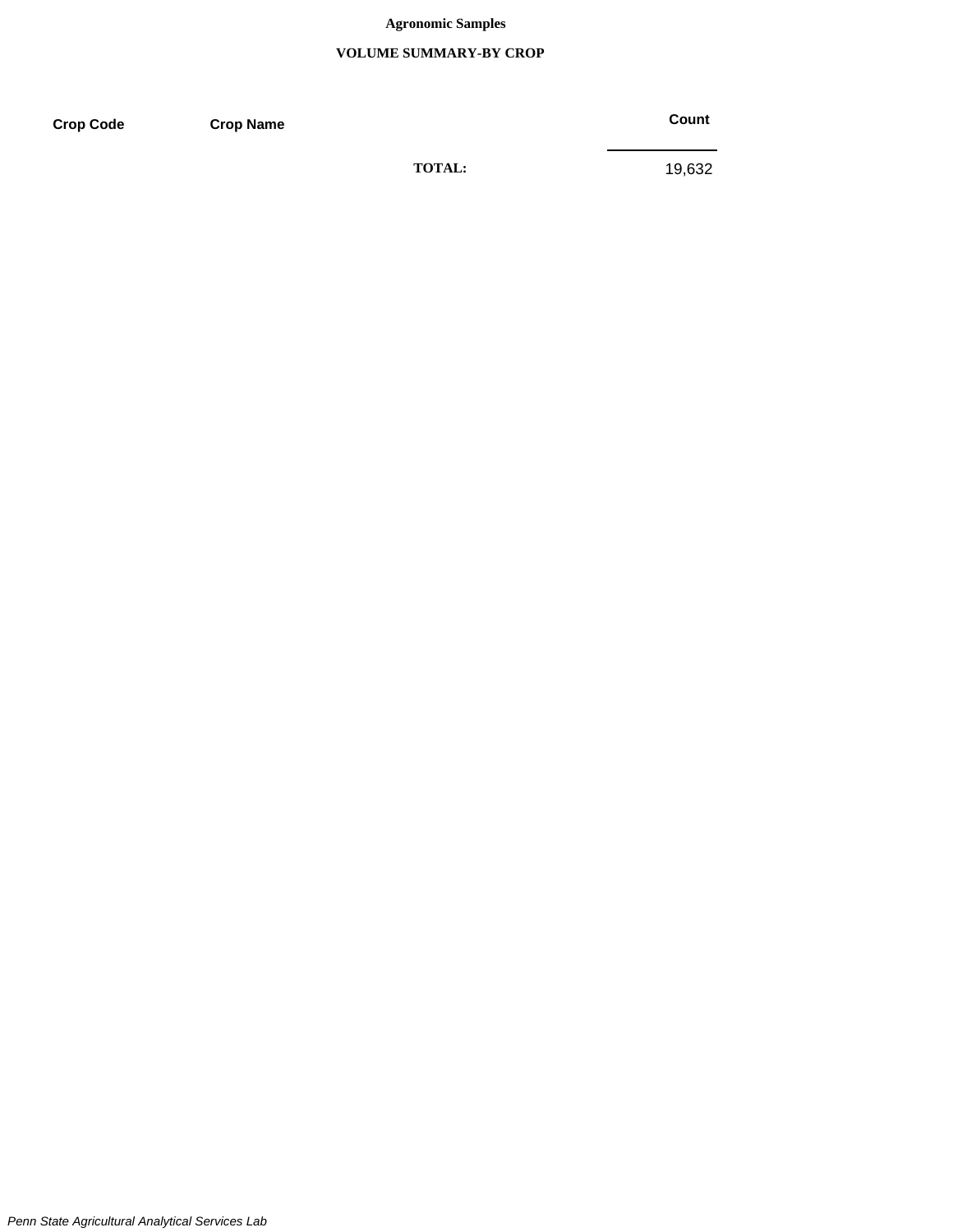## **Agronomic Samples**

## **VOLUME SUMMARY-BY CROP**

**Crop Code Crop Name Crop Name Crop Count** 

**TOTAL:** 19,632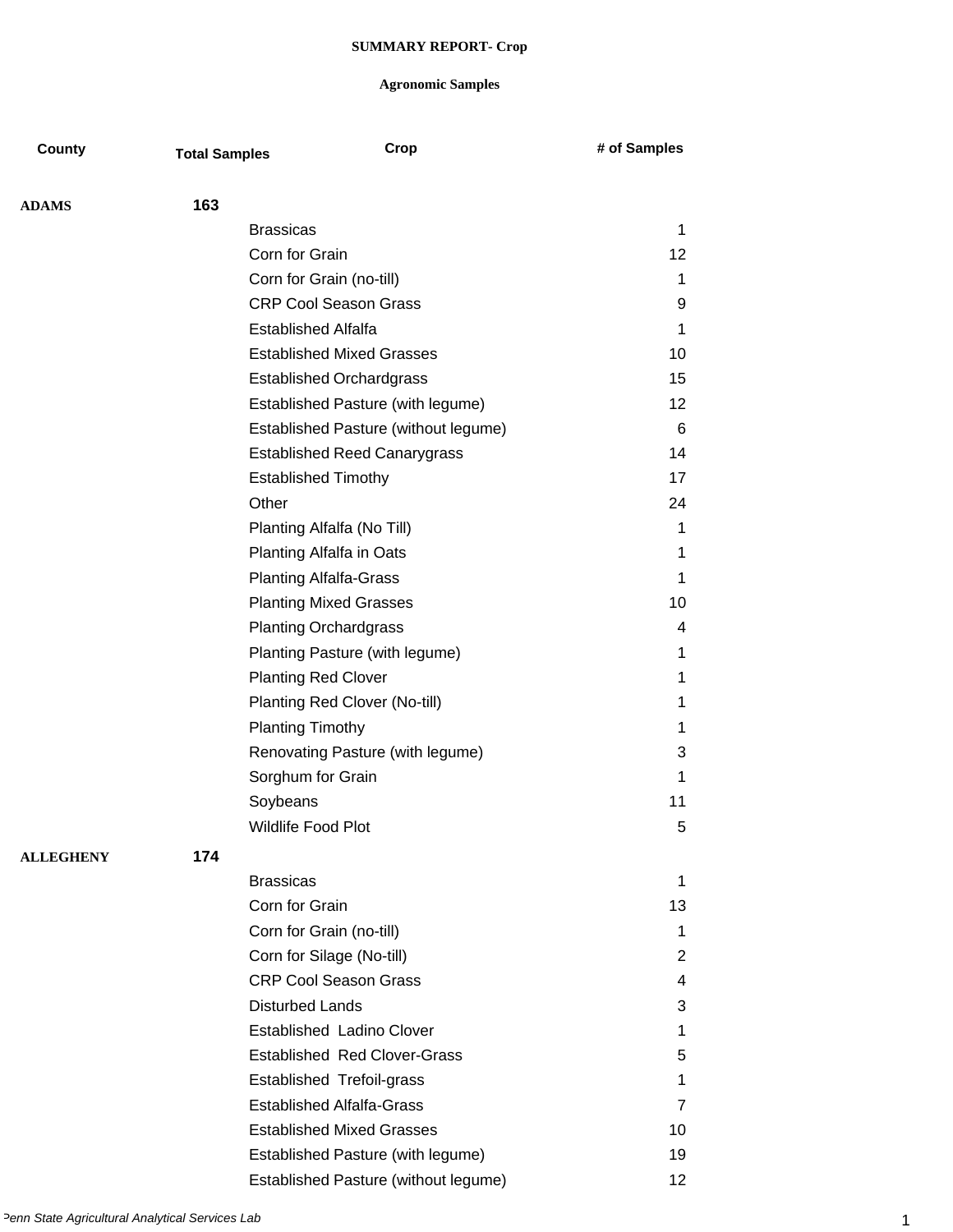| County           | <b>Total Samples</b> | Crop                                 | # of Samples |
|------------------|----------------------|--------------------------------------|--------------|
|                  |                      |                                      |              |
| <b>ADAMS</b>     | 163                  |                                      |              |
|                  |                      | <b>Brassicas</b>                     | 1            |
|                  |                      | Corn for Grain                       | 12           |
|                  |                      | Corn for Grain (no-till)             | 1            |
|                  |                      | <b>CRP Cool Season Grass</b>         | 9            |
|                  |                      | <b>Established Alfalfa</b>           | 1            |
|                  |                      | <b>Established Mixed Grasses</b>     | 10           |
|                  |                      | <b>Established Orchardgrass</b>      | 15           |
|                  |                      | Established Pasture (with legume)    | 12           |
|                  |                      | Established Pasture (without legume) | 6            |
|                  |                      | <b>Established Reed Canarygrass</b>  | 14           |
|                  |                      | <b>Established Timothy</b>           | 17           |
|                  |                      | Other                                | 24           |
|                  |                      | Planting Alfalfa (No Till)           | 1            |
|                  |                      | Planting Alfalfa in Oats             | 1            |
|                  |                      | <b>Planting Alfalfa-Grass</b>        | 1            |
|                  |                      | <b>Planting Mixed Grasses</b>        | 10           |
|                  |                      | <b>Planting Orchardgrass</b>         | 4            |
|                  |                      | Planting Pasture (with legume)       | 1            |
|                  |                      | <b>Planting Red Clover</b>           | 1            |
|                  |                      | Planting Red Clover (No-till)        | 1            |
|                  |                      | <b>Planting Timothy</b>              | 1            |
|                  |                      | Renovating Pasture (with legume)     | 3            |
|                  |                      | Sorghum for Grain                    | 1            |
|                  |                      | Soybeans                             | 11           |
|                  |                      | Wildlife Food Plot                   | 5            |
| <b>ALLEGHENY</b> | 174                  |                                      |              |
|                  |                      | <b>Brassicas</b>                     | 1            |
|                  |                      | Corn for Grain                       | 13           |
|                  |                      | Corn for Grain (no-till)             | 1            |
|                  |                      | Corn for Silage (No-till)            | 2            |
|                  |                      | <b>CRP Cool Season Grass</b>         | 4            |
|                  |                      | <b>Disturbed Lands</b>               | 3            |
|                  |                      | <b>Established Ladino Clover</b>     | 1            |
|                  |                      | <b>Established Red Clover-Grass</b>  | 5            |
|                  |                      | <b>Established Trefoil-grass</b>     | 1            |
|                  |                      | <b>Established Alfalfa-Grass</b>     | 7            |
|                  |                      | <b>Established Mixed Grasses</b>     | 10           |
|                  |                      | Established Pasture (with legume)    | 19           |
|                  |                      | Established Pasture (without legume) | 12           |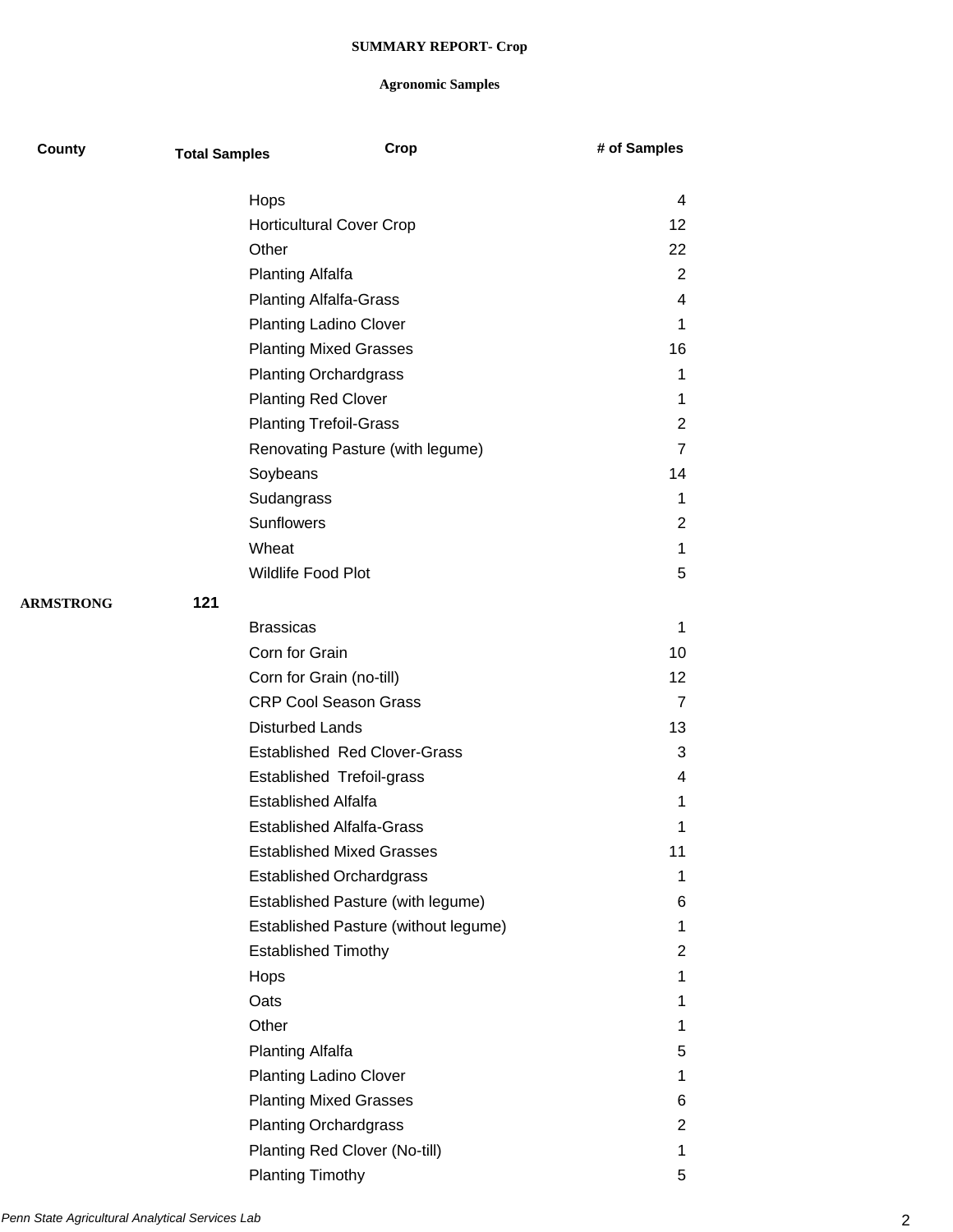| County           | <b>Total Samples</b> | Crop                                    | # of Samples   |
|------------------|----------------------|-----------------------------------------|----------------|
|                  |                      |                                         | 4              |
|                  |                      | Hops<br><b>Horticultural Cover Crop</b> | 12             |
|                  |                      | Other                                   | 22             |
|                  |                      | <b>Planting Alfalfa</b>                 | 2              |
|                  |                      | <b>Planting Alfalfa-Grass</b>           | 4              |
|                  |                      | <b>Planting Ladino Clover</b>           | 1              |
|                  |                      |                                         | 16             |
|                  |                      | <b>Planting Mixed Grasses</b>           |                |
|                  |                      | <b>Planting Orchardgrass</b>            | 1              |
|                  |                      | <b>Planting Red Clover</b>              | 1              |
|                  |                      | <b>Planting Trefoil-Grass</b>           | 2              |
|                  |                      | Renovating Pasture (with legume)        | 7              |
|                  |                      | Soybeans                                | 14             |
|                  |                      | Sudangrass                              | 1              |
|                  |                      | Sunflowers                              | 2              |
|                  |                      | Wheat                                   | 1              |
|                  |                      | Wildlife Food Plot                      | 5              |
| <b>ARMSTRONG</b> | 121                  |                                         |                |
|                  |                      | <b>Brassicas</b>                        | 1              |
|                  |                      | Corn for Grain                          | 10             |
|                  |                      | Corn for Grain (no-till)                | 12             |
|                  |                      | <b>CRP Cool Season Grass</b>            | $\overline{7}$ |
|                  |                      | <b>Disturbed Lands</b>                  | 13             |
|                  |                      | <b>Established Red Clover-Grass</b>     | 3              |
|                  |                      | Established Trefoil-grass               | 4              |
|                  |                      | <b>Established Alfalfa</b>              | 1              |
|                  |                      | <b>Established Alfalfa-Grass</b>        | 1              |
|                  |                      | <b>Established Mixed Grasses</b>        | 11             |
|                  |                      | <b>Established Orchardgrass</b>         | 1              |
|                  |                      | Established Pasture (with legume)       | 6              |
|                  |                      | Established Pasture (without legume)    | 1              |
|                  |                      | <b>Established Timothy</b>              | 2              |
|                  |                      | Hops                                    | 1              |
|                  |                      | Oats                                    | 1.             |
|                  |                      | Other                                   | 1              |
|                  |                      | Planting Alfalfa                        | 5              |
|                  |                      | <b>Planting Ladino Clover</b>           | 1              |
|                  |                      | <b>Planting Mixed Grasses</b>           | 6              |
|                  |                      | <b>Planting Orchardgrass</b>            | 2              |
|                  |                      | Planting Red Clover (No-till)           | 1              |
|                  |                      | <b>Planting Timothy</b>                 | 5              |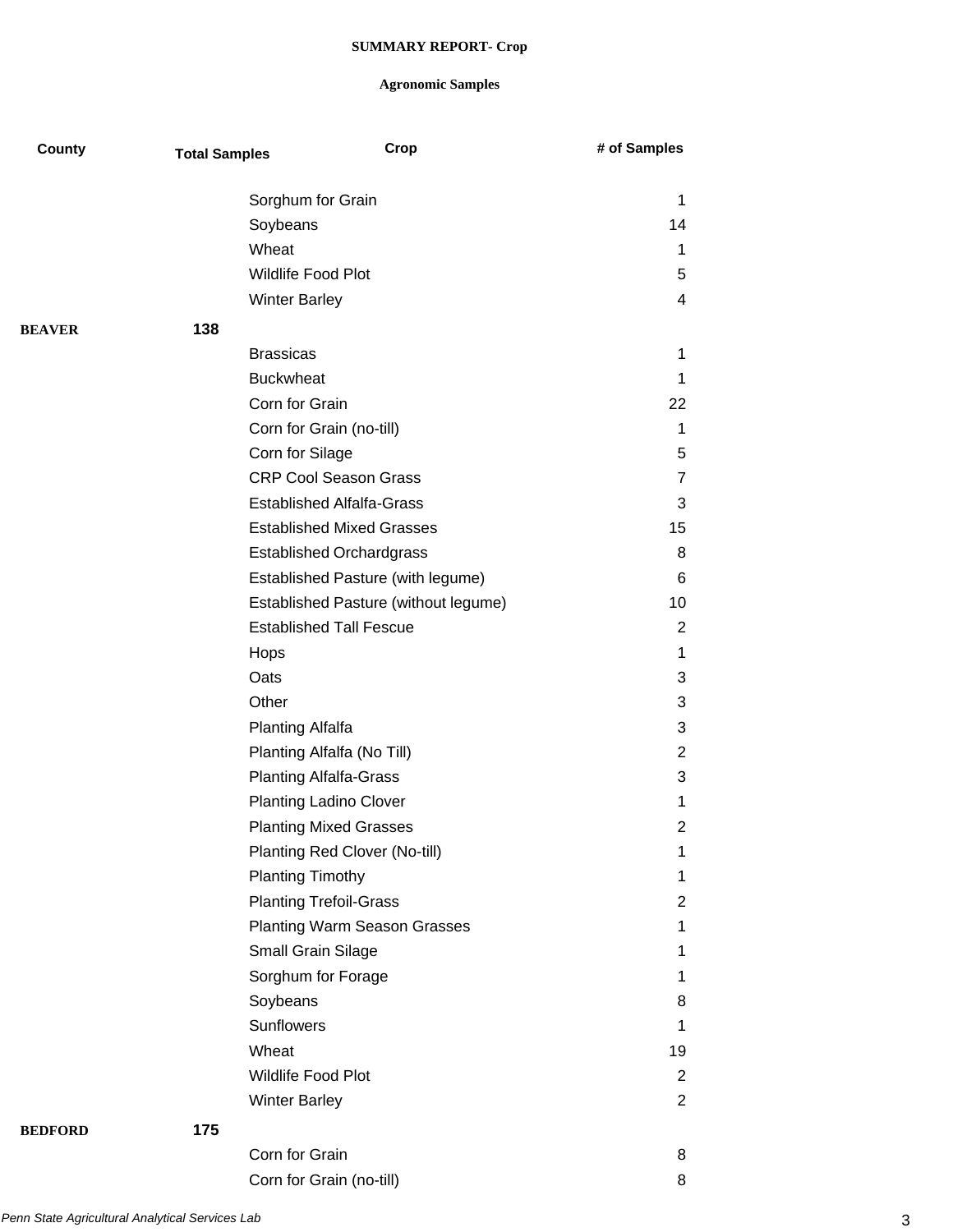| County         | <b>Total Samples</b> | Crop                                 | # of Samples   |
|----------------|----------------------|--------------------------------------|----------------|
|                |                      | Sorghum for Grain                    | 1              |
|                |                      | Soybeans                             | 14             |
|                |                      | Wheat                                | $\mathbf 1$    |
|                |                      | <b>Wildlife Food Plot</b>            | 5              |
|                |                      | <b>Winter Barley</b>                 | 4              |
| <b>BEAVER</b>  | 138                  |                                      |                |
|                |                      | <b>Brassicas</b>                     | 1              |
|                |                      | <b>Buckwheat</b>                     | 1              |
|                |                      | Corn for Grain                       | 22             |
|                |                      | Corn for Grain (no-till)             | 1              |
|                |                      | Corn for Silage                      | 5              |
|                |                      | <b>CRP Cool Season Grass</b>         | $\overline{7}$ |
|                |                      | <b>Established Alfalfa-Grass</b>     | 3              |
|                |                      | <b>Established Mixed Grasses</b>     | 15             |
|                |                      | <b>Established Orchardgrass</b>      | 8              |
|                |                      | Established Pasture (with legume)    | 6              |
|                |                      | Established Pasture (without legume) | 10             |
|                |                      | <b>Established Tall Fescue</b>       | 2              |
|                |                      | Hops                                 | 1              |
|                |                      | Oats                                 | 3              |
|                |                      | Other                                | 3              |
|                |                      | <b>Planting Alfalfa</b>              | 3              |
|                |                      | Planting Alfalfa (No Till)           | $\overline{2}$ |
|                |                      | <b>Planting Alfalfa-Grass</b>        | 3              |
|                |                      | <b>Planting Ladino Clover</b>        | 1              |
|                |                      | <b>Planting Mixed Grasses</b>        | 2              |
|                |                      | Planting Red Clover (No-till)        | 1              |
|                |                      | <b>Planting Timothy</b>              | 1              |
|                |                      | <b>Planting Trefoil-Grass</b>        | 2              |
|                |                      | <b>Planting Warm Season Grasses</b>  | $\mathbf 1$    |
|                |                      | Small Grain Silage                   | 1              |
|                |                      | Sorghum for Forage                   | 1              |
|                |                      | Soybeans                             | 8              |
|                |                      | Sunflowers                           | 1              |
|                |                      | Wheat                                | 19             |
|                |                      | Wildlife Food Plot                   | 2              |
|                |                      | <b>Winter Barley</b>                 | $\overline{2}$ |
| <b>BEDFORD</b> | 175                  |                                      |                |
|                |                      | Corn for Grain                       | 8              |
|                |                      |                                      |                |

| Corn for Grain           |  |
|--------------------------|--|
| Corn for Grain (no-till) |  |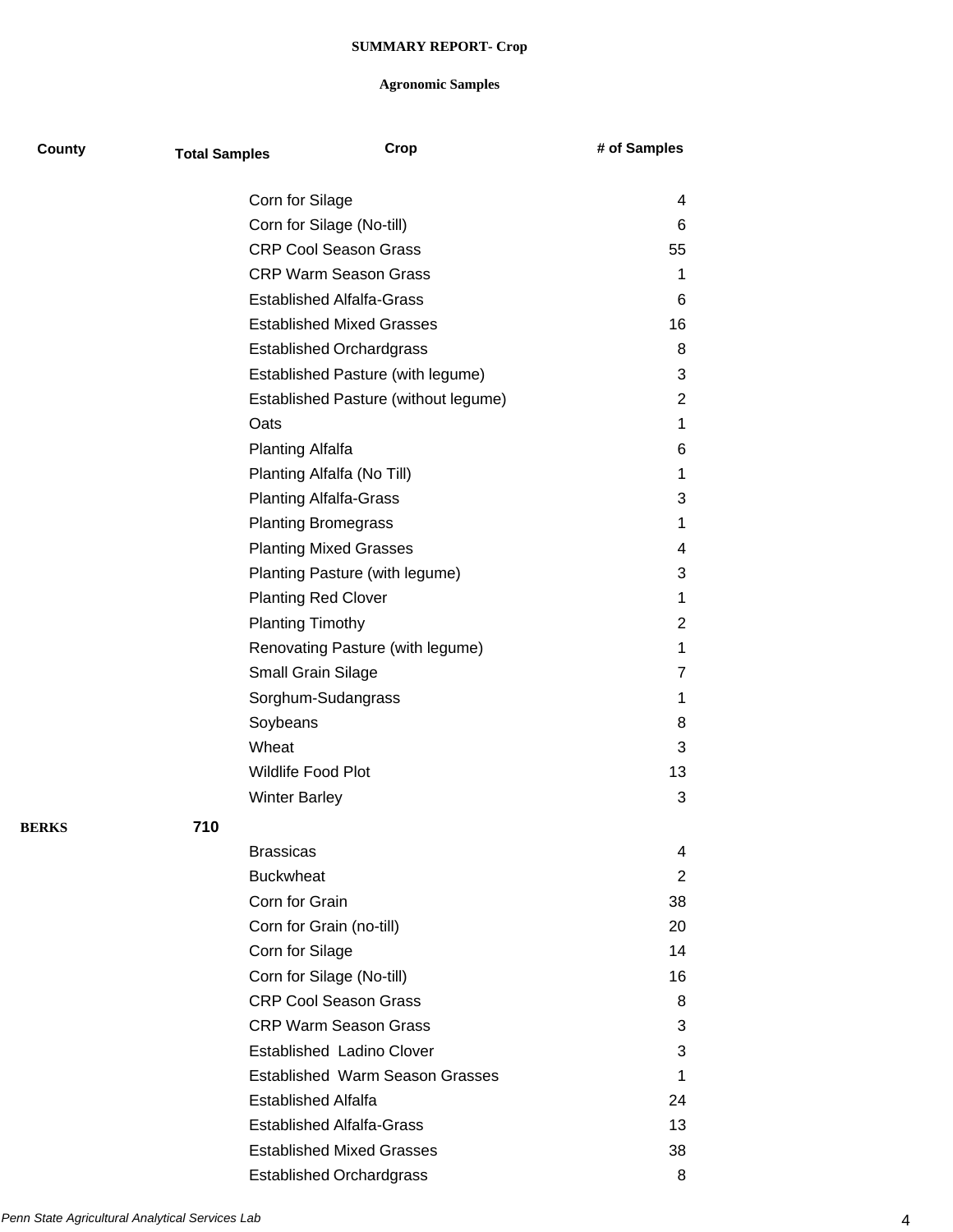| County       | <b>Total Samples</b>                                   | Crop                                   | # of Samples   |
|--------------|--------------------------------------------------------|----------------------------------------|----------------|
|              |                                                        | Corn for Silage                        | 4              |
|              |                                                        | Corn for Silage (No-till)              | 6              |
|              |                                                        | <b>CRP Cool Season Grass</b>           | 55             |
|              |                                                        | <b>CRP Warm Season Grass</b>           | 1              |
|              |                                                        | <b>Established Alfalfa-Grass</b>       | 6              |
|              |                                                        | <b>Established Mixed Grasses</b>       | 16             |
|              |                                                        | <b>Established Orchardgrass</b>        | 8              |
|              |                                                        | Established Pasture (with legume)      | 3              |
|              |                                                        | Established Pasture (without legume)   | 2              |
|              |                                                        | Oats                                   | 1              |
|              |                                                        | <b>Planting Alfalfa</b>                | 6              |
|              |                                                        | Planting Alfalfa (No Till)             | 1              |
|              |                                                        | <b>Planting Alfalfa-Grass</b>          | 3              |
|              |                                                        | <b>Planting Bromegrass</b>             | 1              |
|              |                                                        | <b>Planting Mixed Grasses</b>          | 4              |
|              |                                                        | Planting Pasture (with legume)         | 3              |
|              |                                                        | <b>Planting Red Clover</b>             | 1              |
|              |                                                        | <b>Planting Timothy</b>                | 2              |
|              | Renovating Pasture (with legume)<br>Small Grain Silage |                                        | 1              |
|              |                                                        |                                        | 7              |
|              |                                                        | Sorghum-Sudangrass                     | 1              |
|              |                                                        | Soybeans                               | 8              |
|              |                                                        | Wheat                                  | 3              |
|              |                                                        | Wildlife Food Plot                     | 13             |
|              |                                                        | <b>Winter Barley</b>                   | 3              |
| <b>BERKS</b> | 710                                                    |                                        |                |
|              |                                                        | <b>Brassicas</b>                       | 4              |
|              |                                                        | <b>Buckwheat</b>                       | $\overline{2}$ |
|              |                                                        | Corn for Grain                         | 38             |
|              |                                                        | Corn for Grain (no-till)               | 20             |
|              |                                                        | Corn for Silage                        | 14             |
|              |                                                        | Corn for Silage (No-till)              | 16             |
|              |                                                        | <b>CRP Cool Season Grass</b>           | 8              |
|              |                                                        | <b>CRP Warm Season Grass</b>           | 3              |
|              |                                                        | Established Ladino Clover              | 3              |
|              |                                                        | <b>Established Warm Season Grasses</b> | 1              |
|              |                                                        | <b>Established Alfalfa</b>             | 24             |
|              |                                                        | <b>Established Alfalfa-Grass</b>       | 13             |
|              |                                                        | <b>Established Mixed Grasses</b>       | 38             |
|              |                                                        | <b>Established Orchardgrass</b>        | 8              |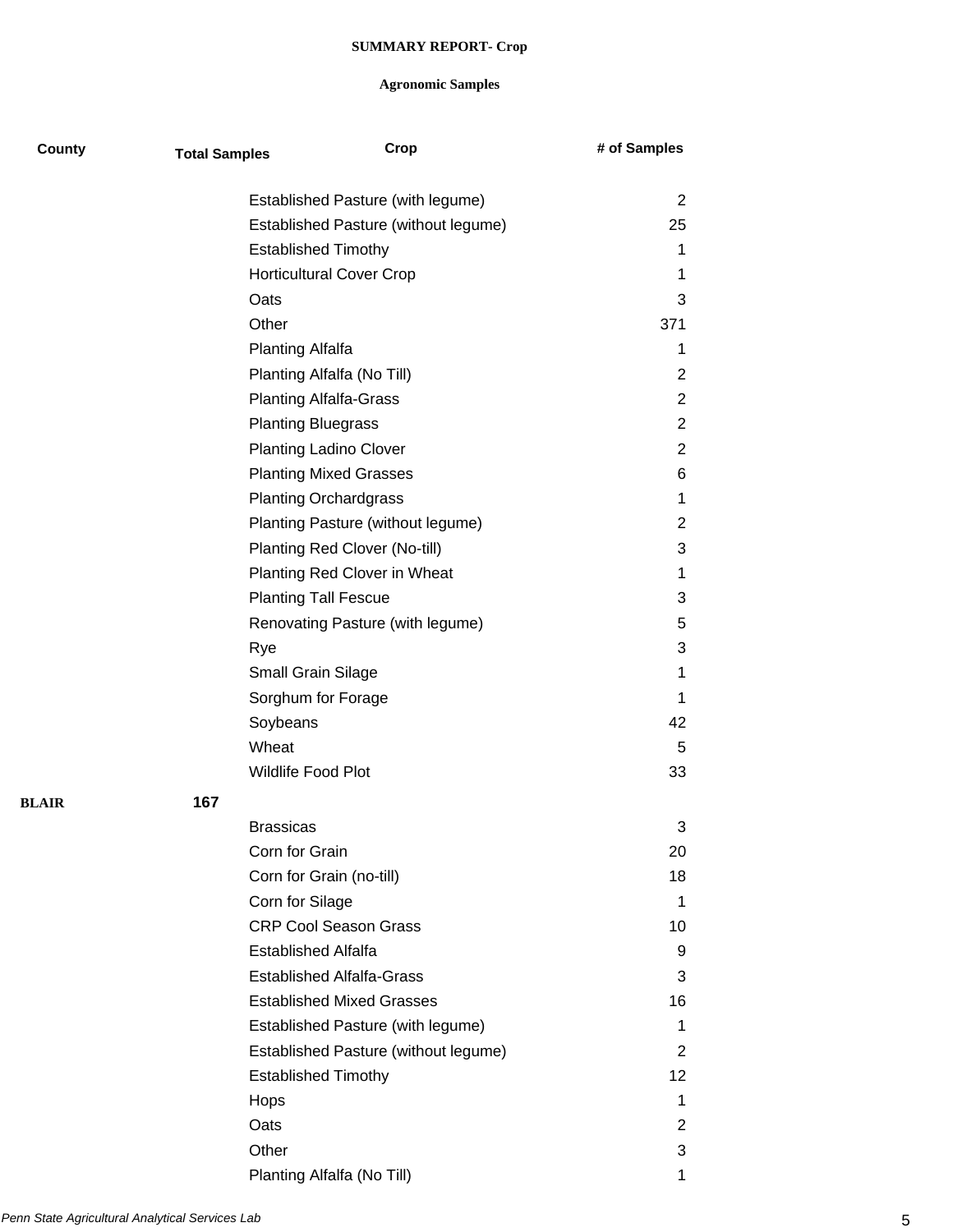| County       | <b>Total Samples</b> | Crop                                 | # of Samples   |
|--------------|----------------------|--------------------------------------|----------------|
|              |                      |                                      |                |
|              |                      | Established Pasture (with legume)    | $\overline{2}$ |
|              |                      | Established Pasture (without legume) | 25             |
|              |                      | <b>Established Timothy</b>           | 1              |
|              |                      | <b>Horticultural Cover Crop</b>      | 1              |
|              |                      | Oats                                 | 3              |
|              |                      | Other                                | 371            |
|              |                      | <b>Planting Alfalfa</b>              | 1              |
|              |                      | Planting Alfalfa (No Till)           | 2              |
|              |                      | <b>Planting Alfalfa-Grass</b>        | $\overline{2}$ |
|              |                      | <b>Planting Bluegrass</b>            | $\overline{2}$ |
|              |                      | <b>Planting Ladino Clover</b>        | 2              |
|              |                      | <b>Planting Mixed Grasses</b>        | 6              |
|              |                      | <b>Planting Orchardgrass</b>         | 1              |
|              |                      | Planting Pasture (without legume)    | 2              |
|              |                      | Planting Red Clover (No-till)        | 3              |
|              |                      | Planting Red Clover in Wheat         | 1              |
|              |                      | <b>Planting Tall Fescue</b>          | 3              |
|              |                      | Renovating Pasture (with legume)     | 5              |
|              |                      | Rye                                  | 3              |
|              |                      | Small Grain Silage                   | 1              |
|              |                      | Sorghum for Forage                   | 1              |
|              |                      | Soybeans                             | 42             |
|              |                      | Wheat                                | 5              |
|              |                      | Wildlife Food Plot                   | 33             |
| <b>BLAIR</b> | 167                  |                                      |                |
|              |                      | <b>Brassicas</b>                     | 3              |
|              |                      | Corn for Grain                       | 20             |
|              |                      | Corn for Grain (no-till)             | 18             |
|              |                      | Corn for Silage                      | 1              |
|              |                      | <b>CRP Cool Season Grass</b>         | 10             |
|              |                      | <b>Established Alfalfa</b>           | 9              |
|              |                      | <b>Established Alfalfa-Grass</b>     | 3              |
|              |                      | <b>Established Mixed Grasses</b>     | 16             |
|              |                      | Established Pasture (with legume)    | 1              |
|              |                      | Established Pasture (without legume) | 2              |
|              |                      | <b>Established Timothy</b>           | 12             |
|              |                      | Hops                                 | 1              |
|              |                      | Oats                                 | 2              |
|              |                      | Other                                | 3              |
|              |                      | Planting Alfalfa (No Till)           | 1              |
|              |                      |                                      |                |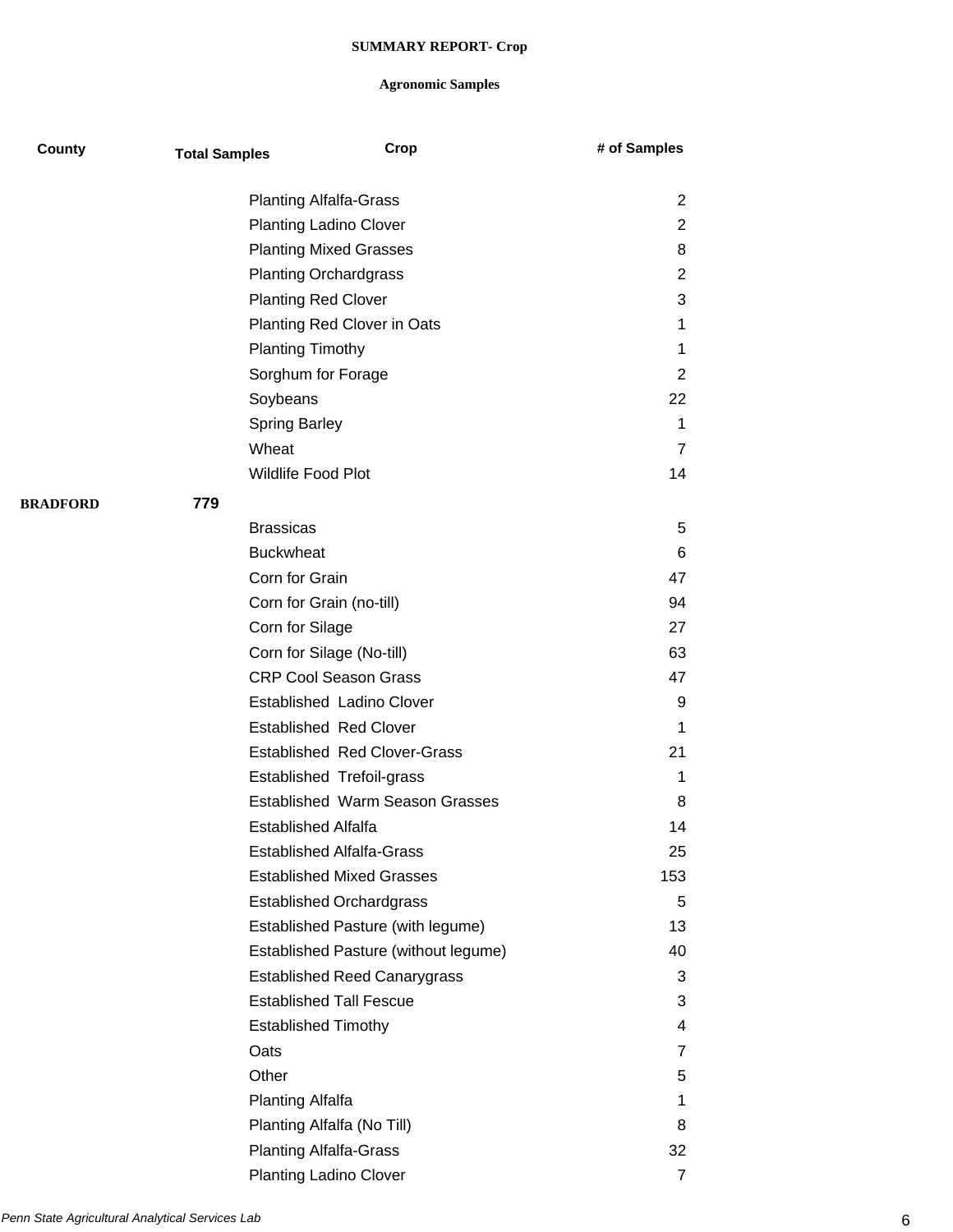| County          | <b>Total Samples</b> | Crop                                   | # of Samples   |
|-----------------|----------------------|----------------------------------------|----------------|
|                 |                      | <b>Planting Alfalfa-Grass</b>          | 2              |
|                 |                      | <b>Planting Ladino Clover</b>          | 2              |
|                 |                      | <b>Planting Mixed Grasses</b>          | 8              |
|                 |                      | <b>Planting Orchardgrass</b>           | 2              |
|                 |                      | <b>Planting Red Clover</b>             | 3              |
|                 |                      | Planting Red Clover in Oats            | 1              |
|                 |                      | <b>Planting Timothy</b>                | 1              |
|                 |                      | Sorghum for Forage                     | 2              |
|                 | Soybeans             |                                        | 22             |
|                 | <b>Spring Barley</b> |                                        | 1              |
|                 | Wheat                |                                        | 7              |
|                 |                      | Wildlife Food Plot                     | 14             |
| <b>BRADFORD</b> | 779                  |                                        |                |
|                 | <b>Brassicas</b>     |                                        | 5              |
|                 | <b>Buckwheat</b>     |                                        | 6              |
|                 | Corn for Grain       |                                        | 47             |
|                 |                      | Corn for Grain (no-till)               | 94             |
|                 | Corn for Silage      |                                        | 27             |
|                 |                      | Corn for Silage (No-till)              | 63             |
|                 |                      | <b>CRP Cool Season Grass</b>           | 47             |
|                 |                      | Established Ladino Clover              | 9              |
|                 |                      | <b>Established Red Clover</b>          | 1              |
|                 |                      | <b>Established Red Clover-Grass</b>    | 21             |
|                 |                      | <b>Established Trefoil-grass</b>       | 1              |
|                 |                      | <b>Established Warm Season Grasses</b> | 8              |
|                 |                      | <b>Established Alfalfa</b>             | 14             |
|                 |                      | <b>Established Alfalfa-Grass</b>       | 25             |
|                 |                      | <b>Established Mixed Grasses</b>       | 153            |
|                 |                      | <b>Established Orchardgrass</b>        | 5              |
|                 |                      | Established Pasture (with legume)      | 13             |
|                 |                      | Established Pasture (without legume)   | 40             |
|                 |                      | <b>Established Reed Canarygrass</b>    | 3              |
|                 |                      | <b>Established Tall Fescue</b>         | 3              |
|                 |                      | <b>Established Timothy</b>             | 4              |
|                 | Oats                 |                                        | 7              |
|                 | Other                |                                        | 5              |
|                 | Planting Alfalfa     |                                        | 1              |
|                 |                      | Planting Alfalfa (No Till)             | 8              |
|                 |                      | <b>Planting Alfalfa-Grass</b>          | 32             |
|                 |                      | <b>Planting Ladino Clover</b>          | $\overline{7}$ |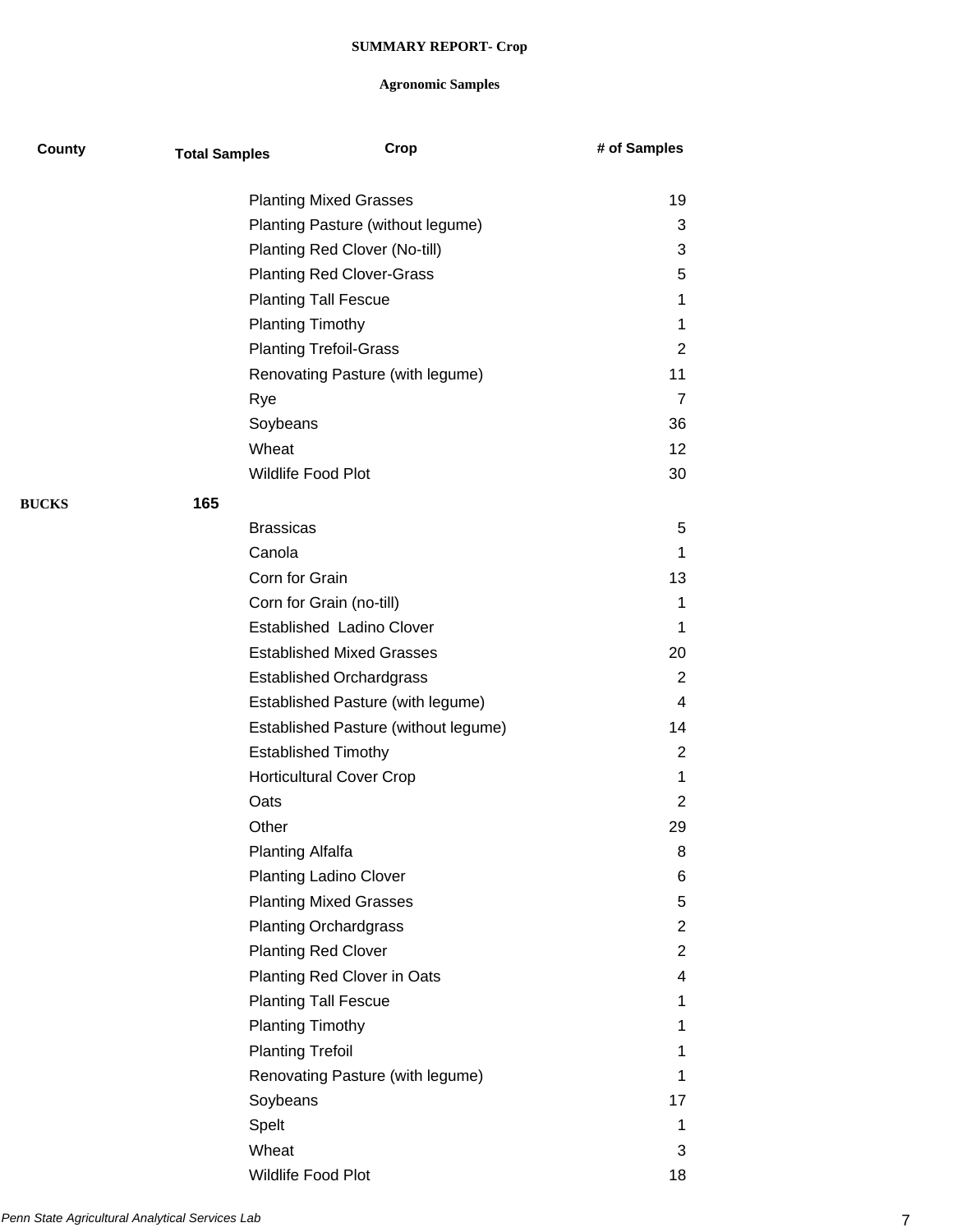| County       | <b>Total Samples</b>    | Crop                                 | # of Samples   |
|--------------|-------------------------|--------------------------------------|----------------|
|              |                         | <b>Planting Mixed Grasses</b>        | 19             |
|              |                         | Planting Pasture (without legume)    | 3              |
|              |                         | Planting Red Clover (No-till)        | 3              |
|              |                         | <b>Planting Red Clover-Grass</b>     | 5              |
|              |                         | <b>Planting Tall Fescue</b>          | 1              |
|              | <b>Planting Timothy</b> |                                      | 1              |
|              |                         | <b>Planting Trefoil-Grass</b>        | $\overline{2}$ |
|              |                         | Renovating Pasture (with legume)     | 11             |
|              | Rye                     |                                      | $\overline{7}$ |
|              | Soybeans                |                                      | 36             |
|              | Wheat                   |                                      | 12             |
|              | Wildlife Food Plot      |                                      | 30             |
| <b>BUCKS</b> | 165                     |                                      |                |
|              | <b>Brassicas</b>        |                                      | 5              |
|              | Canola                  |                                      | 1              |
|              | Corn for Grain          |                                      | 13             |
|              |                         | Corn for Grain (no-till)             | 1              |
|              |                         | Established Ladino Clover            | 1              |
|              |                         | <b>Established Mixed Grasses</b>     | 20             |
|              |                         | <b>Established Orchardgrass</b>      | 2              |
|              |                         | Established Pasture (with legume)    | 4              |
|              |                         | Established Pasture (without legume) | 14             |
|              |                         | <b>Established Timothy</b>           | 2              |
|              |                         | <b>Horticultural Cover Crop</b>      | 1              |
|              | Oats                    |                                      | $\overline{2}$ |
|              | Other                   |                                      | 29             |
|              | <b>Planting Alfalfa</b> |                                      | 8              |
|              |                         | <b>Planting Ladino Clover</b>        | 6              |
|              |                         | <b>Planting Mixed Grasses</b>        | 5              |
|              |                         | <b>Planting Orchardgrass</b>         | $\overline{2}$ |
|              |                         | <b>Planting Red Clover</b>           | $\overline{2}$ |
|              |                         | Planting Red Clover in Oats          | 4              |
|              |                         | <b>Planting Tall Fescue</b>          | 1              |
|              | <b>Planting Timothy</b> |                                      | 1              |
|              | <b>Planting Trefoil</b> |                                      | 1              |
|              |                         | Renovating Pasture (with legume)     | 1              |
|              | Soybeans                |                                      | 17             |
|              | Spelt                   |                                      | 1              |
|              | Wheat                   |                                      | 3              |
|              | Wildlife Food Plot      |                                      | 18             |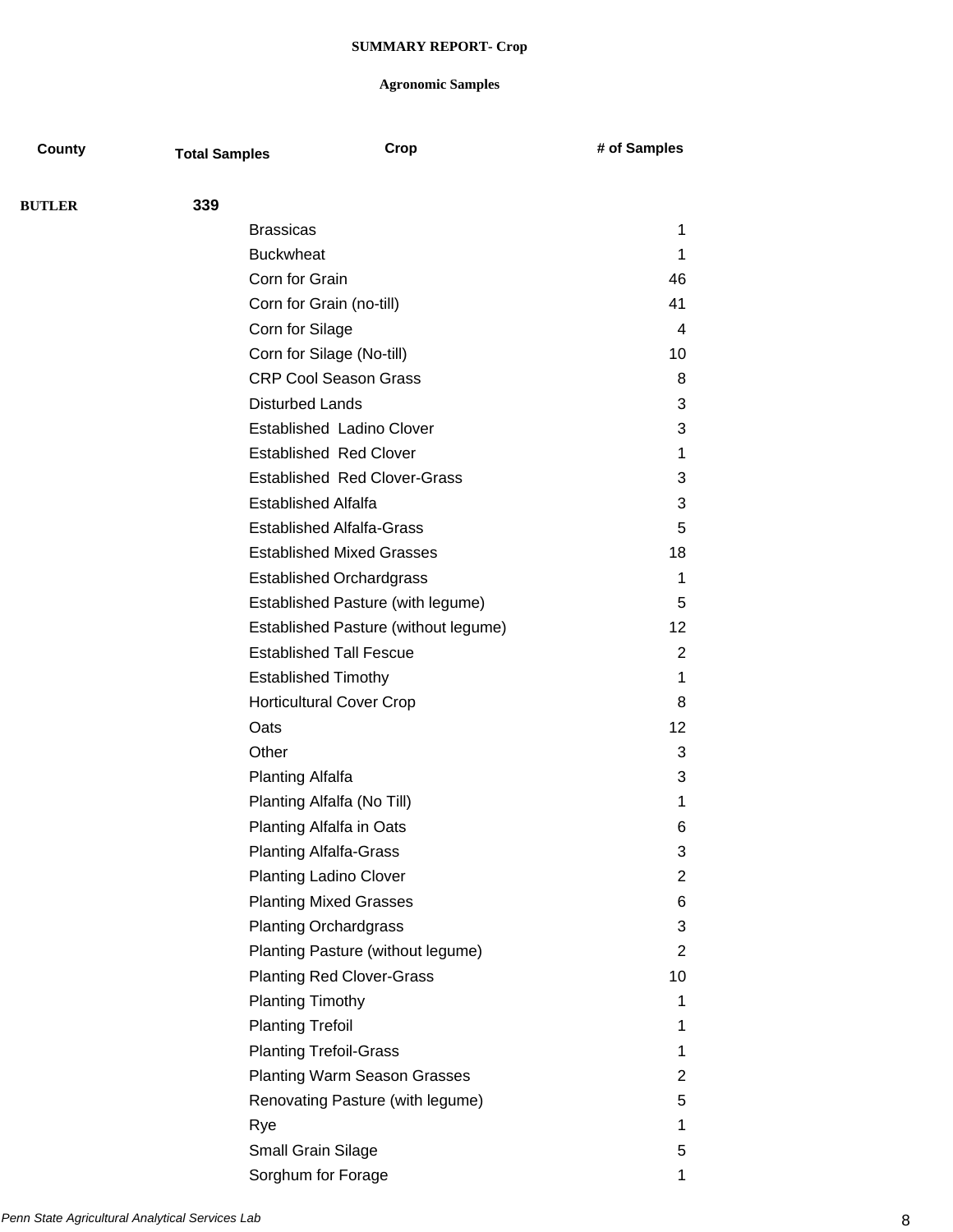| County        | <b>Total Samples</b>       | Crop                                 | # of Samples   |
|---------------|----------------------------|--------------------------------------|----------------|
| <b>BUTLER</b> | 339                        |                                      |                |
|               | <b>Brassicas</b>           |                                      | 1              |
|               | <b>Buckwheat</b>           |                                      | 1              |
|               | Corn for Grain             |                                      | 46             |
|               | Corn for Grain (no-till)   |                                      | 41             |
|               | Corn for Silage            |                                      | $\overline{4}$ |
|               |                            | Corn for Silage (No-till)            | 10             |
|               |                            | <b>CRP Cool Season Grass</b>         | 8              |
|               | <b>Disturbed Lands</b>     |                                      | 3              |
|               |                            | Established Ladino Clover            | 3              |
|               |                            | <b>Established Red Clover</b>        | 1              |
|               |                            | <b>Established Red Clover-Grass</b>  | 3              |
|               | <b>Established Alfalfa</b> |                                      | 3              |
|               |                            | <b>Established Alfalfa-Grass</b>     | 5              |
|               |                            | <b>Established Mixed Grasses</b>     | 18             |
|               |                            | <b>Established Orchardgrass</b>      | 1              |
|               |                            | Established Pasture (with legume)    | 5              |
|               |                            | Established Pasture (without legume) | 12             |
|               |                            | <b>Established Tall Fescue</b>       | 2              |
|               | <b>Established Timothy</b> |                                      | 1              |
|               |                            | <b>Horticultural Cover Crop</b>      | 8              |
|               | Oats                       |                                      | 12             |
|               | Other                      |                                      | 3              |
|               | <b>Planting Alfalfa</b>    |                                      | 3              |
|               |                            | Planting Alfalfa (No Till)           | 1              |
|               |                            | Planting Alfalfa in Oats             | 6              |
|               |                            | <b>Planting Alfalfa-Grass</b>        | 3              |
|               |                            | <b>Planting Ladino Clover</b>        | 2              |
|               |                            | <b>Planting Mixed Grasses</b>        | 6              |
|               |                            | <b>Planting Orchardgrass</b>         | 3              |
|               |                            | Planting Pasture (without legume)    | 2              |
|               |                            | <b>Planting Red Clover-Grass</b>     | 10             |
|               | <b>Planting Timothy</b>    |                                      | 1              |
|               | <b>Planting Trefoil</b>    |                                      | 1              |
|               |                            | <b>Planting Trefoil-Grass</b>        | 1              |
|               |                            | <b>Planting Warm Season Grasses</b>  | 2              |
|               |                            | Renovating Pasture (with legume)     | 5              |
|               | Rye                        |                                      | 1              |
|               | <b>Small Grain Silage</b>  |                                      | 5              |
|               | Sorghum for Forage         |                                      | 1              |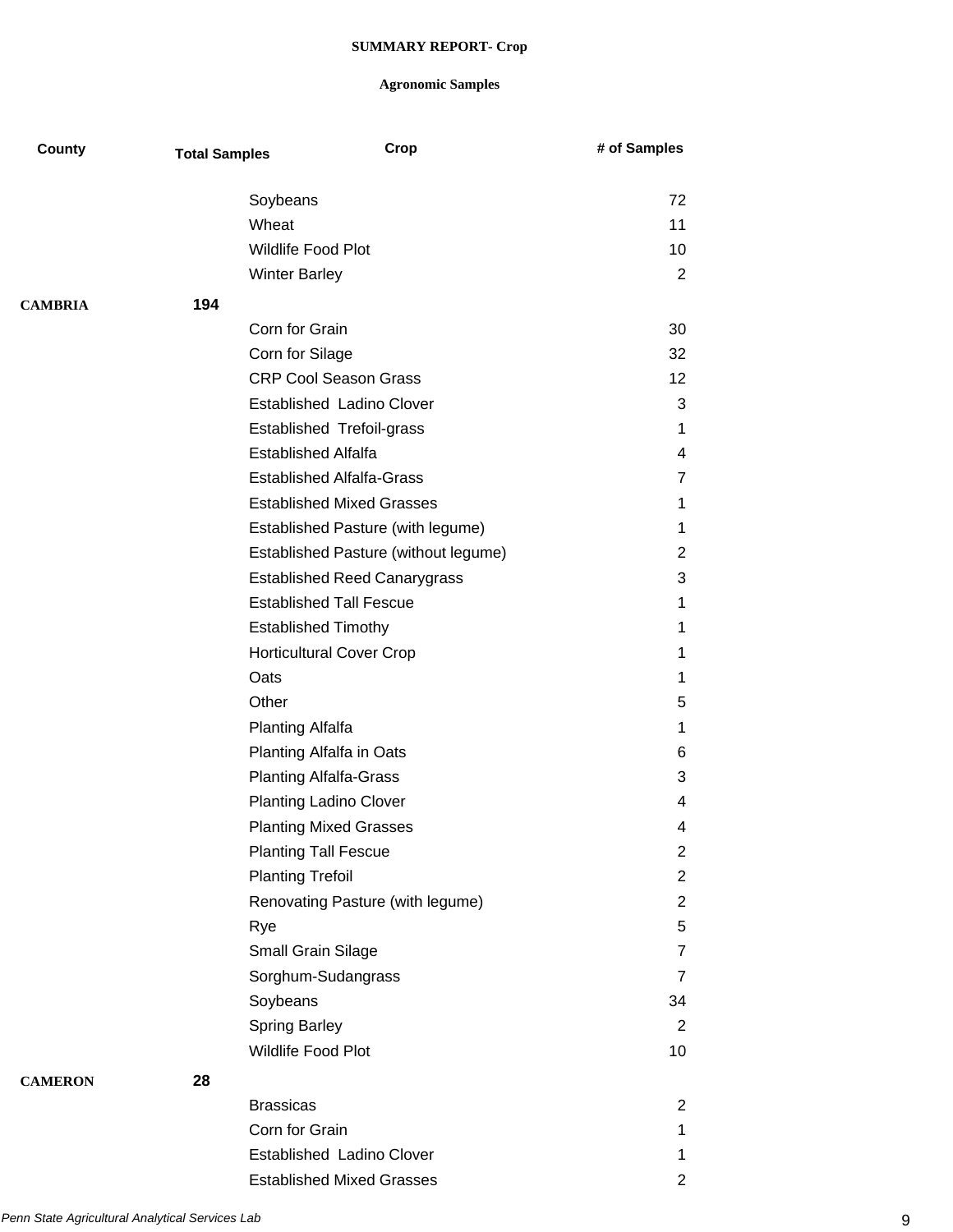| County         | <b>Total Samples</b> | Crop                                 | # of Samples   |
|----------------|----------------------|--------------------------------------|----------------|
|                |                      | Soybeans                             | 72             |
|                |                      | Wheat                                | 11             |
|                |                      | <b>Wildlife Food Plot</b>            | 10             |
|                |                      | <b>Winter Barley</b>                 | 2              |
| <b>CAMBRIA</b> | 194                  |                                      |                |
|                |                      | Corn for Grain                       | 30             |
|                |                      | Corn for Silage                      | 32             |
|                |                      | <b>CRP Cool Season Grass</b>         | 12             |
|                |                      | <b>Established Ladino Clover</b>     | 3              |
|                |                      | Established Trefoil-grass            | $\mathbf 1$    |
|                |                      | <b>Established Alfalfa</b>           | 4              |
|                |                      | <b>Established Alfalfa-Grass</b>     | $\overline{7}$ |
|                |                      | <b>Established Mixed Grasses</b>     | 1              |
|                |                      | Established Pasture (with legume)    | 1              |
|                |                      | Established Pasture (without legume) | $\overline{2}$ |
|                |                      | <b>Established Reed Canarygrass</b>  | 3              |
|                |                      | <b>Established Tall Fescue</b>       | 1              |
|                |                      | <b>Established Timothy</b>           | 1              |
|                |                      | <b>Horticultural Cover Crop</b>      | 1              |
|                |                      | Oats                                 | 1              |
|                |                      | Other                                | 5              |
|                |                      | <b>Planting Alfalfa</b>              | 1              |
|                |                      | Planting Alfalfa in Oats             | 6              |
|                |                      | <b>Planting Alfalfa-Grass</b>        | 3              |
|                |                      | <b>Planting Ladino Clover</b>        | 4              |
|                |                      | <b>Planting Mixed Grasses</b>        | 4              |
|                |                      | <b>Planting Tall Fescue</b>          | $\overline{c}$ |
|                |                      | <b>Planting Trefoil</b>              | $\overline{2}$ |
|                |                      | Renovating Pasture (with legume)     | $\overline{2}$ |
|                |                      | Rye                                  | 5              |
|                |                      | Small Grain Silage                   | $\overline{7}$ |
|                |                      | Sorghum-Sudangrass                   | $\overline{7}$ |
|                |                      | Soybeans                             | 34             |
|                |                      | <b>Spring Barley</b>                 | 2              |
|                |                      | Wildlife Food Plot                   | 10             |
| <b>CAMERON</b> | 28                   |                                      |                |
|                |                      | <b>Brassicas</b>                     | 2              |
|                |                      | Corn for Grain                       | 1              |
|                |                      | <b>Established Ladino Clover</b>     | $\mathbf 1$    |
|                |                      | <b>Established Mixed Grasses</b>     | 2              |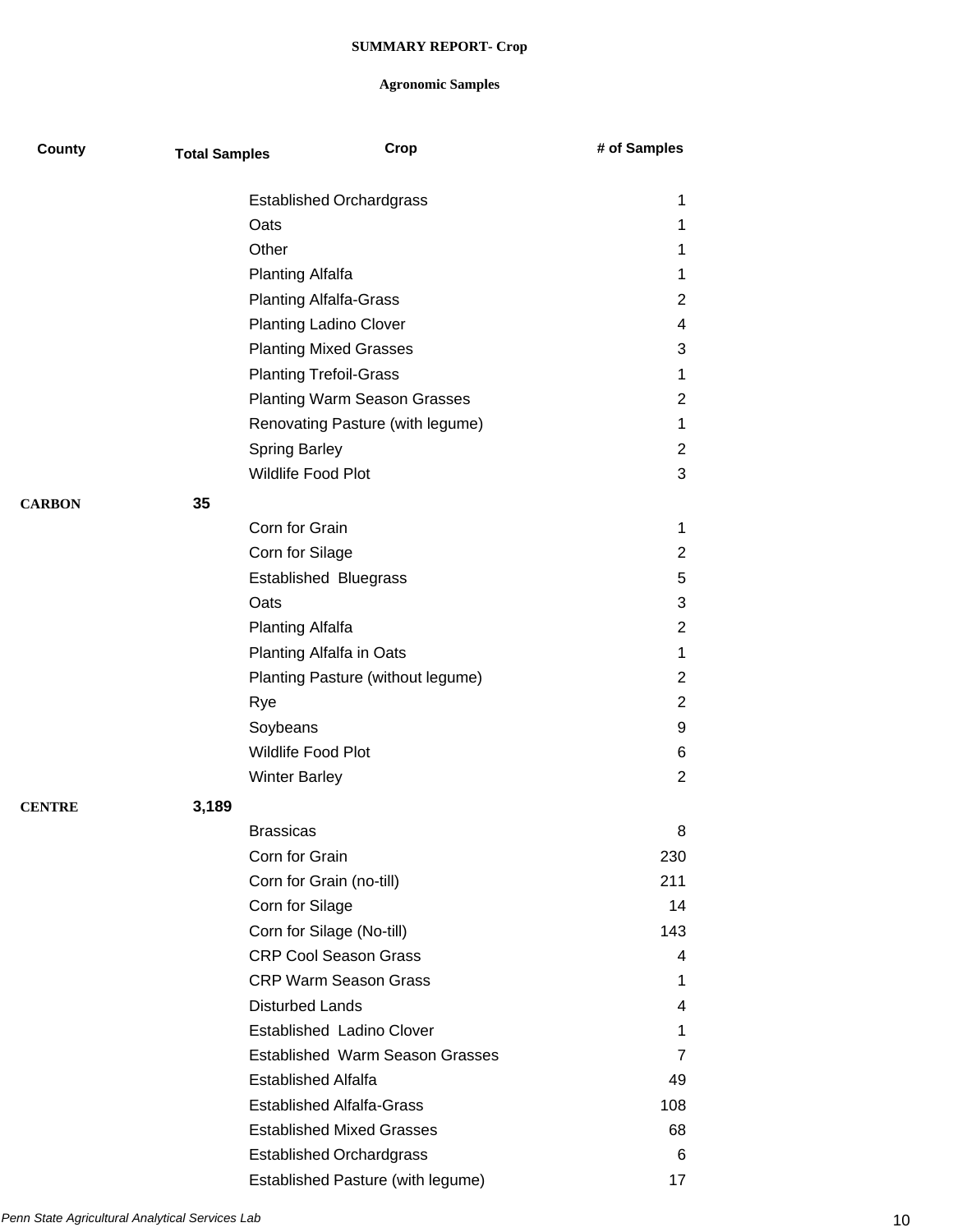| County        | <b>Total Samples</b> |                               | Crop                                   | # of Samples   |
|---------------|----------------------|-------------------------------|----------------------------------------|----------------|
|               |                      |                               | <b>Established Orchardgrass</b>        | 1              |
|               |                      | Oats                          |                                        | 1              |
|               |                      | Other                         |                                        | 1              |
|               |                      | <b>Planting Alfalfa</b>       |                                        | 1              |
|               |                      | <b>Planting Alfalfa-Grass</b> |                                        | 2              |
|               |                      | <b>Planting Ladino Clover</b> |                                        | 4              |
|               |                      | <b>Planting Mixed Grasses</b> |                                        | 3              |
|               |                      | <b>Planting Trefoil-Grass</b> |                                        | 1              |
|               |                      |                               | <b>Planting Warm Season Grasses</b>    | $\overline{2}$ |
|               |                      |                               | Renovating Pasture (with legume)       | 1              |
|               |                      | <b>Spring Barley</b>          |                                        | $\overline{2}$ |
|               |                      | Wildlife Food Plot            |                                        | 3              |
| <b>CARBON</b> | 35                   |                               |                                        |                |
|               |                      | Corn for Grain                |                                        | 1              |
|               |                      | Corn for Silage               |                                        | $\overline{2}$ |
|               |                      | <b>Established Bluegrass</b>  |                                        | 5              |
|               |                      | Oats                          |                                        | 3              |
|               |                      | <b>Planting Alfalfa</b>       |                                        | $\overline{2}$ |
|               |                      | Planting Alfalfa in Oats      |                                        | 1              |
|               |                      |                               | Planting Pasture (without legume)      | $\overline{2}$ |
|               |                      | Rye                           |                                        | $\overline{2}$ |
|               |                      | Soybeans                      |                                        | 9              |
|               |                      | Wildlife Food Plot            |                                        | 6              |
|               |                      | <b>Winter Barley</b>          |                                        | $\overline{2}$ |
|               |                      |                               |                                        |                |
| <b>CENTRE</b> | 3,189                |                               |                                        |                |
|               |                      | <b>Brassicas</b>              |                                        | 8              |
|               |                      | Corn for Grain                |                                        | 230            |
|               |                      | Corn for Grain (no-till)      |                                        | 211            |
|               |                      | Corn for Silage               |                                        | 14             |
|               |                      | Corn for Silage (No-till)     |                                        | 143            |
|               |                      |                               | <b>CRP Cool Season Grass</b>           | 4              |
|               |                      |                               | <b>CRP Warm Season Grass</b>           | 1              |
|               |                      | <b>Disturbed Lands</b>        |                                        | 4              |
|               |                      |                               | <b>Established Ladino Clover</b>       | 1              |
|               |                      |                               | <b>Established Warm Season Grasses</b> | 7              |
|               |                      | <b>Established Alfalfa</b>    |                                        | 49             |
|               |                      |                               | <b>Established Alfalfa-Grass</b>       | 108            |
|               |                      |                               | <b>Established Mixed Grasses</b>       | 68             |
|               |                      |                               | <b>Established Orchardgrass</b>        | 6              |
|               |                      |                               | Established Pasture (with legume)      | 17             |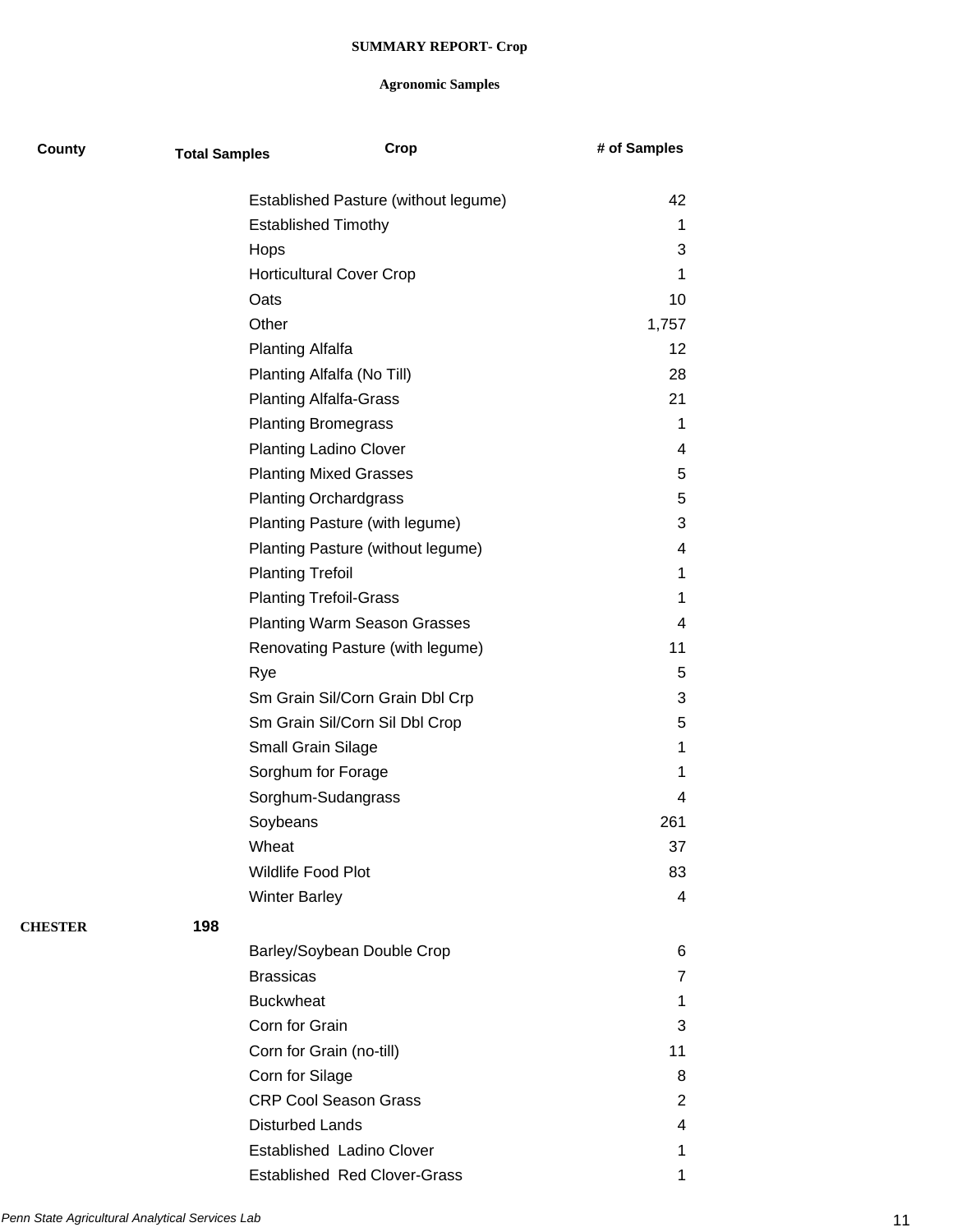| County         | <b>Total Samples</b> |                                 | Crop                                 | # of Samples |
|----------------|----------------------|---------------------------------|--------------------------------------|--------------|
|                |                      |                                 | Established Pasture (without legume) | 42           |
|                |                      | <b>Established Timothy</b>      |                                      | 1            |
|                |                      | Hops                            |                                      | 3            |
|                |                      | <b>Horticultural Cover Crop</b> |                                      | 1            |
|                |                      | Oats                            |                                      | 10           |
|                |                      | Other                           |                                      | 1,757        |
|                |                      | <b>Planting Alfalfa</b>         |                                      | 12           |
|                |                      | Planting Alfalfa (No Till)      |                                      | 28           |
|                |                      | <b>Planting Alfalfa-Grass</b>   |                                      | 21           |
|                |                      | <b>Planting Bromegrass</b>      |                                      | 1            |
|                |                      | <b>Planting Ladino Clover</b>   |                                      | 4            |
|                |                      | <b>Planting Mixed Grasses</b>   |                                      | 5            |
|                |                      | <b>Planting Orchardgrass</b>    |                                      | 5            |
|                |                      |                                 | Planting Pasture (with legume)       | 3            |
|                |                      |                                 | Planting Pasture (without legume)    | 4            |
|                |                      | <b>Planting Trefoil</b>         |                                      | 1            |
|                |                      | <b>Planting Trefoil-Grass</b>   |                                      | 1            |
|                |                      |                                 | <b>Planting Warm Season Grasses</b>  | 4            |
|                |                      |                                 | Renovating Pasture (with legume)     | 11           |
|                |                      | Rye                             |                                      | 5            |
|                |                      |                                 | Sm Grain Sil/Corn Grain Dbl Crp      | 3            |
|                |                      |                                 | Sm Grain Sil/Corn Sil Dbl Crop       | 5            |
|                |                      | Small Grain Silage              |                                      | 1            |
|                |                      | Sorghum for Forage              |                                      | 1            |
|                |                      | Sorghum-Sudangrass              |                                      | 4            |
|                |                      | Soybeans                        |                                      | 261          |
|                |                      | Wheat                           |                                      | 37           |
|                |                      | Wildlife Food Plot              |                                      | 83           |
|                |                      | <b>Winter Barley</b>            |                                      | 4            |
| <b>CHESTER</b> | 198                  |                                 |                                      |              |
|                |                      | Barley/Soybean Double Crop      |                                      | 6            |
|                |                      | <b>Brassicas</b>                |                                      | 7            |
|                |                      | <b>Buckwheat</b>                |                                      | 1            |
|                |                      | Corn for Grain                  |                                      | 3            |
|                |                      | Corn for Grain (no-till)        |                                      | 11           |
|                |                      | Corn for Silage                 |                                      | 8            |
|                |                      | <b>CRP Cool Season Grass</b>    |                                      | 2            |
|                |                      | <b>Disturbed Lands</b>          |                                      | 4            |
|                |                      | Established Ladino Clover       |                                      | 1            |
|                |                      |                                 | <b>Established Red Clover-Grass</b>  | 1            |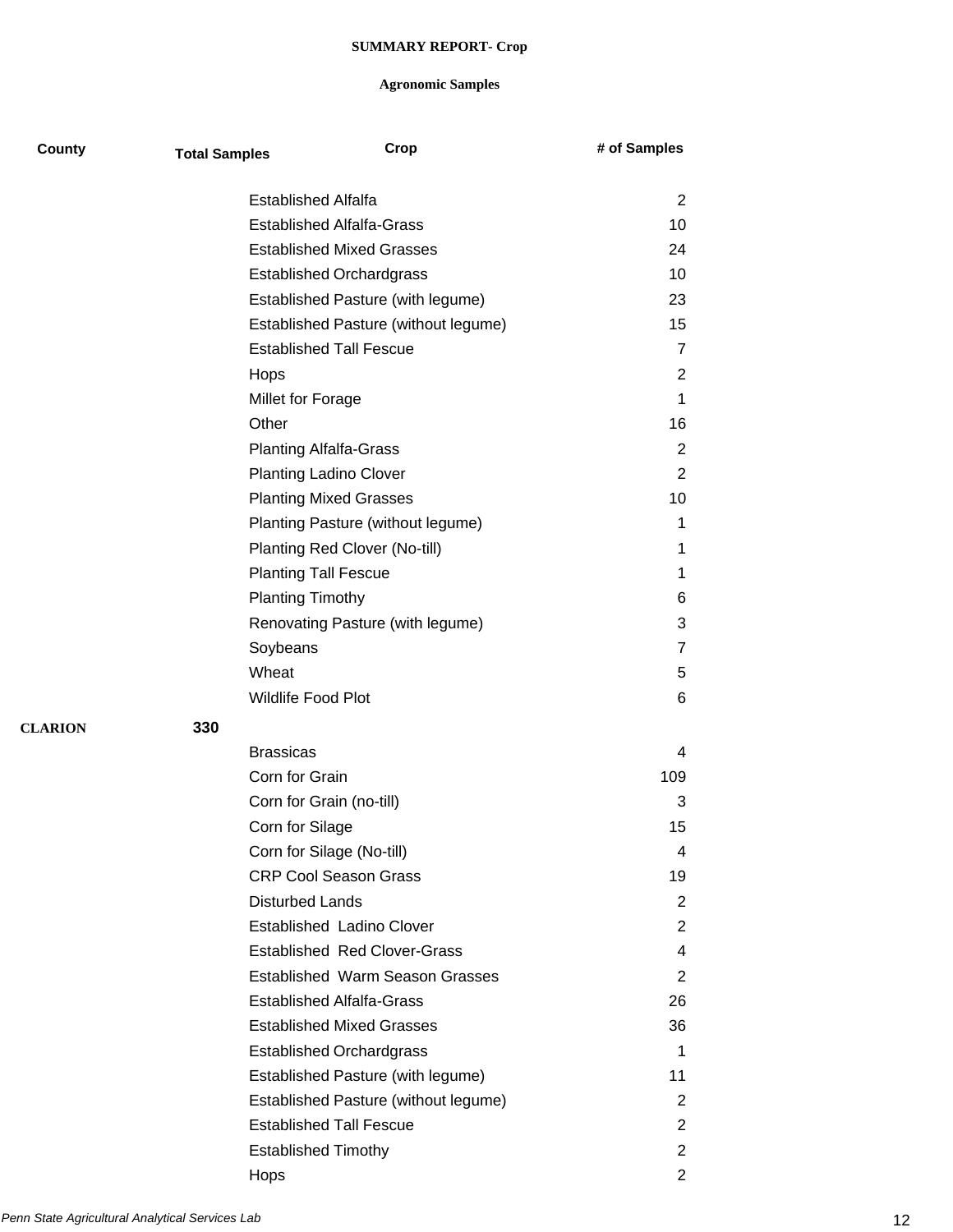| County         | <b>Total Samples</b> | Crop                                   | # of Samples   |
|----------------|----------------------|----------------------------------------|----------------|
|                |                      | <b>Established Alfalfa</b>             | $\overline{2}$ |
|                |                      | <b>Established Alfalfa-Grass</b>       | 10             |
|                |                      | <b>Established Mixed Grasses</b>       | 24             |
|                |                      | <b>Established Orchardgrass</b>        | 10             |
|                |                      | Established Pasture (with legume)      | 23             |
|                |                      | Established Pasture (without legume)   | 15             |
|                |                      | <b>Established Tall Fescue</b>         | $\overline{7}$ |
|                |                      | Hops                                   | 2              |
|                |                      | Millet for Forage                      | 1              |
|                |                      | Other                                  | 16             |
|                |                      | <b>Planting Alfalfa-Grass</b>          | 2              |
|                |                      | <b>Planting Ladino Clover</b>          | $\overline{2}$ |
|                |                      | <b>Planting Mixed Grasses</b>          | 10             |
|                |                      | Planting Pasture (without legume)      | 1              |
|                |                      | Planting Red Clover (No-till)          | 1              |
|                |                      | <b>Planting Tall Fescue</b>            | 1              |
|                |                      | <b>Planting Timothy</b>                | 6              |
|                |                      | Renovating Pasture (with legume)       | 3              |
|                |                      | Soybeans                               | $\overline{7}$ |
|                |                      | Wheat                                  | 5              |
|                |                      | Wildlife Food Plot                     | 6              |
| <b>CLARION</b> | 330                  |                                        |                |
|                |                      | <b>Brassicas</b>                       | 4              |
|                |                      | Corn for Grain                         | 109            |
|                |                      | Corn for Grain (no-till)               | 3              |
|                |                      | Corn for Silage                        | 15             |
|                |                      | Corn for Silage (No-till)              | 4              |
|                |                      | <b>CRP Cool Season Grass</b>           | 19             |
|                |                      | <b>Disturbed Lands</b>                 | $\overline{2}$ |
|                |                      | Established Ladino Clover              | $\overline{2}$ |
|                |                      | <b>Established Red Clover-Grass</b>    | 4              |
|                |                      | <b>Established Warm Season Grasses</b> | 2              |
|                |                      | <b>Established Alfalfa-Grass</b>       | 26             |
|                |                      | <b>Established Mixed Grasses</b>       | 36             |
|                |                      | <b>Established Orchardgrass</b>        | 1              |
|                |                      | Established Pasture (with legume)      | 11             |
|                |                      | Established Pasture (without legume)   | 2              |
|                |                      | <b>Established Tall Fescue</b>         | $\overline{2}$ |
|                |                      | <b>Established Timothy</b>             | $\overline{2}$ |
|                |                      | Hops                                   | $\overline{2}$ |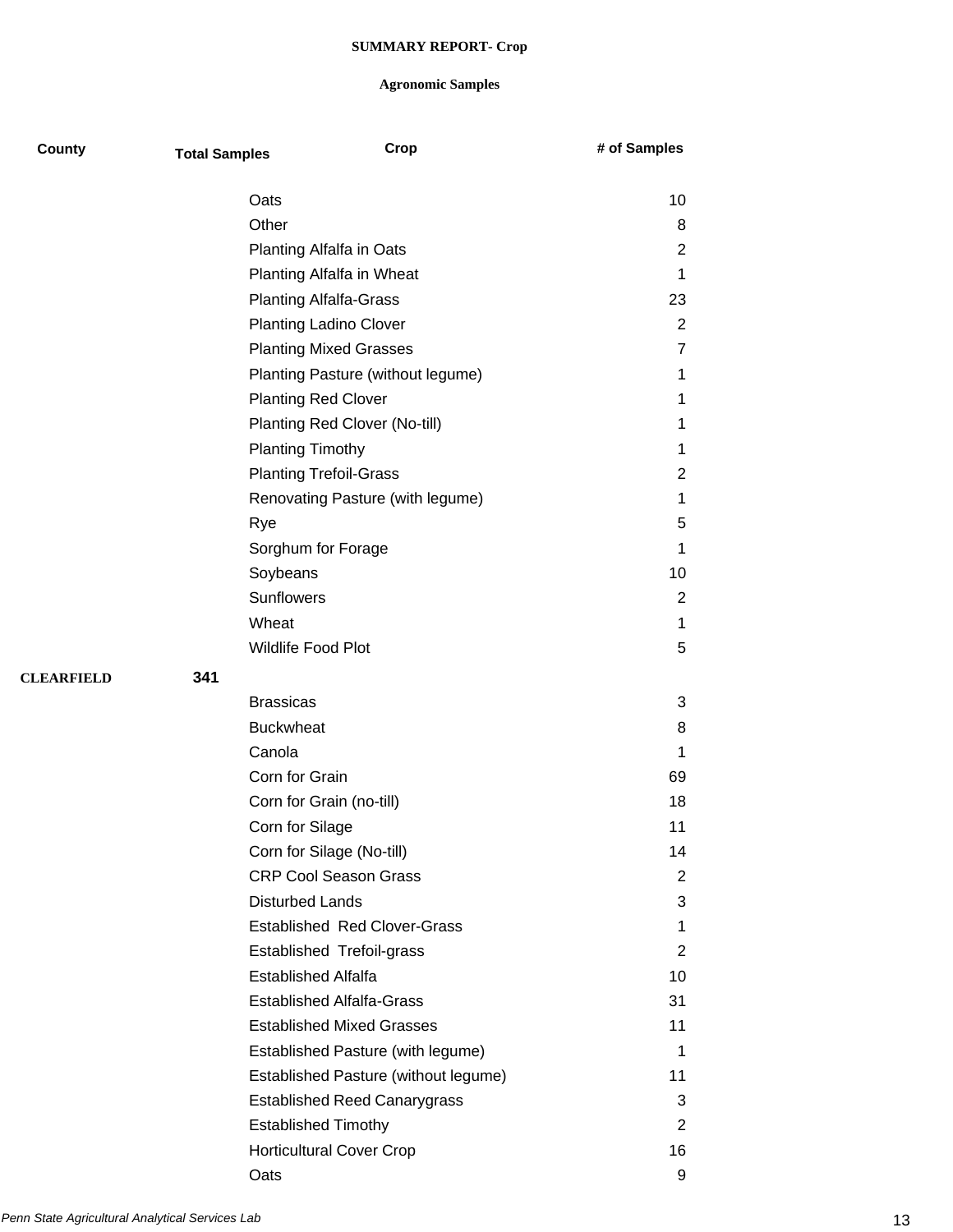| County            | <b>Total Samples</b>    | Crop                                 | # of Samples   |
|-------------------|-------------------------|--------------------------------------|----------------|
|                   | Oats                    |                                      | 10             |
|                   | Other                   |                                      | 8              |
|                   |                         | Planting Alfalfa in Oats             | $\overline{2}$ |
|                   |                         | Planting Alfalfa in Wheat            | $\mathbf 1$    |
|                   |                         | <b>Planting Alfalfa-Grass</b>        | 23             |
|                   |                         | <b>Planting Ladino Clover</b>        | $\overline{2}$ |
|                   |                         | <b>Planting Mixed Grasses</b>        | $\overline{7}$ |
|                   |                         | Planting Pasture (without legume)    | 1              |
|                   |                         | <b>Planting Red Clover</b>           | 1              |
|                   |                         | Planting Red Clover (No-till)        | 1              |
|                   | <b>Planting Timothy</b> |                                      | 1              |
|                   |                         | <b>Planting Trefoil-Grass</b>        | $\overline{2}$ |
|                   |                         | Renovating Pasture (with legume)     | 1              |
|                   | Rye                     |                                      | 5              |
|                   |                         | Sorghum for Forage                   | 1              |
|                   | Soybeans                |                                      | 10             |
|                   | <b>Sunflowers</b>       |                                      | 2              |
|                   | Wheat                   |                                      | 1              |
|                   |                         | Wildlife Food Plot                   | 5              |
| <b>CLEARFIELD</b> | 341                     |                                      |                |
|                   | <b>Brassicas</b>        |                                      | 3              |
|                   | <b>Buckwheat</b>        |                                      | 8              |
|                   | Canola                  |                                      | 1              |
|                   | Corn for Grain          |                                      | 69             |
|                   |                         | Corn for Grain (no-till)             | 18             |
|                   | Corn for Silage         |                                      | 11             |
|                   |                         | Corn for Silage (No-till)            | 14             |
|                   |                         | <b>CRP Cool Season Grass</b>         | 2              |
|                   | <b>Disturbed Lands</b>  |                                      | 3              |
|                   |                         | <b>Established Red Clover-Grass</b>  | 1              |
|                   |                         | Established Trefoil-grass            | 2              |
|                   |                         | <b>Established Alfalfa</b>           | 10             |
|                   |                         | <b>Established Alfalfa-Grass</b>     | 31             |
|                   |                         | <b>Established Mixed Grasses</b>     | 11             |
|                   |                         | Established Pasture (with legume)    | 1              |
|                   |                         | Established Pasture (without legume) | 11             |
|                   |                         | <b>Established Reed Canarygrass</b>  | 3              |
|                   |                         | <b>Established Timothy</b>           | $\overline{2}$ |
|                   |                         | <b>Horticultural Cover Crop</b>      | 16             |
|                   | Oats                    |                                      | 9              |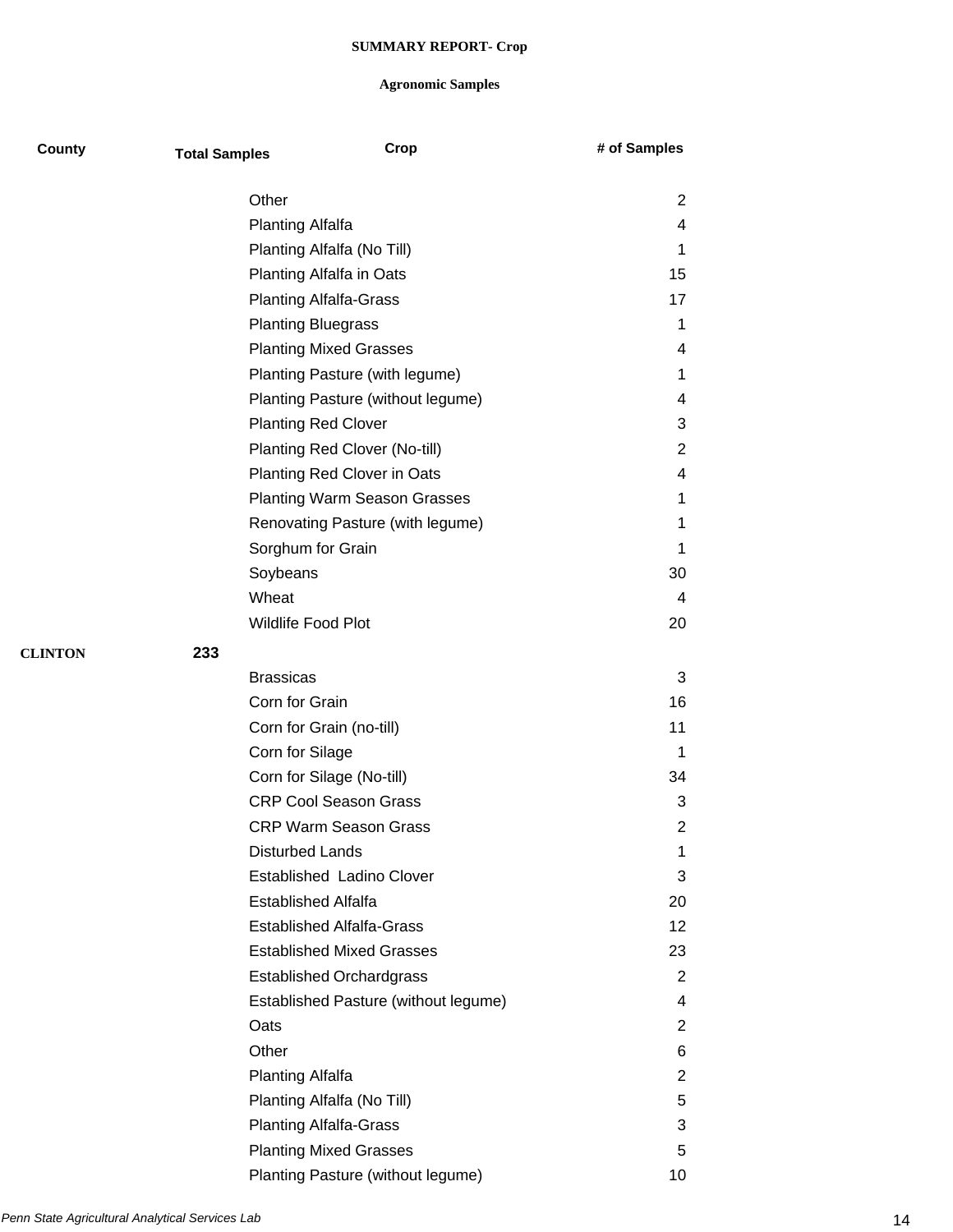| County         | <b>Total Samples</b> | Crop                                 | # of Samples          |
|----------------|----------------------|--------------------------------------|-----------------------|
|                | Other                |                                      | 2                     |
|                |                      | <b>Planting Alfalfa</b>              | 4                     |
|                |                      | Planting Alfalfa (No Till)           | 1                     |
|                |                      | Planting Alfalfa in Oats             | 15                    |
|                |                      | <b>Planting Alfalfa-Grass</b>        | 17                    |
|                |                      | <b>Planting Bluegrass</b>            | 1                     |
|                |                      | <b>Planting Mixed Grasses</b>        | 4                     |
|                |                      | Planting Pasture (with legume)       | 1                     |
|                |                      | Planting Pasture (without legume)    | 4                     |
|                |                      | <b>Planting Red Clover</b>           | 3                     |
|                |                      | Planting Red Clover (No-till)        | $\overline{2}$        |
|                |                      | Planting Red Clover in Oats          | 4                     |
|                |                      | <b>Planting Warm Season Grasses</b>  | 1                     |
|                |                      | Renovating Pasture (with legume)     | 1                     |
|                |                      | Sorghum for Grain                    | 1                     |
|                | Soybeans             |                                      | 30                    |
|                | Wheat                |                                      | 4                     |
|                |                      | Wildlife Food Plot                   | 20                    |
| <b>CLINTON</b> | 233                  |                                      |                       |
|                | <b>Brassicas</b>     |                                      | 3                     |
|                |                      | Corn for Grain                       | 16                    |
|                |                      | Corn for Grain (no-till)             | 11                    |
|                |                      | Corn for Silage                      | 1                     |
|                |                      | Corn for Silage (No-till)            | 34                    |
|                |                      | <b>CRP Cool Season Grass</b>         | 3                     |
|                |                      | <b>CRP Warm Season Grass</b>         | 2                     |
|                |                      | <b>Disturbed Lands</b>               | 1                     |
|                |                      | Established Ladino Clover            | 3                     |
|                |                      | <b>Established Alfalfa</b>           | 20                    |
|                |                      | <b>Established Alfalfa-Grass</b>     | 12                    |
|                |                      | <b>Established Mixed Grasses</b>     | 23                    |
|                |                      | <b>Established Orchardgrass</b>      | $\overline{2}$        |
|                |                      | Established Pasture (without legume) | 4                     |
|                | Oats                 |                                      | 2                     |
|                | Other                |                                      | 6                     |
|                |                      | <b>Planting Alfalfa</b>              | $\mathbf{2}^{\prime}$ |
|                |                      | Planting Alfalfa (No Till)           | 5                     |
|                |                      | <b>Planting Alfalfa-Grass</b>        | 3                     |
|                |                      | <b>Planting Mixed Grasses</b>        | 5                     |
|                |                      | Planting Pasture (without legume)    | 10                    |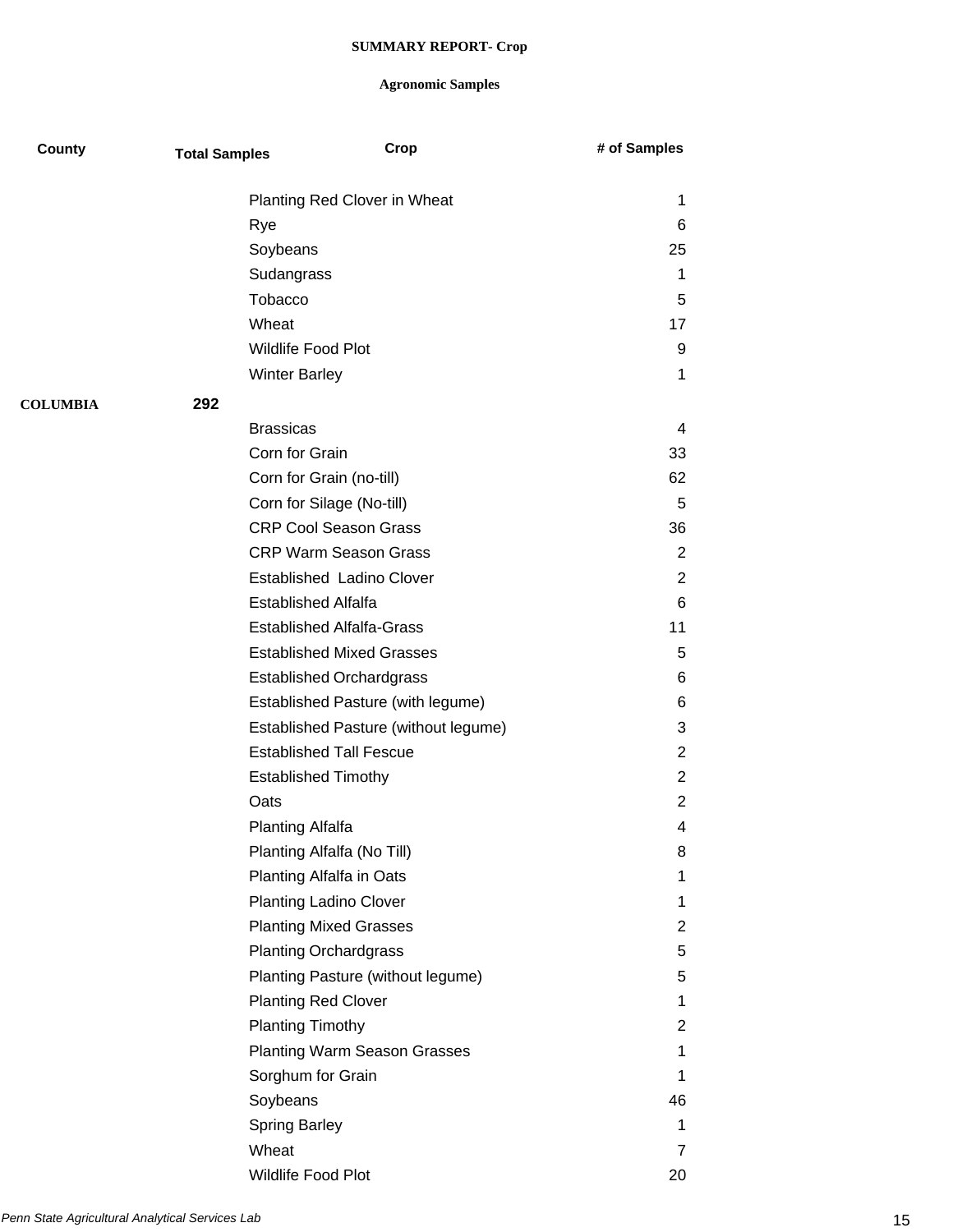| County          | <b>Total Samples</b>       | Crop                                 | # of Samples   |
|-----------------|----------------------------|--------------------------------------|----------------|
|                 |                            | Planting Red Clover in Wheat         | 1              |
|                 | Rye                        |                                      | 6              |
|                 | Soybeans                   |                                      | 25             |
|                 | Sudangrass                 |                                      | 1              |
|                 | Tobacco                    |                                      | 5              |
|                 | Wheat                      |                                      | 17             |
|                 | Wildlife Food Plot         |                                      | 9              |
|                 | <b>Winter Barley</b>       |                                      | 1              |
| <b>COLUMBIA</b> | 292                        |                                      |                |
|                 | <b>Brassicas</b>           |                                      | 4              |
|                 | Corn for Grain             |                                      | 33             |
|                 |                            | Corn for Grain (no-till)             | 62             |
|                 |                            | Corn for Silage (No-till)            | 5              |
|                 |                            | <b>CRP Cool Season Grass</b>         | 36             |
|                 |                            | <b>CRP Warm Season Grass</b>         | $\overline{2}$ |
|                 |                            | Established Ladino Clover            | 2              |
|                 | <b>Established Alfalfa</b> |                                      | 6              |
|                 |                            | <b>Established Alfalfa-Grass</b>     | 11             |
|                 |                            | <b>Established Mixed Grasses</b>     | 5              |
|                 |                            | <b>Established Orchardgrass</b>      | 6              |
|                 |                            | Established Pasture (with legume)    | 6              |
|                 |                            | Established Pasture (without legume) | 3              |
|                 |                            | <b>Established Tall Fescue</b>       | $\overline{2}$ |
|                 | <b>Established Timothy</b> |                                      | $\overline{2}$ |
|                 | Oats                       |                                      | $\overline{2}$ |
|                 | <b>Planting Alfalfa</b>    |                                      | 4              |
|                 |                            | Planting Alfalfa (No Till)           | 8              |
|                 |                            | Planting Alfalfa in Oats             | 1              |
|                 |                            | <b>Planting Ladino Clover</b>        | 1              |
|                 |                            | <b>Planting Mixed Grasses</b>        | $\overline{2}$ |
|                 |                            | <b>Planting Orchardgrass</b>         | 5              |
|                 |                            | Planting Pasture (without legume)    | 5              |
|                 | <b>Planting Red Clover</b> |                                      | 1              |
|                 | <b>Planting Timothy</b>    |                                      | $\overline{2}$ |
|                 |                            | <b>Planting Warm Season Grasses</b>  | 1              |
|                 | Sorghum for Grain          |                                      | 1              |
|                 | Soybeans                   |                                      | 46             |
|                 | <b>Spring Barley</b>       |                                      | 1              |
|                 | Wheat                      |                                      | 7              |
|                 | Wildlife Food Plot         |                                      | 20             |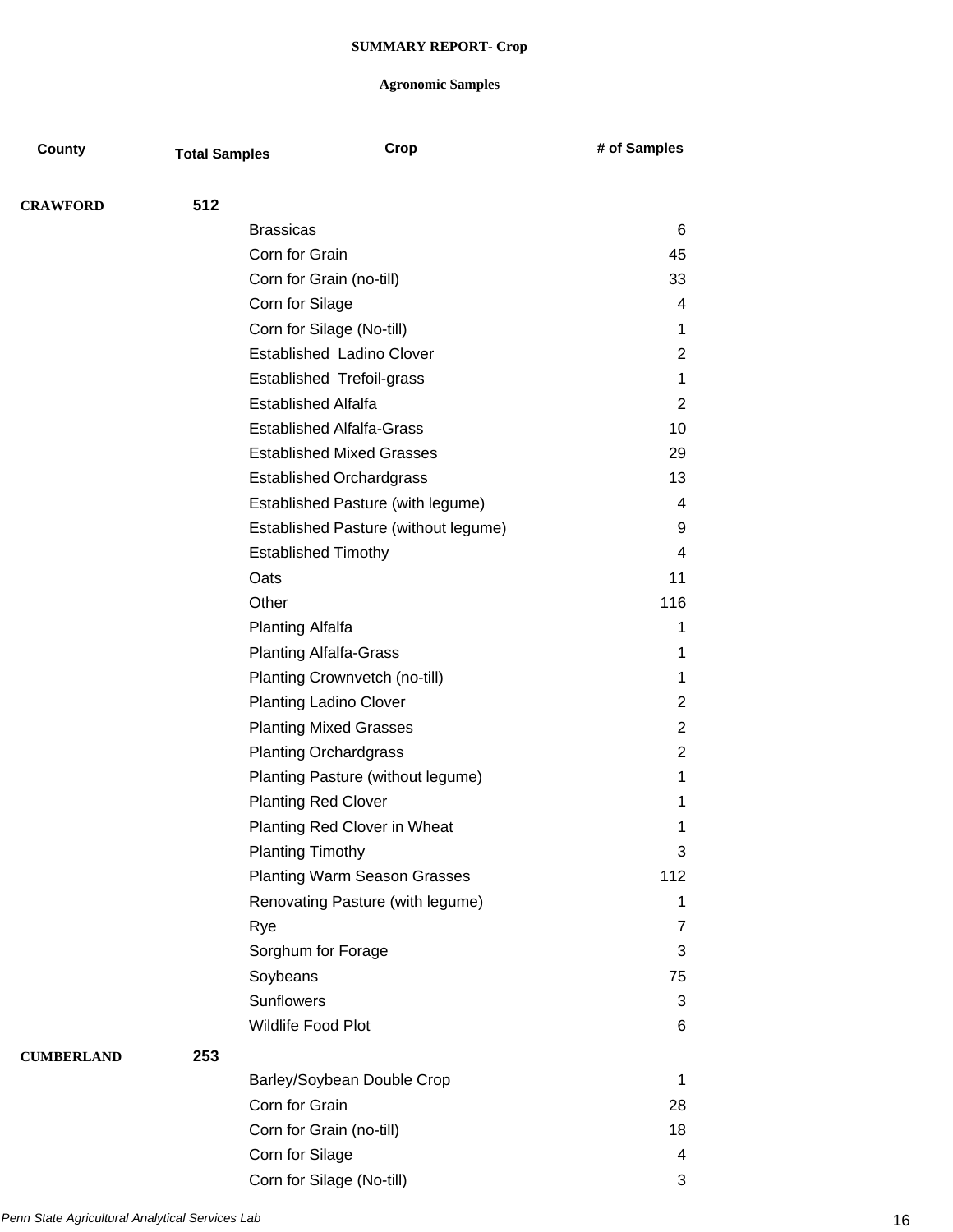| County            | <b>Total Samples</b> | Crop                                 | # of Samples   |
|-------------------|----------------------|--------------------------------------|----------------|
| <b>CRAWFORD</b>   | 512                  |                                      |                |
|                   |                      | <b>Brassicas</b>                     | 6              |
|                   |                      | Corn for Grain                       | 45             |
|                   |                      | Corn for Grain (no-till)             | 33             |
|                   |                      | Corn for Silage                      | 4              |
|                   |                      | Corn for Silage (No-till)            | 1              |
|                   |                      | Established Ladino Clover            | 2              |
|                   |                      | Established Trefoil-grass            | 1              |
|                   |                      | <b>Established Alfalfa</b>           | $\overline{2}$ |
|                   |                      | <b>Established Alfalfa-Grass</b>     | 10             |
|                   |                      | <b>Established Mixed Grasses</b>     | 29             |
|                   |                      | <b>Established Orchardgrass</b>      | 13             |
|                   |                      | Established Pasture (with legume)    | 4              |
|                   |                      | Established Pasture (without legume) | 9              |
|                   |                      | <b>Established Timothy</b>           | 4              |
|                   |                      | Oats                                 | 11             |
|                   |                      | Other                                | 116            |
|                   |                      | <b>Planting Alfalfa</b>              | 1              |
|                   |                      | <b>Planting Alfalfa-Grass</b>        | 1              |
|                   |                      | Planting Crownvetch (no-till)        | 1              |
|                   |                      | <b>Planting Ladino Clover</b>        | $\overline{2}$ |
|                   |                      | <b>Planting Mixed Grasses</b>        | $\overline{2}$ |
|                   |                      | <b>Planting Orchardgrass</b>         | $\overline{2}$ |
|                   |                      | Planting Pasture (without legume)    | 1              |
|                   |                      | <b>Planting Red Clover</b>           | 1              |
|                   |                      | Planting Red Clover in Wheat         | 1              |
|                   |                      | <b>Planting Timothy</b>              | 3              |
|                   |                      | <b>Planting Warm Season Grasses</b>  | 112            |
|                   |                      | Renovating Pasture (with legume)     | 1              |
|                   |                      | Rye                                  | $\overline{7}$ |
|                   |                      | Sorghum for Forage                   | 3              |
|                   |                      | Soybeans                             | 75             |
|                   |                      | Sunflowers                           | 3              |
|                   |                      | Wildlife Food Plot                   | 6              |
| <b>CUMBERLAND</b> | 253                  |                                      |                |
|                   |                      | Barley/Soybean Double Crop           | 1              |
|                   |                      | Corn for Grain                       | 28             |
|                   |                      | Corn for Grain (no-till)             | 18             |
|                   |                      | Corn for Silage                      | $\overline{4}$ |
|                   |                      | Corn for Silage (No-till)            | 3              |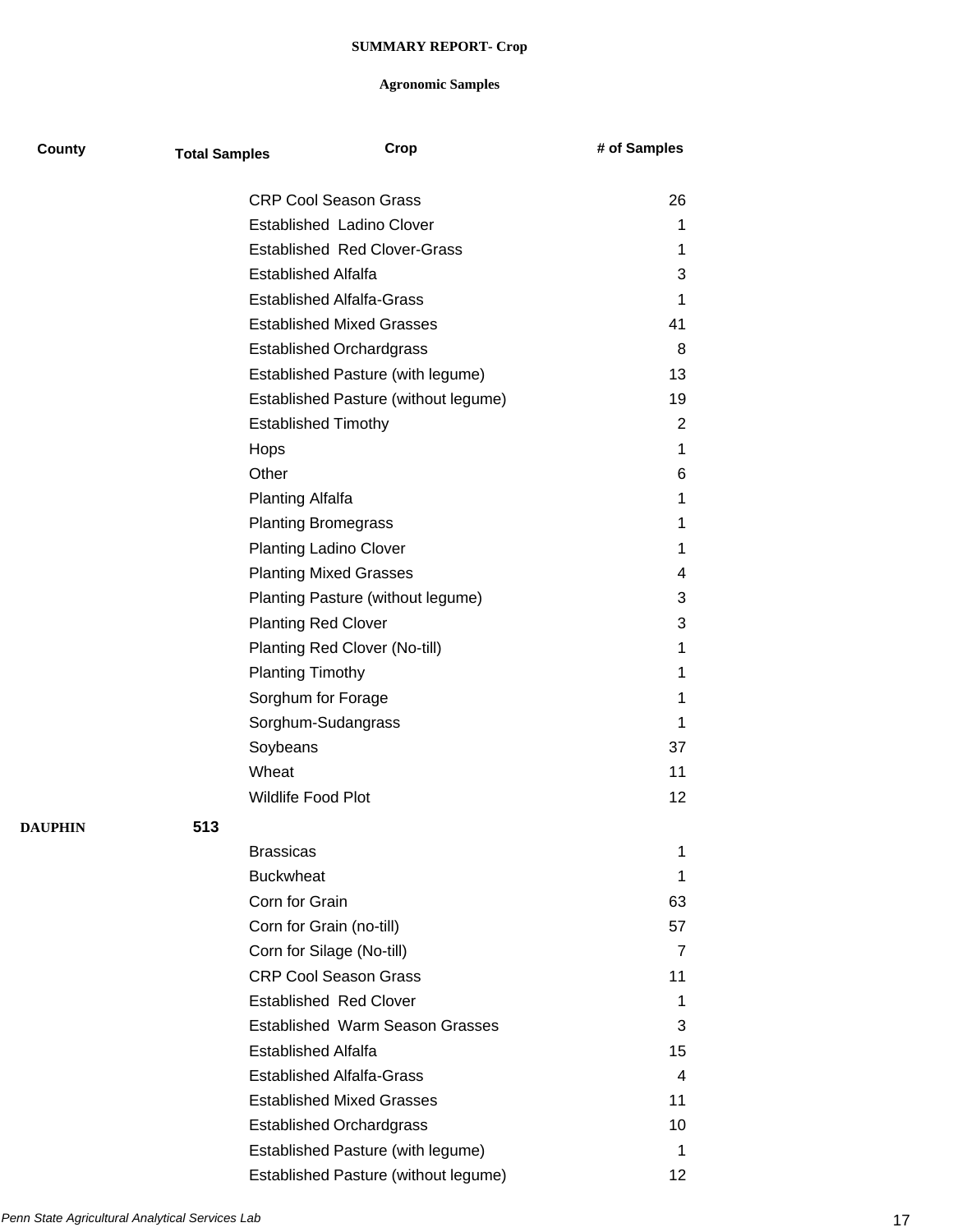| County         | <b>Total Samples</b> | Crop                                   | # of Samples |
|----------------|----------------------|----------------------------------------|--------------|
|                |                      | <b>CRP Cool Season Grass</b>           | 26           |
|                |                      | Established Ladino Clover              | 1            |
|                |                      | <b>Established Red Clover-Grass</b>    | 1            |
|                |                      | <b>Established Alfalfa</b>             | 3            |
|                |                      | <b>Established Alfalfa-Grass</b>       | 1            |
|                |                      | <b>Established Mixed Grasses</b>       | 41           |
|                |                      | <b>Established Orchardgrass</b>        | 8            |
|                |                      | Established Pasture (with legume)      | 13           |
|                |                      | Established Pasture (without legume)   | 19           |
|                |                      | <b>Established Timothy</b>             | 2            |
|                |                      | Hops                                   | 1            |
|                |                      | Other                                  | 6            |
|                |                      | <b>Planting Alfalfa</b>                | 1            |
|                |                      | <b>Planting Bromegrass</b>             | 1            |
|                |                      | <b>Planting Ladino Clover</b>          | 1            |
|                |                      | <b>Planting Mixed Grasses</b>          | 4            |
|                |                      | Planting Pasture (without legume)      | 3            |
|                |                      | <b>Planting Red Clover</b>             | 3            |
|                |                      | Planting Red Clover (No-till)          | 1            |
|                |                      | <b>Planting Timothy</b>                | 1            |
|                |                      | Sorghum for Forage                     | 1            |
|                |                      |                                        | 1            |
|                |                      | Sorghum-Sudangrass<br>Soybeans         |              |
|                |                      | Wheat                                  | 37           |
|                |                      | <b>Wildlife Food Plot</b>              | 11           |
|                |                      |                                        | 12           |
| <b>DAUPHIN</b> | 513                  |                                        |              |
|                |                      | <b>Brassicas</b>                       | 1            |
|                |                      | <b>Buckwheat</b>                       | 1            |
|                |                      | Corn for Grain                         | 63           |
|                |                      | Corn for Grain (no-till)               | 57           |
|                |                      | Corn for Silage (No-till)              | 7            |
|                |                      | <b>CRP Cool Season Grass</b>           | 11           |
|                |                      | <b>Established Red Clover</b>          | 1            |
|                |                      | <b>Established Warm Season Grasses</b> | 3            |
|                |                      | <b>Established Alfalfa</b>             | 15           |
|                |                      | <b>Established Alfalfa-Grass</b>       | 4            |
|                |                      | <b>Established Mixed Grasses</b>       | 11           |
|                |                      | <b>Established Orchardgrass</b>        | 10           |
|                |                      | Established Pasture (with legume)      | 1            |
|                |                      | Established Pasture (without legume)   | 12           |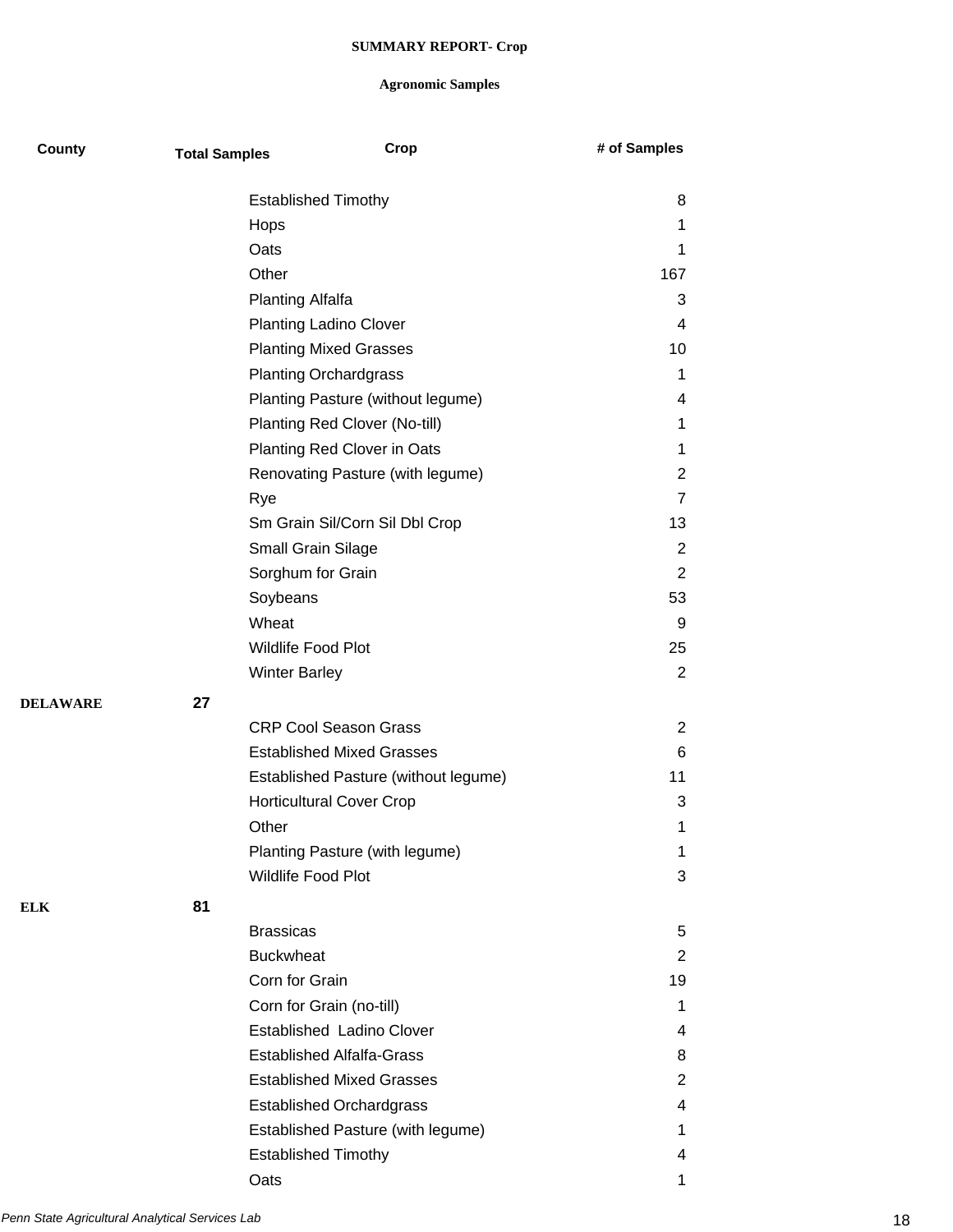| County          | <b>Total Samples</b> | Crop                                 | # of Samples   |
|-----------------|----------------------|--------------------------------------|----------------|
|                 |                      | <b>Established Timothy</b>           | 8              |
|                 |                      | Hops                                 | 1              |
|                 |                      | Oats                                 | 1              |
|                 |                      | Other                                | 167            |
|                 |                      | <b>Planting Alfalfa</b>              | 3              |
|                 |                      | <b>Planting Ladino Clover</b>        | 4              |
|                 |                      | <b>Planting Mixed Grasses</b>        | 10             |
|                 |                      | <b>Planting Orchardgrass</b>         | 1              |
|                 |                      | Planting Pasture (without legume)    | 4              |
|                 |                      | Planting Red Clover (No-till)        | 1              |
|                 |                      | Planting Red Clover in Oats          | 1              |
|                 |                      | Renovating Pasture (with legume)     | $\overline{2}$ |
|                 |                      | Rye                                  | $\overline{7}$ |
|                 |                      | Sm Grain Sil/Corn Sil Dbl Crop       | 13             |
|                 |                      | <b>Small Grain Silage</b>            | 2              |
|                 |                      | Sorghum for Grain                    | $\overline{2}$ |
|                 |                      | Soybeans                             | 53             |
|                 |                      | Wheat                                | 9              |
|                 |                      | Wildlife Food Plot                   | 25             |
|                 |                      | <b>Winter Barley</b>                 | 2              |
| <b>DELAWARE</b> | 27                   |                                      |                |
|                 |                      | <b>CRP Cool Season Grass</b>         | 2              |
|                 |                      | <b>Established Mixed Grasses</b>     | 6              |
|                 |                      | Established Pasture (without legume) | 11             |
|                 |                      | <b>Horticultural Cover Crop</b>      | 3              |
|                 |                      | Other                                | 1              |
|                 |                      | Planting Pasture (with legume)       | 1              |
|                 |                      | <b>Wildlife Food Plot</b>            | 3              |
| <b>ELK</b>      | 81                   |                                      |                |
|                 |                      | <b>Brassicas</b>                     | 5              |
|                 |                      | <b>Buckwheat</b>                     | $\overline{2}$ |
|                 |                      | Corn for Grain                       | 19             |
|                 |                      | Corn for Grain (no-till)             | $\mathbf 1$    |
|                 |                      | Established Ladino Clover            | 4              |
|                 |                      | <b>Established Alfalfa-Grass</b>     | 8              |
|                 |                      | <b>Established Mixed Grasses</b>     | 2              |
|                 |                      | <b>Established Orchardgrass</b>      | 4              |
|                 |                      | Established Pasture (with legume)    | 1              |
|                 |                      | <b>Established Timothy</b>           | 4              |
|                 |                      | Oats                                 | 1              |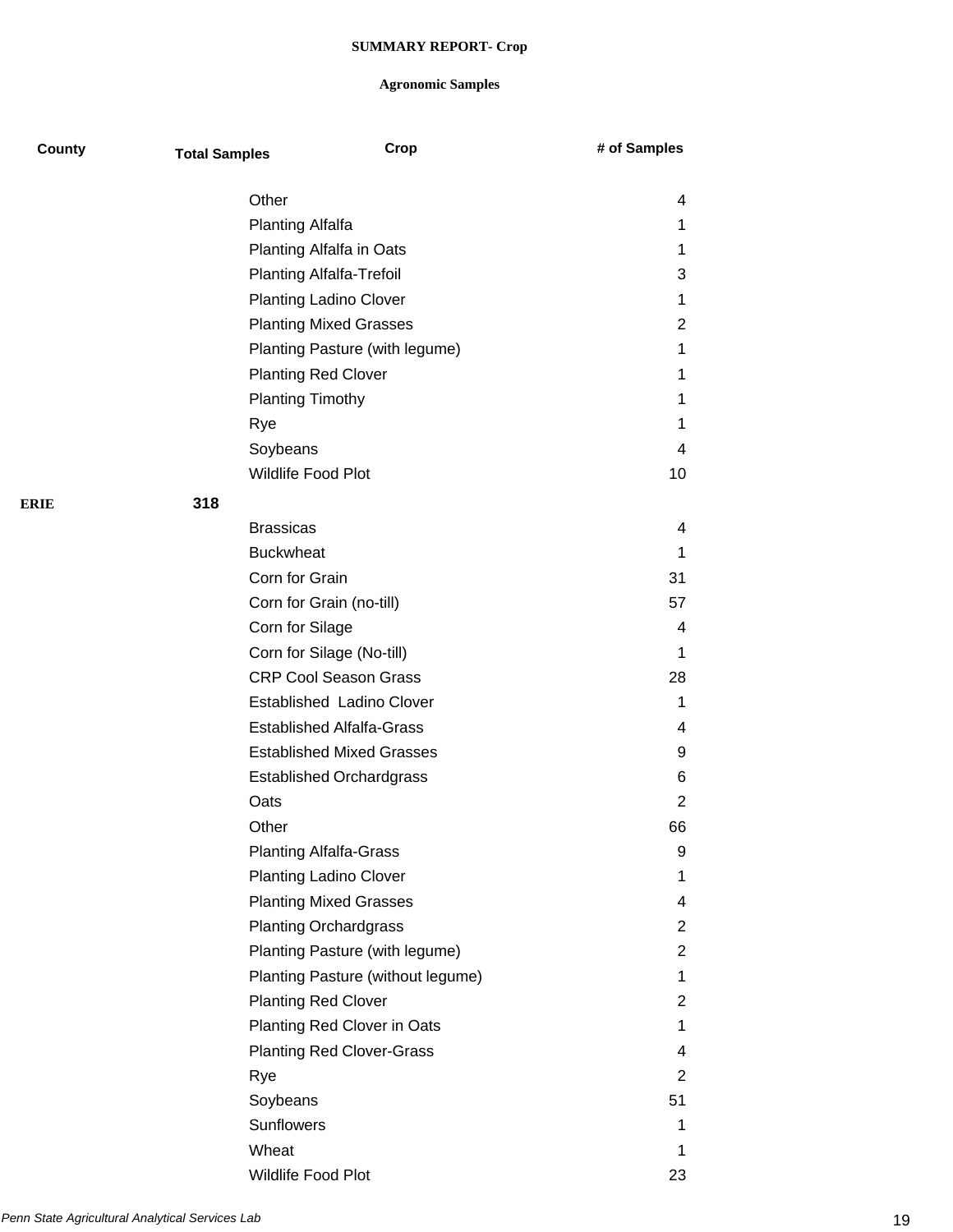| County | <b>Total Samples</b>       | Crop                              | # of Samples   |
|--------|----------------------------|-----------------------------------|----------------|
|        | Other                      |                                   | 4              |
|        | <b>Planting Alfalfa</b>    |                                   | 1              |
|        |                            | Planting Alfalfa in Oats          | 1              |
|        |                            | <b>Planting Alfalfa-Trefoil</b>   | 3              |
|        |                            | <b>Planting Ladino Clover</b>     | 1              |
|        |                            | <b>Planting Mixed Grasses</b>     | $\overline{2}$ |
|        |                            | Planting Pasture (with legume)    | 1              |
|        | <b>Planting Red Clover</b> |                                   | 1              |
|        | <b>Planting Timothy</b>    |                                   | 1              |
|        | Rye                        |                                   | 1              |
|        | Soybeans                   |                                   | 4              |
|        | Wildlife Food Plot         |                                   | 10             |
| ERIE   | 318                        |                                   |                |
|        | <b>Brassicas</b>           |                                   | 4              |
|        | <b>Buckwheat</b>           |                                   | 1              |
|        | Corn for Grain             |                                   | 31             |
|        | Corn for Grain (no-till)   |                                   | 57             |
|        | Corn for Silage            |                                   | 4              |
|        |                            | Corn for Silage (No-till)         | 1              |
|        |                            | <b>CRP Cool Season Grass</b>      | 28             |
|        |                            | Established Ladino Clover         | 1              |
|        |                            | <b>Established Alfalfa-Grass</b>  | 4              |
|        |                            | <b>Established Mixed Grasses</b>  | 9              |
|        |                            | <b>Established Orchardgrass</b>   | 6              |
|        | Oats                       |                                   | 2              |
|        | Other                      |                                   | 66             |
|        |                            | <b>Planting Alfalfa-Grass</b>     | 9              |
|        |                            | <b>Planting Ladino Clover</b>     | 1              |
|        |                            | <b>Planting Mixed Grasses</b>     | 4              |
|        |                            | <b>Planting Orchardgrass</b>      | $\overline{2}$ |
|        |                            | Planting Pasture (with legume)    | $\overline{2}$ |
|        |                            | Planting Pasture (without legume) | 1              |
|        | <b>Planting Red Clover</b> |                                   | $\overline{2}$ |
|        |                            | Planting Red Clover in Oats       | 1              |
|        |                            | <b>Planting Red Clover-Grass</b>  | 4              |
|        | Rye                        |                                   | 2              |
|        | Soybeans                   |                                   | 51             |
|        | <b>Sunflowers</b>          |                                   | 1              |
|        | Wheat                      |                                   | 1              |
|        | Wildlife Food Plot         |                                   | 23             |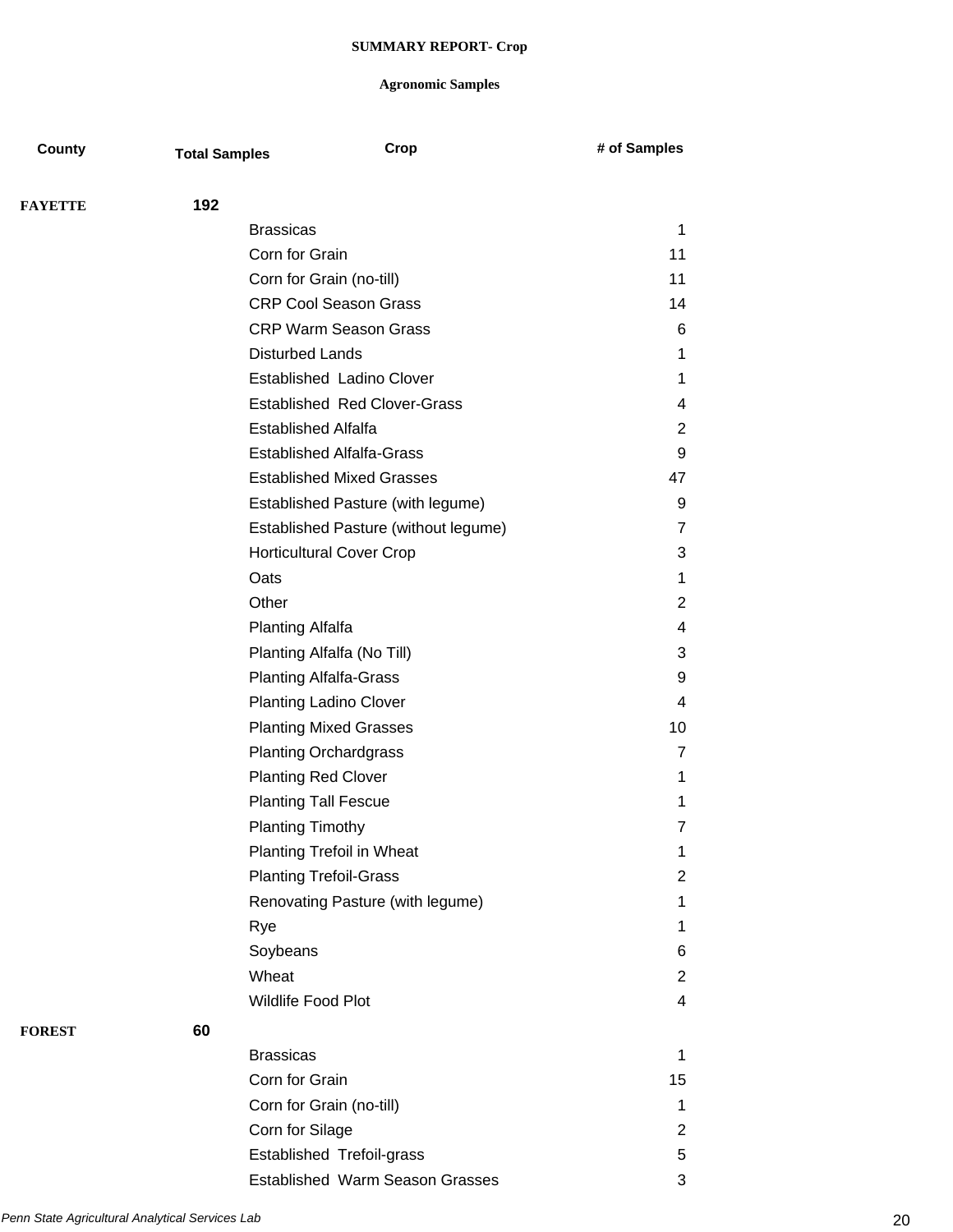| County         | <b>Total Samples</b> | Crop                                                     | # of Samples   |
|----------------|----------------------|----------------------------------------------------------|----------------|
| <b>FAYETTE</b> | 192                  |                                                          |                |
|                |                      | <b>Brassicas</b>                                         | 1              |
|                |                      | Corn for Grain                                           | 11             |
|                |                      | 11                                                       |                |
|                |                      | Corn for Grain (no-till)<br><b>CRP Cool Season Grass</b> | 14             |
|                |                      | <b>CRP Warm Season Grass</b>                             | 6              |
|                |                      | <b>Disturbed Lands</b>                                   | 1              |
|                |                      | Established Ladino Clover                                | 1              |
|                |                      | <b>Established Red Clover-Grass</b>                      | 4              |
|                |                      | <b>Established Alfalfa</b>                               | $\overline{2}$ |
|                |                      | <b>Established Alfalfa-Grass</b>                         | 9              |
|                |                      | <b>Established Mixed Grasses</b>                         | 47             |
|                |                      | Established Pasture (with legume)                        | 9              |
|                |                      | Established Pasture (without legume)                     | $\overline{7}$ |
|                |                      | <b>Horticultural Cover Crop</b>                          | 3              |
|                |                      | Oats                                                     | 1              |
|                |                      | Other                                                    | $\overline{2}$ |
|                |                      | <b>Planting Alfalfa</b>                                  | 4              |
|                |                      | Planting Alfalfa (No Till)                               | 3              |
|                |                      | <b>Planting Alfalfa-Grass</b>                            | 9              |
|                |                      | <b>Planting Ladino Clover</b>                            | 4              |
|                |                      | <b>Planting Mixed Grasses</b>                            | 10             |
|                |                      | <b>Planting Orchardgrass</b>                             | $\overline{7}$ |
|                |                      | <b>Planting Red Clover</b>                               | 1              |
|                |                      | <b>Planting Tall Fescue</b>                              | 1              |
|                |                      | <b>Planting Timothy</b>                                  | $\overline{7}$ |
|                |                      | <b>Planting Trefoil in Wheat</b>                         | 1              |
|                |                      | <b>Planting Trefoil-Grass</b>                            | $\overline{2}$ |
|                |                      | Renovating Pasture (with legume)                         | 1              |
|                |                      | Rye                                                      | 1              |
|                |                      | Soybeans                                                 | 6              |
|                |                      | Wheat                                                    | $\overline{2}$ |
|                |                      | Wildlife Food Plot                                       | 4              |
| <b>FOREST</b>  | 60                   |                                                          |                |
|                |                      | <b>Brassicas</b>                                         | 1              |
|                |                      | Corn for Grain                                           | 15             |
|                |                      | Corn for Grain (no-till)                                 | 1              |
|                |                      | Corn for Silage                                          | $\overline{2}$ |
|                |                      | Established Trefoil-grass                                | 5              |
|                |                      | <b>Established Warm Season Grasses</b>                   | 3              |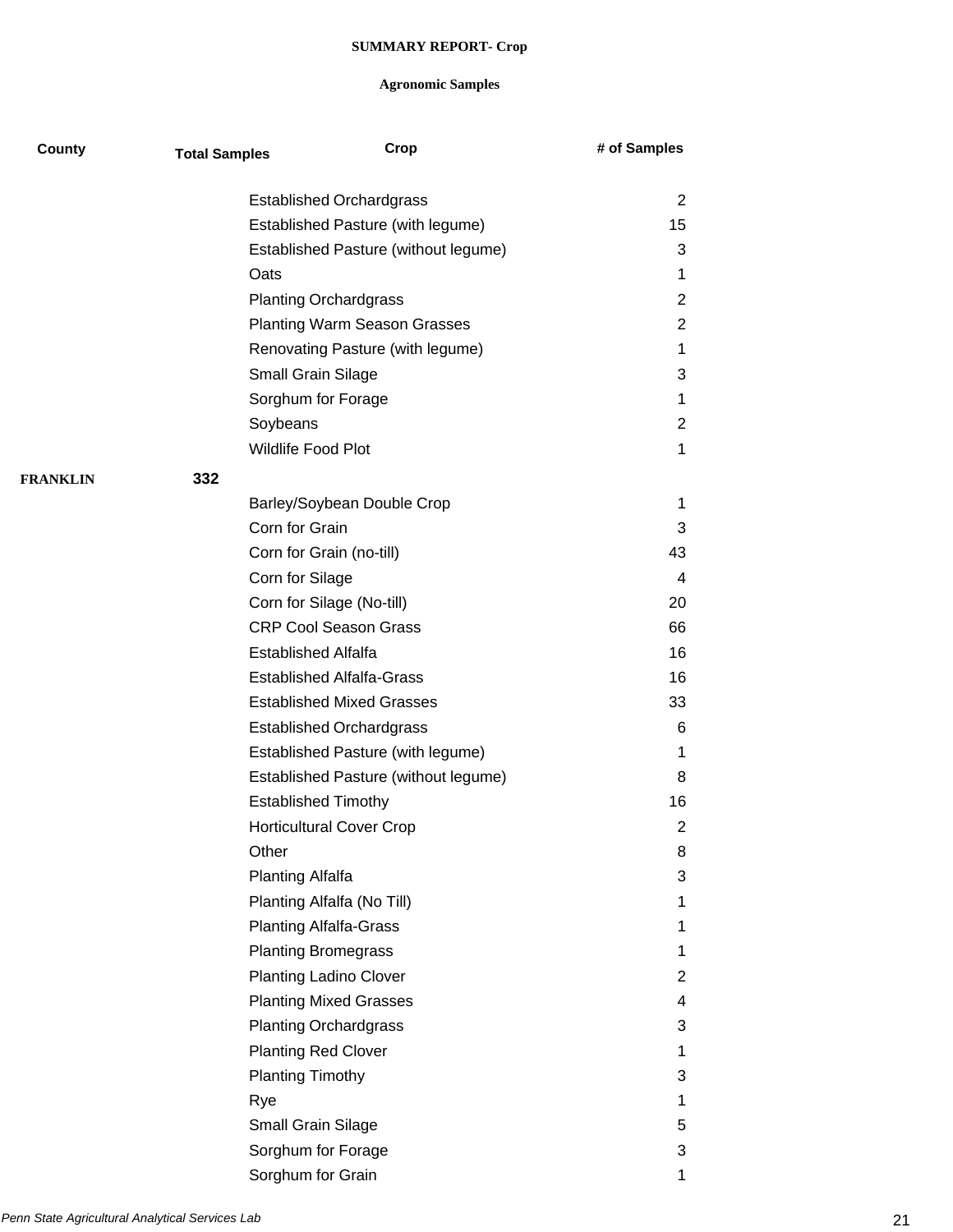| County          | <b>Total Samples</b> | Crop                                 | # of Samples   |
|-----------------|----------------------|--------------------------------------|----------------|
|                 |                      | <b>Established Orchardgrass</b>      | 2              |
|                 |                      | Established Pasture (with legume)    | 15             |
|                 |                      | Established Pasture (without legume) | 3              |
|                 | Oats                 |                                      | 1              |
|                 |                      | <b>Planting Orchardgrass</b>         | 2              |
|                 |                      | <b>Planting Warm Season Grasses</b>  | 2              |
|                 |                      | Renovating Pasture (with legume)     | 1              |
|                 |                      | Small Grain Silage                   | 3              |
|                 |                      | Sorghum for Forage                   | 1              |
|                 |                      | Soybeans                             | $\overline{2}$ |
|                 |                      | Wildlife Food Plot                   | 1              |
| <b>FRANKLIN</b> | 332                  |                                      |                |
|                 |                      | Barley/Soybean Double Crop           | 1              |
|                 |                      | Corn for Grain                       | 3              |
|                 |                      | Corn for Grain (no-till)             | 43             |
|                 |                      | Corn for Silage                      | 4              |
|                 |                      | Corn for Silage (No-till)            | 20             |
|                 |                      | <b>CRP Cool Season Grass</b>         | 66             |
|                 |                      | <b>Established Alfalfa</b>           | 16             |
|                 |                      | <b>Established Alfalfa-Grass</b>     | 16             |
|                 |                      | <b>Established Mixed Grasses</b>     | 33             |
|                 |                      | <b>Established Orchardgrass</b>      | 6              |
|                 |                      | Established Pasture (with legume)    | 1              |
|                 |                      | Established Pasture (without legume) | 8              |
|                 |                      | <b>Established Timothy</b>           | 16             |
|                 |                      | <b>Horticultural Cover Crop</b>      | 2              |
|                 | Other                |                                      | 8              |
|                 |                      | Planting Alfalfa                     | 3              |
|                 |                      | Planting Alfalfa (No Till)           | 1              |
|                 |                      | <b>Planting Alfalfa-Grass</b>        | 1              |
|                 |                      | <b>Planting Bromegrass</b>           | 1              |
|                 |                      | <b>Planting Ladino Clover</b>        | 2              |
|                 |                      | <b>Planting Mixed Grasses</b>        | 4              |
|                 |                      | <b>Planting Orchardgrass</b>         | 3              |
|                 |                      | <b>Planting Red Clover</b>           | 1              |
|                 |                      | <b>Planting Timothy</b>              | 3              |
|                 | Rye                  |                                      | 1              |
|                 |                      | Small Grain Silage                   | 5              |
|                 |                      | Sorghum for Forage                   | 3              |
|                 |                      | Sorghum for Grain                    | 1              |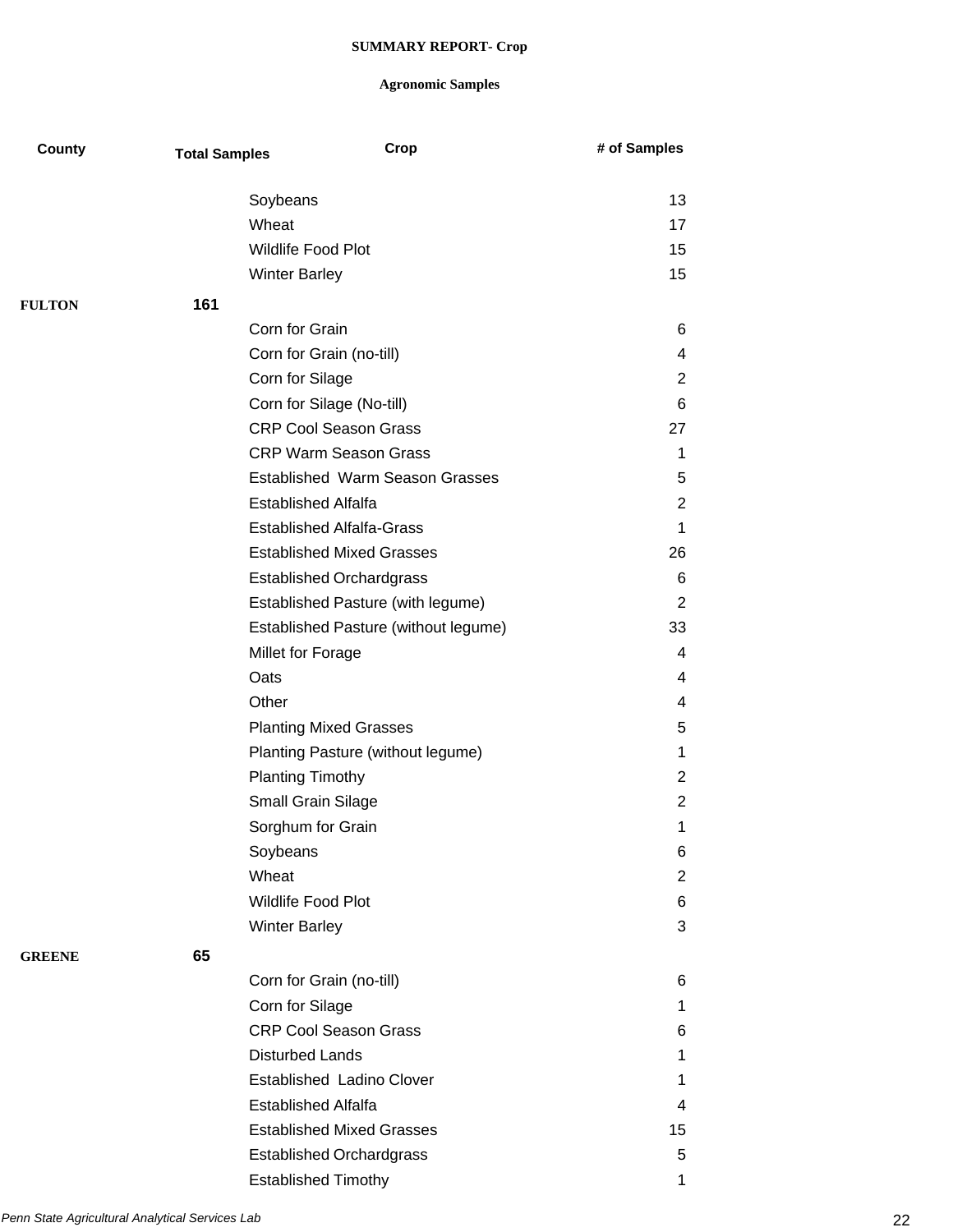| County        | <b>Total Samples</b> | Crop                                 | # of Samples   |
|---------------|----------------------|--------------------------------------|----------------|
|               |                      | Soybeans                             | 13             |
|               |                      | Wheat                                | 17             |
|               |                      | <b>Wildlife Food Plot</b>            | 15             |
|               |                      | <b>Winter Barley</b>                 | 15             |
| <b>FULTON</b> | 161                  |                                      |                |
|               |                      | Corn for Grain                       | 6              |
|               |                      | Corn for Grain (no-till)             | 4              |
|               |                      | Corn for Silage                      | 2              |
|               |                      | Corn for Silage (No-till)            | 6              |
|               |                      | <b>CRP Cool Season Grass</b>         | 27             |
|               |                      | <b>CRP Warm Season Grass</b>         | 1              |
|               |                      | Established Warm Season Grasses      | 5              |
|               |                      | <b>Established Alfalfa</b>           | $\overline{2}$ |
|               |                      | <b>Established Alfalfa-Grass</b>     | 1              |
|               |                      | <b>Established Mixed Grasses</b>     | 26             |
|               |                      | <b>Established Orchardgrass</b>      | 6              |
|               |                      | Established Pasture (with legume)    | 2              |
|               |                      | Established Pasture (without legume) | 33             |
|               |                      | Millet for Forage                    | 4              |
|               |                      | Oats                                 | 4              |
|               |                      | Other                                | 4              |
|               |                      | <b>Planting Mixed Grasses</b>        | 5              |
|               |                      | Planting Pasture (without legume)    | 1              |
|               |                      | <b>Planting Timothy</b>              | $\overline{2}$ |
|               |                      | Small Grain Silage                   | $\overline{2}$ |
|               |                      | Sorghum for Grain                    | 1              |
|               |                      | Soybeans                             | 6              |
|               |                      | Wheat                                | 2              |
|               |                      | Wildlife Food Plot                   | 6              |
|               |                      | <b>Winter Barley</b>                 | 3              |
| <b>GREENE</b> | 65                   |                                      |                |
|               |                      | Corn for Grain (no-till)             | 6              |
|               |                      | Corn for Silage                      | 1              |
|               |                      | <b>CRP Cool Season Grass</b>         | 6              |
|               |                      | <b>Disturbed Lands</b>               | 1              |
|               |                      | Established Ladino Clover            | 1              |
|               |                      | <b>Established Alfalfa</b>           | 4              |
|               |                      | <b>Established Mixed Grasses</b>     | 15             |
|               |                      | <b>Established Orchardgrass</b>      | 5              |
|               |                      | <b>Established Timothy</b>           | 1              |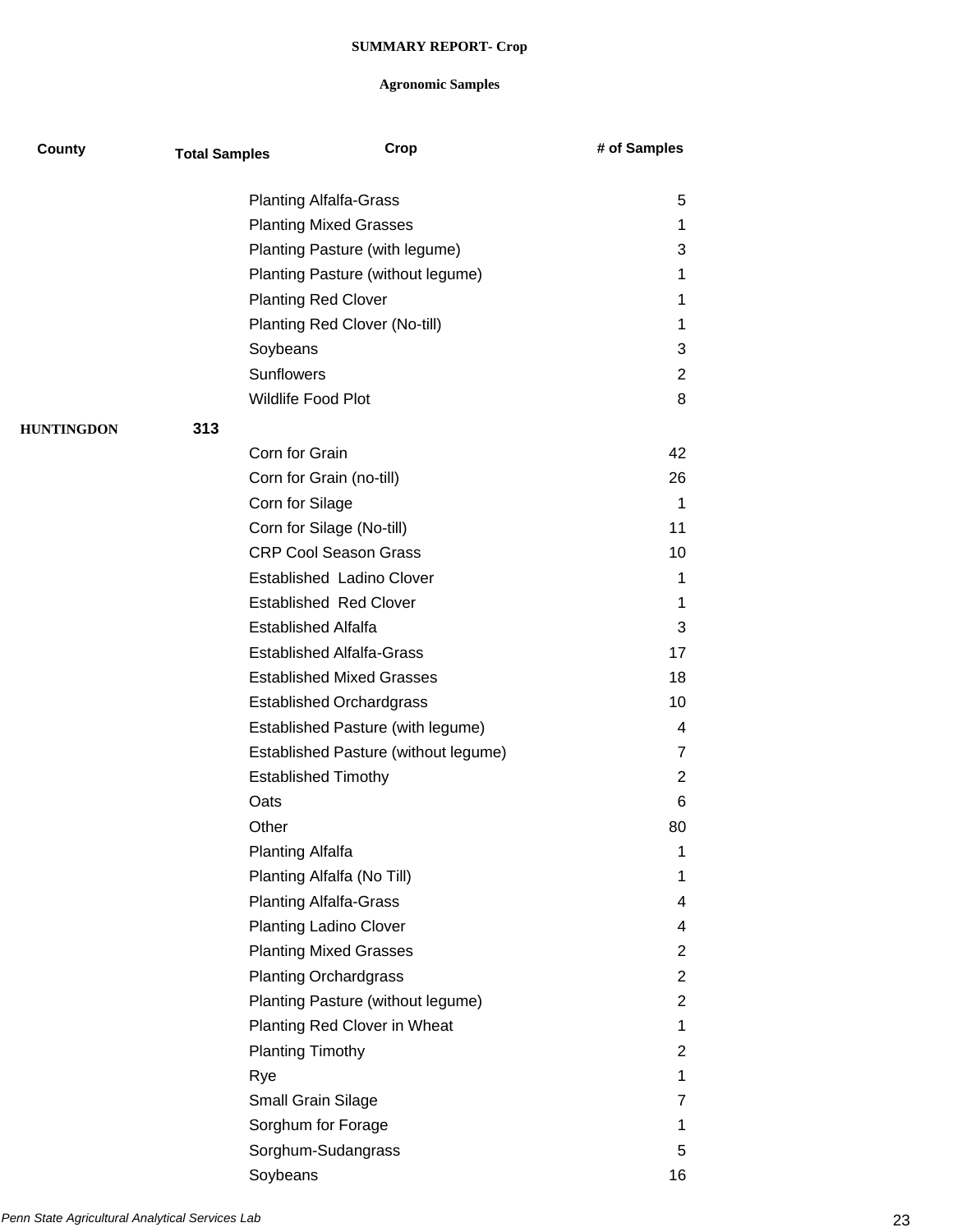| County            | <b>Total Samples</b> | Crop                                 | # of Samples   |
|-------------------|----------------------|--------------------------------------|----------------|
|                   |                      | <b>Planting Alfalfa-Grass</b>        | 5              |
|                   |                      | <b>Planting Mixed Grasses</b>        | 1              |
|                   |                      | Planting Pasture (with legume)       | 3              |
|                   |                      | Planting Pasture (without legume)    | 1              |
|                   |                      | <b>Planting Red Clover</b>           | 1              |
|                   |                      | Planting Red Clover (No-till)        | 1              |
|                   |                      | Soybeans                             | 3              |
|                   |                      | <b>Sunflowers</b>                    | $\overline{2}$ |
|                   |                      | Wildlife Food Plot                   | 8              |
| <b>HUNTINGDON</b> | 313                  |                                      |                |
|                   |                      | Corn for Grain                       | 42             |
|                   |                      | Corn for Grain (no-till)             | 26             |
|                   |                      | Corn for Silage                      | 1              |
|                   |                      | Corn for Silage (No-till)            | 11             |
|                   |                      | <b>CRP Cool Season Grass</b>         | 10             |
|                   |                      | Established Ladino Clover            | 1              |
|                   |                      | <b>Established Red Clover</b>        | 1              |
|                   |                      | <b>Established Alfalfa</b>           | 3              |
|                   |                      | <b>Established Alfalfa-Grass</b>     | 17             |
|                   |                      | <b>Established Mixed Grasses</b>     | 18             |
|                   |                      | <b>Established Orchardgrass</b>      | 10             |
|                   |                      | Established Pasture (with legume)    | 4              |
|                   |                      | Established Pasture (without legume) | 7              |
|                   |                      | <b>Established Timothy</b>           | 2              |
|                   | Oats                 |                                      | 6              |
|                   | Other                |                                      | 80             |
|                   |                      | <b>Planting Alfalfa</b>              | 1              |
|                   |                      | Planting Alfalfa (No Till)           | $\mathbf 1$    |
|                   |                      | <b>Planting Alfalfa-Grass</b>        | 4              |
|                   |                      | <b>Planting Ladino Clover</b>        | 4              |
|                   |                      | <b>Planting Mixed Grasses</b>        | 2              |
|                   |                      | <b>Planting Orchardgrass</b>         | 2              |
|                   |                      | Planting Pasture (without legume)    | 2              |
|                   |                      | Planting Red Clover in Wheat         | $\mathbf 1$    |
|                   |                      | <b>Planting Timothy</b>              | $\overline{2}$ |
|                   | Rye                  |                                      | $\mathbf{1}$   |
|                   |                      | Small Grain Silage                   | 7              |
|                   |                      | Sorghum for Forage                   | 1              |
|                   |                      | Sorghum-Sudangrass                   | 5              |
|                   |                      | Soybeans                             | 16             |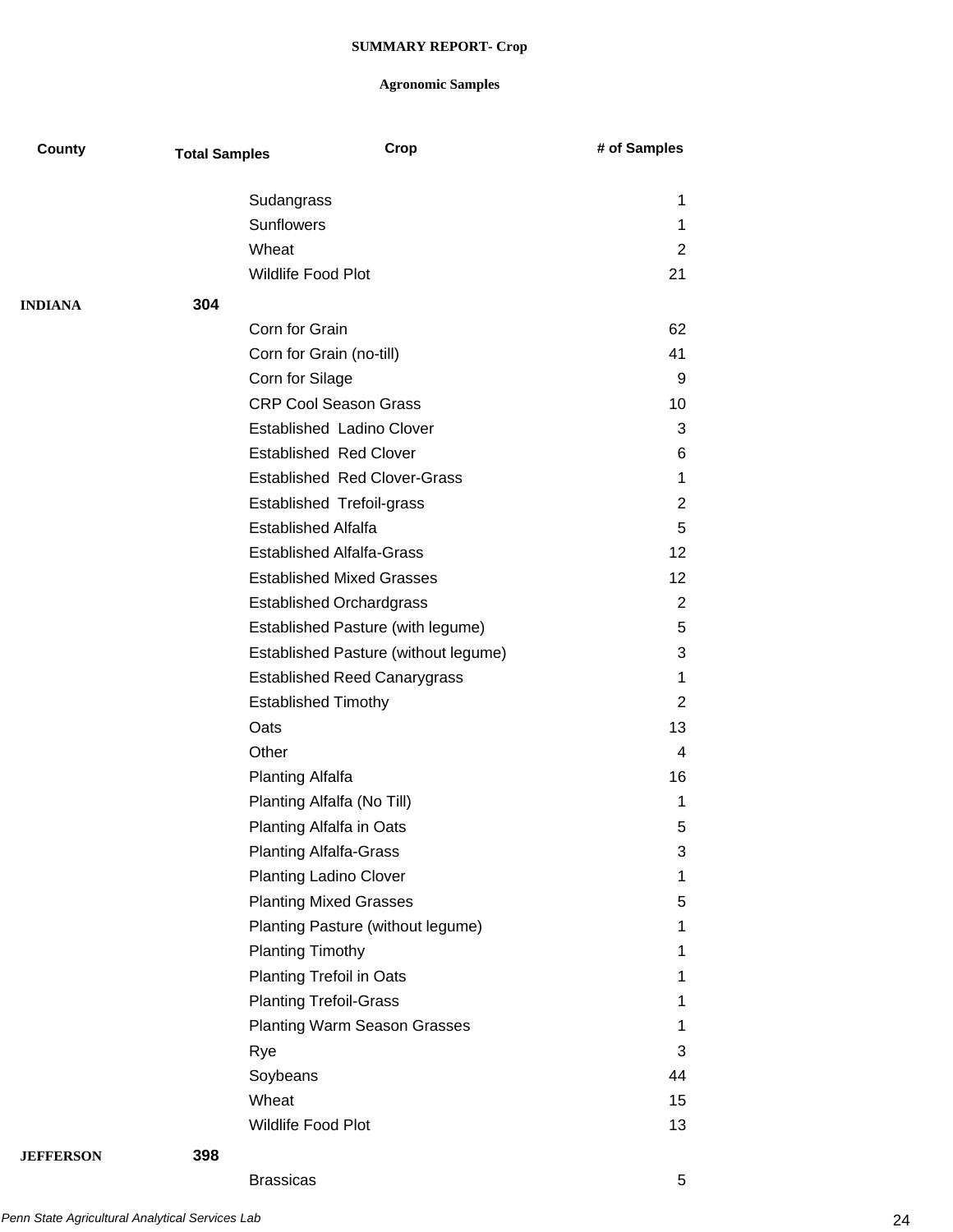## **Agronomic Samples**

| County           | <b>Total Samples</b> |                                  | Crop                                 | # of Samples   |
|------------------|----------------------|----------------------------------|--------------------------------------|----------------|
|                  |                      | Sudangrass                       |                                      | 1              |
|                  |                      | <b>Sunflowers</b>                |                                      | 1              |
|                  |                      | Wheat                            |                                      | 2              |
|                  |                      | <b>Wildlife Food Plot</b>        |                                      | 21             |
|                  |                      |                                  |                                      |                |
| <b>INDIANA</b>   | 304                  | Corn for Grain                   |                                      |                |
|                  |                      |                                  |                                      | 62             |
|                  |                      | Corn for Grain (no-till)         |                                      | 41             |
|                  |                      | Corn for Silage                  |                                      | 9              |
|                  |                      | <b>CRP Cool Season Grass</b>     |                                      | 10             |
|                  |                      |                                  | <b>Established Ladino Clover</b>     | 3              |
|                  |                      | <b>Established Red Clover</b>    |                                      | 6              |
|                  |                      |                                  | <b>Established Red Clover-Grass</b>  | 1              |
|                  |                      | Established Trefoil-grass        |                                      | 2              |
|                  |                      | <b>Established Alfalfa</b>       |                                      | 5              |
|                  |                      | <b>Established Alfalfa-Grass</b> |                                      | 12             |
|                  |                      |                                  | <b>Established Mixed Grasses</b>     | 12             |
|                  |                      | <b>Established Orchardgrass</b>  |                                      | $\overline{2}$ |
|                  |                      |                                  | Established Pasture (with legume)    | 5              |
|                  |                      |                                  | Established Pasture (without legume) | 3              |
|                  |                      |                                  | <b>Established Reed Canarygrass</b>  | 1              |
|                  |                      | <b>Established Timothy</b>       |                                      | 2              |
|                  |                      | Oats                             |                                      | 13             |
|                  |                      | Other                            |                                      | 4              |
|                  |                      | <b>Planting Alfalfa</b>          |                                      | 16             |
|                  |                      | Planting Alfalfa (No Till)       |                                      | 1              |
|                  |                      | Planting Alfalfa in Oats         |                                      | 5              |
|                  |                      | <b>Planting Alfalfa-Grass</b>    |                                      | 3              |
|                  |                      | <b>Planting Ladino Clover</b>    |                                      | 1              |
|                  |                      | <b>Planting Mixed Grasses</b>    |                                      | 5              |
|                  |                      |                                  | Planting Pasture (without legume)    | 1              |
|                  |                      | <b>Planting Timothy</b>          |                                      | 1              |
|                  |                      | <b>Planting Trefoil in Oats</b>  |                                      | 1              |
|                  |                      | <b>Planting Trefoil-Grass</b>    |                                      | 1              |
|                  |                      |                                  | <b>Planting Warm Season Grasses</b>  | 1              |
|                  |                      | Rye                              |                                      | 3              |
|                  |                      | Soybeans                         |                                      | 44             |
|                  |                      | Wheat                            |                                      | 15             |
|                  |                      | Wildlife Food Plot               |                                      | 13             |
| <b>JEFFERSON</b> | 398                  |                                  |                                      |                |

Brassicas 5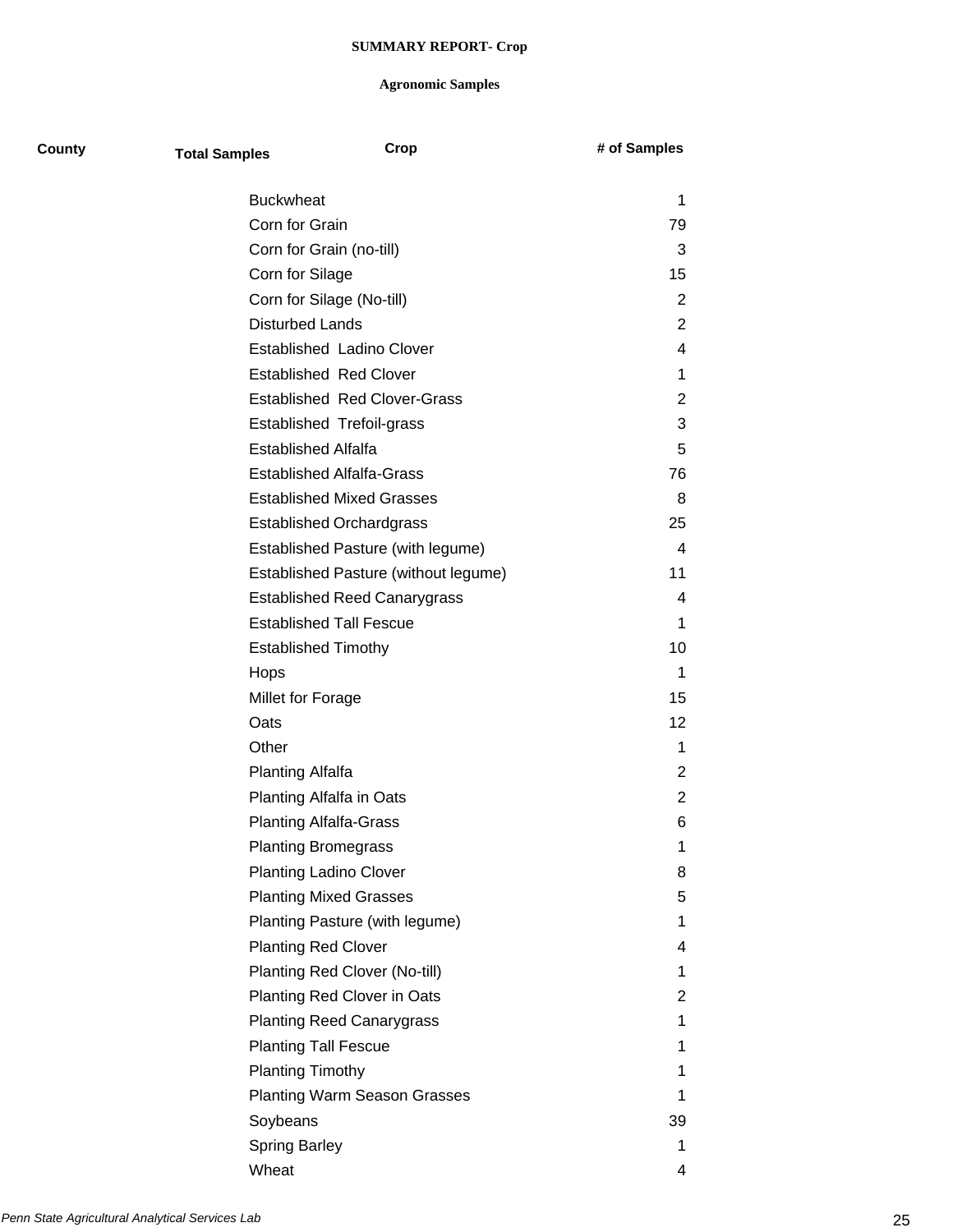| County | <b>Total Samples</b>          | Crop                                 | # of Samples   |
|--------|-------------------------------|--------------------------------------|----------------|
|        | <b>Buckwheat</b>              |                                      | 1              |
|        | Corn for Grain                |                                      | 79             |
|        | Corn for Grain (no-till)      |                                      | 3              |
|        | Corn for Silage               |                                      | 15             |
|        | Corn for Silage (No-till)     |                                      | 2              |
|        | <b>Disturbed Lands</b>        |                                      | $\overline{2}$ |
|        |                               | <b>Established Ladino Clover</b>     | 4              |
|        |                               | <b>Established Red Clover</b>        | 1              |
|        |                               | <b>Established Red Clover-Grass</b>  | $\overline{2}$ |
|        |                               | <b>Established Trefoil-grass</b>     | 3              |
|        | <b>Established Alfalfa</b>    |                                      | 5              |
|        |                               | <b>Established Alfalfa-Grass</b>     | 76             |
|        |                               | <b>Established Mixed Grasses</b>     | 8              |
|        |                               | <b>Established Orchardgrass</b>      | 25             |
|        |                               | Established Pasture (with legume)    | $\overline{4}$ |
|        |                               | Established Pasture (without legume) | 11             |
|        |                               | <b>Established Reed Canarygrass</b>  | 4              |
|        |                               | <b>Established Tall Fescue</b>       | 1              |
|        | <b>Established Timothy</b>    |                                      | 10             |
|        | Hops                          |                                      | 1              |
|        | Millet for Forage             |                                      | 15             |
|        | Oats                          |                                      | 12             |
|        | Other                         |                                      | 1              |
|        | Planting Alfalfa              |                                      | $\overline{2}$ |
|        | Planting Alfalfa in Oats      |                                      | $\overline{2}$ |
|        | <b>Planting Alfalfa-Grass</b> |                                      | 6              |
|        | <b>Planting Bromegrass</b>    |                                      | 1              |
|        | <b>Planting Ladino Clover</b> |                                      | 8              |
|        |                               | <b>Planting Mixed Grasses</b>        | 5              |
|        |                               | Planting Pasture (with legume)       | 1              |
|        | <b>Planting Red Clover</b>    |                                      | 4              |
|        |                               | Planting Red Clover (No-till)        | 1              |
|        |                               | Planting Red Clover in Oats          | 2              |
|        |                               | <b>Planting Reed Canarygrass</b>     | 1              |
|        | <b>Planting Tall Fescue</b>   |                                      | 1              |
|        | <b>Planting Timothy</b>       |                                      | 1              |
|        |                               | <b>Planting Warm Season Grasses</b>  | 1              |
|        | Soybeans                      |                                      | 39             |
|        | <b>Spring Barley</b>          |                                      | 1              |
|        | Wheat                         |                                      | 4              |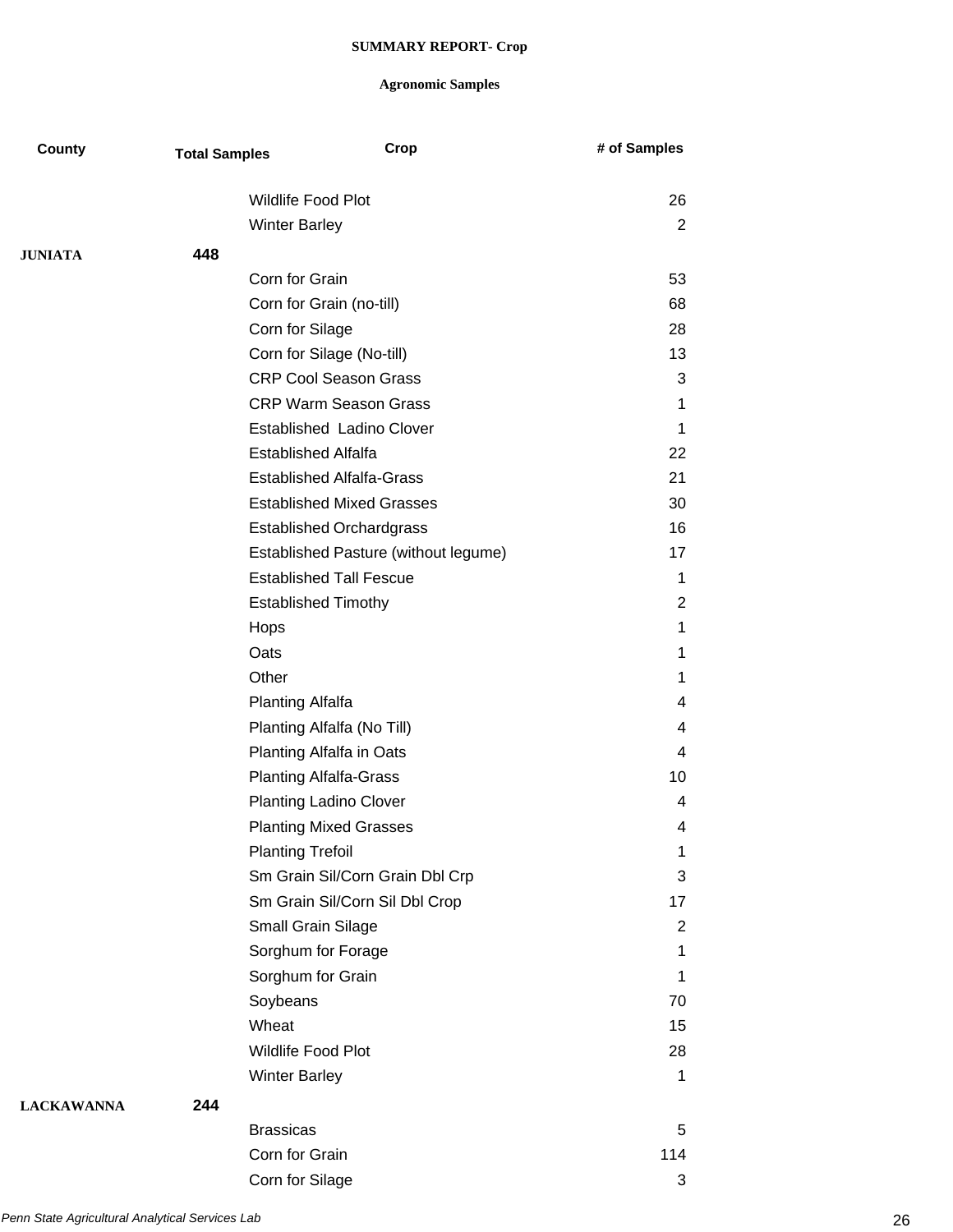| County            | <b>Total Samples</b> | Crop                                 | # of Samples |
|-------------------|----------------------|--------------------------------------|--------------|
|                   |                      | <b>Wildlife Food Plot</b>            | 26           |
|                   |                      | <b>Winter Barley</b>                 | 2            |
| <b>JUNIATA</b>    | 448                  |                                      |              |
|                   |                      | Corn for Grain                       | 53           |
|                   |                      | Corn for Grain (no-till)             | 68           |
|                   |                      | Corn for Silage                      | 28           |
|                   |                      | Corn for Silage (No-till)            | 13           |
|                   |                      | <b>CRP Cool Season Grass</b>         | 3            |
|                   |                      | <b>CRP Warm Season Grass</b>         | 1            |
|                   |                      | <b>Established Ladino Clover</b>     | 1            |
|                   |                      | <b>Established Alfalfa</b>           | 22           |
|                   |                      | <b>Established Alfalfa-Grass</b>     | 21           |
|                   |                      | <b>Established Mixed Grasses</b>     | 30           |
|                   |                      | <b>Established Orchardgrass</b>      | 16           |
|                   |                      | Established Pasture (without legume) | 17           |
|                   |                      | <b>Established Tall Fescue</b>       | 1            |
|                   |                      | <b>Established Timothy</b>           | 2            |
|                   |                      | Hops                                 | 1            |
|                   |                      | Oats                                 | 1            |
|                   |                      | Other                                | 1            |
|                   |                      | <b>Planting Alfalfa</b>              | 4            |
|                   |                      | Planting Alfalfa (No Till)           | 4            |
|                   |                      | Planting Alfalfa in Oats             | 4            |
|                   |                      | <b>Planting Alfalfa-Grass</b>        | 10           |
|                   |                      | <b>Planting Ladino Clover</b>        | 4            |
|                   |                      | <b>Planting Mixed Grasses</b>        | 4            |
|                   |                      | <b>Planting Trefoil</b>              | 1            |
|                   |                      | Sm Grain Sil/Corn Grain Dbl Crp      | 3            |
|                   |                      | Sm Grain Sil/Corn Sil Dbl Crop       | 17           |
|                   |                      | Small Grain Silage                   | 2            |
|                   |                      | Sorghum for Forage                   | 1            |
|                   |                      | Sorghum for Grain                    | 1            |
|                   |                      | Soybeans                             | 70           |
|                   |                      | Wheat                                | 15           |
|                   |                      | Wildlife Food Plot                   | 28           |
|                   |                      | <b>Winter Barley</b>                 | 1            |
| <b>LACKAWANNA</b> | 244                  |                                      |              |
|                   |                      | <b>Brassicas</b>                     | 5            |
|                   |                      | Corn for Grain                       | 114          |
|                   |                      | Corn for Silage                      | 3            |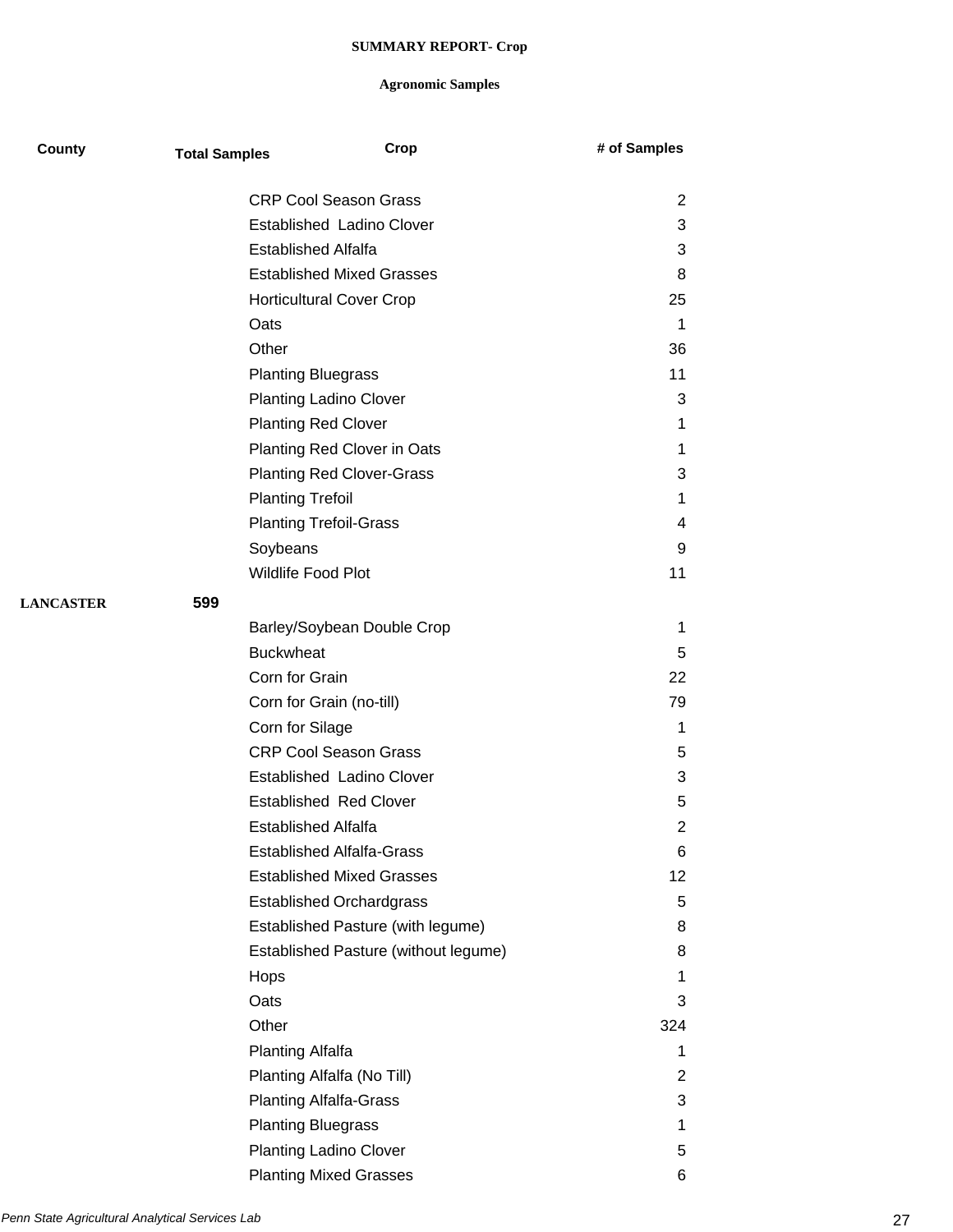| County           | <b>Total Samples</b> | Crop                                 | # of Samples   |
|------------------|----------------------|--------------------------------------|----------------|
|                  |                      | <b>CRP Cool Season Grass</b>         | 2              |
|                  |                      | Established Ladino Clover            | 3              |
|                  |                      | <b>Established Alfalfa</b>           | 3              |
|                  |                      | <b>Established Mixed Grasses</b>     | 8              |
|                  |                      | <b>Horticultural Cover Crop</b>      | 25             |
|                  | Oats                 |                                      | $\mathbf 1$    |
|                  | Other                |                                      | 36             |
|                  |                      | <b>Planting Bluegrass</b>            | 11             |
|                  |                      | <b>Planting Ladino Clover</b>        | 3              |
|                  |                      | <b>Planting Red Clover</b>           | 1              |
|                  |                      | Planting Red Clover in Oats          | 1              |
|                  |                      | <b>Planting Red Clover-Grass</b>     | 3              |
|                  |                      | <b>Planting Trefoil</b>              | 1              |
|                  |                      | <b>Planting Trefoil-Grass</b>        | 4              |
|                  |                      | Soybeans                             | 9              |
|                  |                      | Wildlife Food Plot                   | 11             |
| <b>LANCASTER</b> | 599                  |                                      |                |
|                  |                      | Barley/Soybean Double Crop           | 1              |
|                  |                      | <b>Buckwheat</b>                     | 5              |
|                  |                      | Corn for Grain                       | 22             |
|                  |                      | Corn for Grain (no-till)             | 79             |
|                  |                      | Corn for Silage                      | 1              |
|                  |                      | <b>CRP Cool Season Grass</b>         | 5              |
|                  |                      | <b>Established Ladino Clover</b>     | 3              |
|                  |                      | <b>Established Red Clover</b>        | 5              |
|                  |                      | <b>Established Alfalfa</b>           | $\overline{2}$ |
|                  |                      | <b>Established Alfalfa-Grass</b>     | 6              |
|                  |                      | <b>Established Mixed Grasses</b>     | 12             |
|                  |                      | <b>Established Orchardgrass</b>      | 5              |
|                  |                      | Established Pasture (with legume)    | 8              |
|                  |                      | Established Pasture (without legume) | 8              |
|                  | Hops                 |                                      | 1              |
|                  | Oats                 |                                      | 3              |
|                  | Other                |                                      | 324            |
|                  |                      | <b>Planting Alfalfa</b>              | 1              |
|                  |                      | Planting Alfalfa (No Till)           | 2              |
|                  |                      | <b>Planting Alfalfa-Grass</b>        | 3              |
|                  |                      | <b>Planting Bluegrass</b>            | 1              |
|                  |                      | <b>Planting Ladino Clover</b>        | 5              |
|                  |                      | <b>Planting Mixed Grasses</b>        | 6              |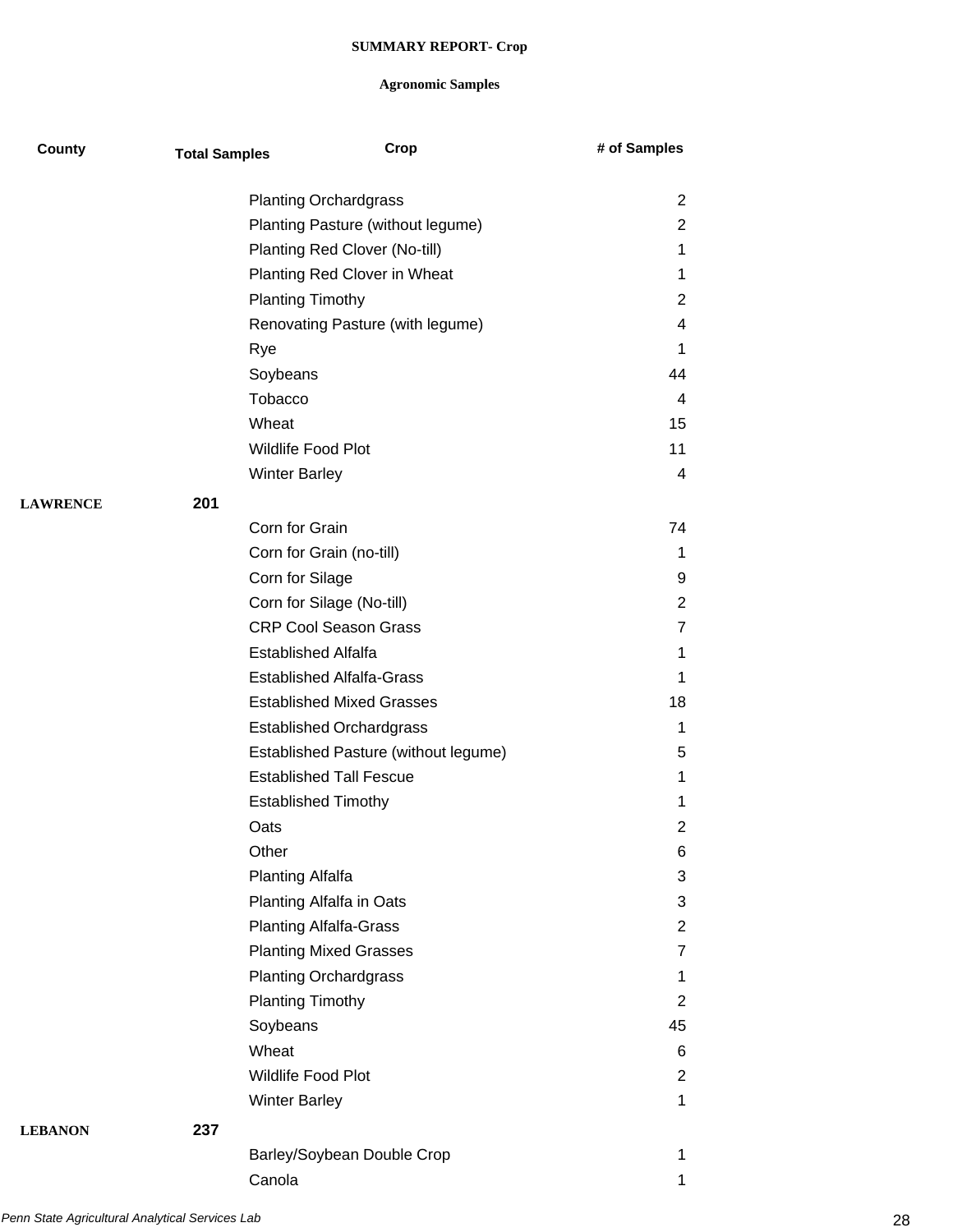| County          | <b>Total Samples</b> | Crop                                 | # of Samples   |
|-----------------|----------------------|--------------------------------------|----------------|
|                 |                      | <b>Planting Orchardgrass</b>         | $\overline{2}$ |
|                 |                      | Planting Pasture (without legume)    | $\overline{2}$ |
|                 |                      | Planting Red Clover (No-till)        | $\mathbf 1$    |
|                 |                      | Planting Red Clover in Wheat         | $\mathbf 1$    |
|                 |                      | <b>Planting Timothy</b>              | 2              |
|                 |                      | Renovating Pasture (with legume)     | 4              |
|                 |                      | Rye                                  | 1              |
|                 |                      | Soybeans                             | 44             |
|                 |                      | Tobacco                              | 4              |
|                 |                      | Wheat                                | 15             |
|                 |                      | Wildlife Food Plot                   | 11             |
|                 |                      | <b>Winter Barley</b>                 | 4              |
| <b>LAWRENCE</b> | 201                  |                                      |                |
|                 |                      | Corn for Grain                       | 74             |
|                 |                      | Corn for Grain (no-till)             | 1              |
|                 |                      | Corn for Silage                      | 9              |
|                 |                      | Corn for Silage (No-till)            | $\overline{2}$ |
|                 |                      | <b>CRP Cool Season Grass</b>         | 7              |
|                 |                      | <b>Established Alfalfa</b>           | 1              |
|                 |                      | <b>Established Alfalfa-Grass</b>     | $\mathbf 1$    |
|                 |                      | <b>Established Mixed Grasses</b>     | 18             |
|                 |                      | <b>Established Orchardgrass</b>      | 1              |
|                 |                      | Established Pasture (without legume) | 5              |
|                 |                      | <b>Established Tall Fescue</b>       | 1              |
|                 |                      | <b>Established Timothy</b>           | 1              |
|                 |                      | Oats                                 | 2              |
|                 |                      | Other                                | 6              |
|                 |                      | <b>Planting Alfalfa</b>              | 3              |
|                 |                      | Planting Alfalfa in Oats             | 3              |
|                 |                      | <b>Planting Alfalfa-Grass</b>        | 2              |
|                 |                      | <b>Planting Mixed Grasses</b>        | 7              |
|                 |                      | <b>Planting Orchardgrass</b>         | $\mathbf{1}$   |
|                 |                      | <b>Planting Timothy</b>              | $\overline{2}$ |
|                 |                      | Soybeans                             | 45             |
|                 |                      | Wheat                                | 6              |
|                 |                      | Wildlife Food Plot                   | 2              |
|                 |                      | <b>Winter Barley</b>                 | $\mathbf{1}$   |
| <b>LEBANON</b>  | 237                  |                                      |                |
|                 |                      | Barley/Soybean Double Crop           | 1              |
|                 |                      | Canola                               | 1              |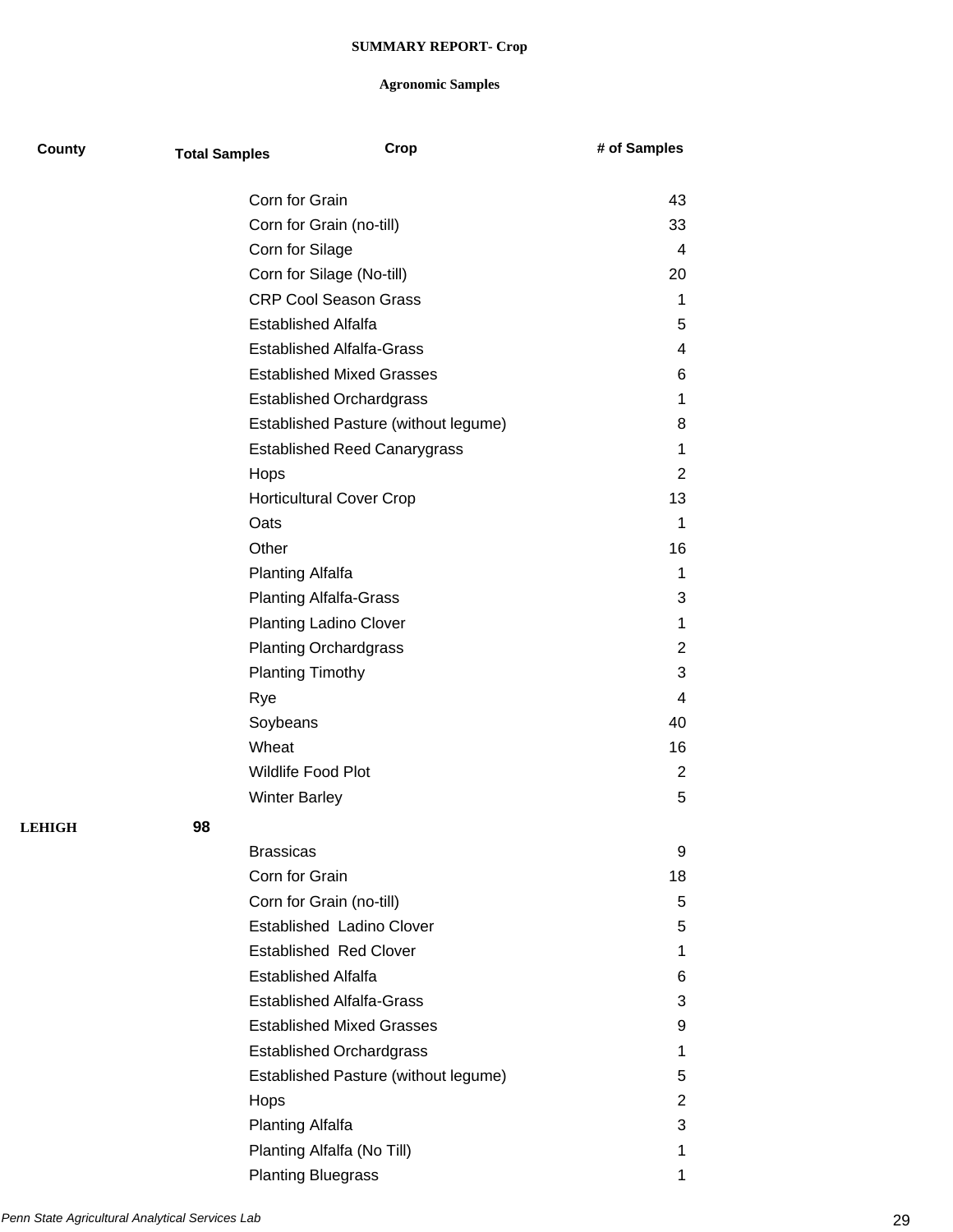| County        | <b>Total Samples</b> | Crop                                    | # of Samples   |
|---------------|----------------------|-----------------------------------------|----------------|
|               |                      | Corn for Grain                          | 43             |
|               |                      | Corn for Grain (no-till)                | 33             |
|               |                      | Corn for Silage                         | 4              |
|               |                      | Corn for Silage (No-till)               | 20             |
|               |                      | <b>CRP Cool Season Grass</b>            | 1              |
|               |                      | <b>Established Alfalfa</b>              | 5              |
|               |                      | <b>Established Alfalfa-Grass</b>        | 4              |
|               |                      | <b>Established Mixed Grasses</b>        | 6              |
|               |                      | <b>Established Orchardgrass</b>         | 1              |
|               |                      | Established Pasture (without legume)    | 8              |
|               |                      |                                         | 1              |
|               |                      | <b>Established Reed Canarygrass</b>     | $\overline{2}$ |
|               |                      | Hops                                    | 13             |
|               |                      | <b>Horticultural Cover Crop</b><br>Oats | 1              |
|               |                      | Other                                   | 16             |
|               |                      |                                         | 1              |
|               |                      | <b>Planting Alfalfa</b>                 |                |
|               |                      | <b>Planting Alfalfa-Grass</b>           | 3<br>1         |
|               |                      | <b>Planting Ladino Clover</b>           |                |
|               |                      | <b>Planting Orchardgrass</b>            | 2              |
|               |                      | <b>Planting Timothy</b>                 | 3              |
|               |                      | Rye                                     | 4              |
|               |                      | Soybeans                                | 40             |
|               |                      | Wheat                                   | 16             |
|               |                      | <b>Wildlife Food Plot</b>               | 2              |
|               |                      | <b>Winter Barley</b>                    | 5              |
| <b>LEHIGH</b> | 98                   |                                         |                |
|               |                      | <b>Brassicas</b>                        | 9              |
|               |                      | Corn for Grain                          | 18             |
|               |                      | Corn for Grain (no-till)                | 5              |
|               |                      | Established Ladino Clover               | 5              |
|               |                      | <b>Established Red Clover</b>           | 1              |
|               |                      | <b>Established Alfalfa</b>              | 6              |
|               |                      | <b>Established Alfalfa-Grass</b>        | 3              |
|               |                      | <b>Established Mixed Grasses</b>        | 9              |
|               |                      | <b>Established Orchardgrass</b>         | 1              |
|               |                      | Established Pasture (without legume)    | 5              |
|               |                      | Hops                                    | 2              |
|               |                      | <b>Planting Alfalfa</b>                 | 3              |
|               |                      | Planting Alfalfa (No Till)              | 1              |
|               |                      | <b>Planting Bluegrass</b>               | 1              |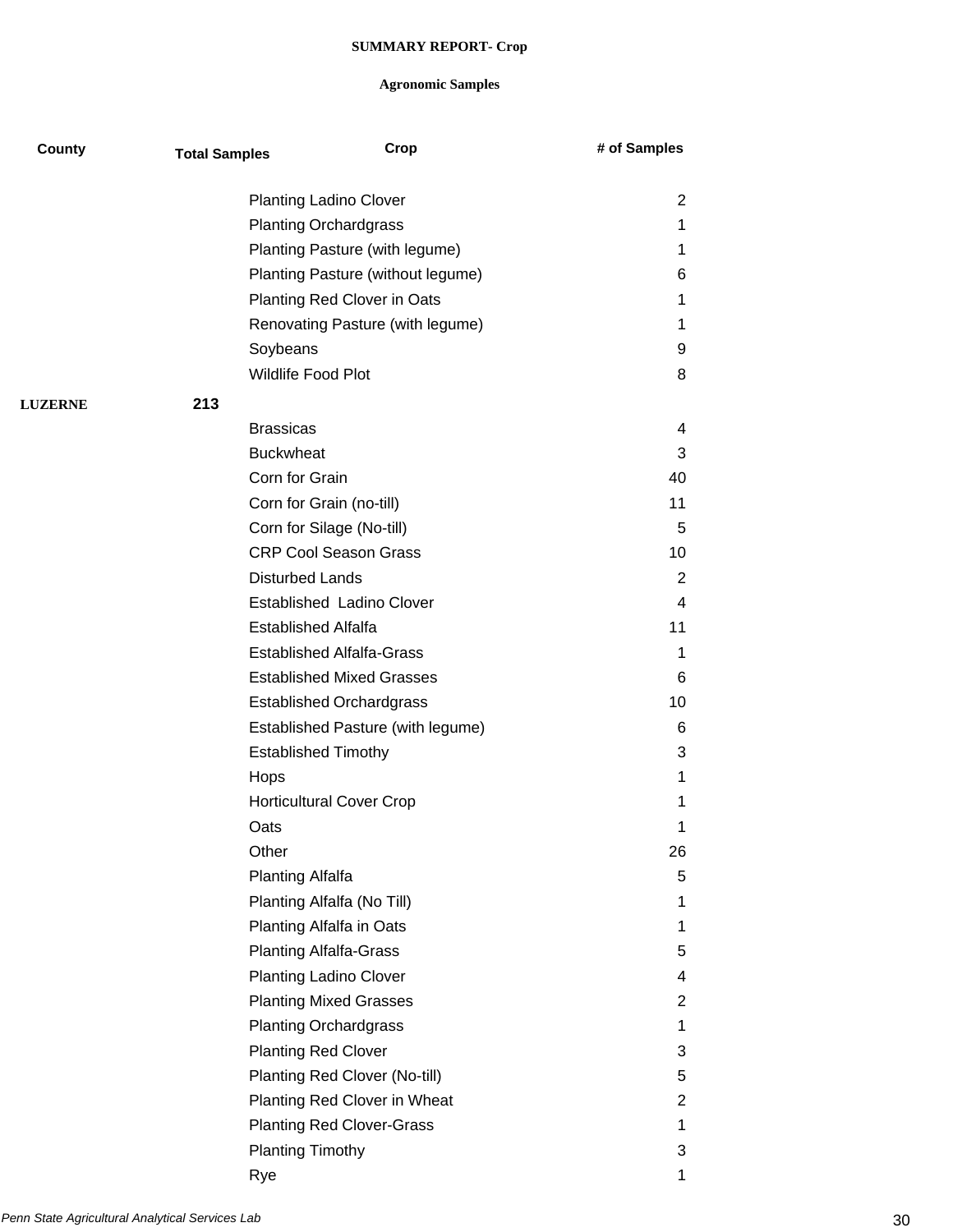| County         | <b>Total Samples</b> | Crop                              | # of Samples   |
|----------------|----------------------|-----------------------------------|----------------|
|                |                      | <b>Planting Ladino Clover</b>     | $\overline{2}$ |
|                |                      | <b>Planting Orchardgrass</b>      | 1.             |
|                |                      | Planting Pasture (with legume)    | 1              |
|                |                      | Planting Pasture (without legume) | 6              |
|                |                      | Planting Red Clover in Oats       | 1              |
|                |                      | Renovating Pasture (with legume)  | 1              |
|                |                      | Soybeans                          | 9              |
|                |                      | Wildlife Food Plot                | 8              |
| <b>LUZERNE</b> | 213                  |                                   |                |
|                |                      | <b>Brassicas</b>                  | 4              |
|                |                      | <b>Buckwheat</b>                  | 3              |
|                |                      | Corn for Grain                    | 40             |
|                |                      | Corn for Grain (no-till)          | 11             |
|                |                      | Corn for Silage (No-till)         | 5              |
|                |                      | <b>CRP Cool Season Grass</b>      | 10             |
|                |                      | <b>Disturbed Lands</b>            | 2              |
|                |                      | Established Ladino Clover         | 4              |
|                |                      | <b>Established Alfalfa</b>        | 11             |
|                |                      | <b>Established Alfalfa-Grass</b>  | 1              |
|                |                      | <b>Established Mixed Grasses</b>  | 6              |
|                |                      | <b>Established Orchardgrass</b>   | 10             |
|                |                      | Established Pasture (with legume) | 6              |
|                |                      | <b>Established Timothy</b>        | 3              |
|                | Hops                 |                                   | 1              |
|                |                      | <b>Horticultural Cover Crop</b>   | 1              |
|                | Oats                 |                                   | 1              |
|                | Other                |                                   | 26             |
|                |                      | <b>Planting Alfalfa</b>           | 5              |
|                |                      | Planting Alfalfa (No Till)        | 1              |
|                |                      | Planting Alfalfa in Oats          | 1              |
|                |                      | <b>Planting Alfalfa-Grass</b>     | 5              |
|                |                      | <b>Planting Ladino Clover</b>     | 4              |
|                |                      | <b>Planting Mixed Grasses</b>     | 2              |
|                |                      | <b>Planting Orchardgrass</b>      | 1              |
|                |                      | <b>Planting Red Clover</b>        | 3              |
|                |                      | Planting Red Clover (No-till)     | 5              |
|                |                      | Planting Red Clover in Wheat      | $\overline{2}$ |
|                |                      | <b>Planting Red Clover-Grass</b>  | 1              |
|                |                      | <b>Planting Timothy</b>           | 3              |
|                | Rye                  |                                   | 1              |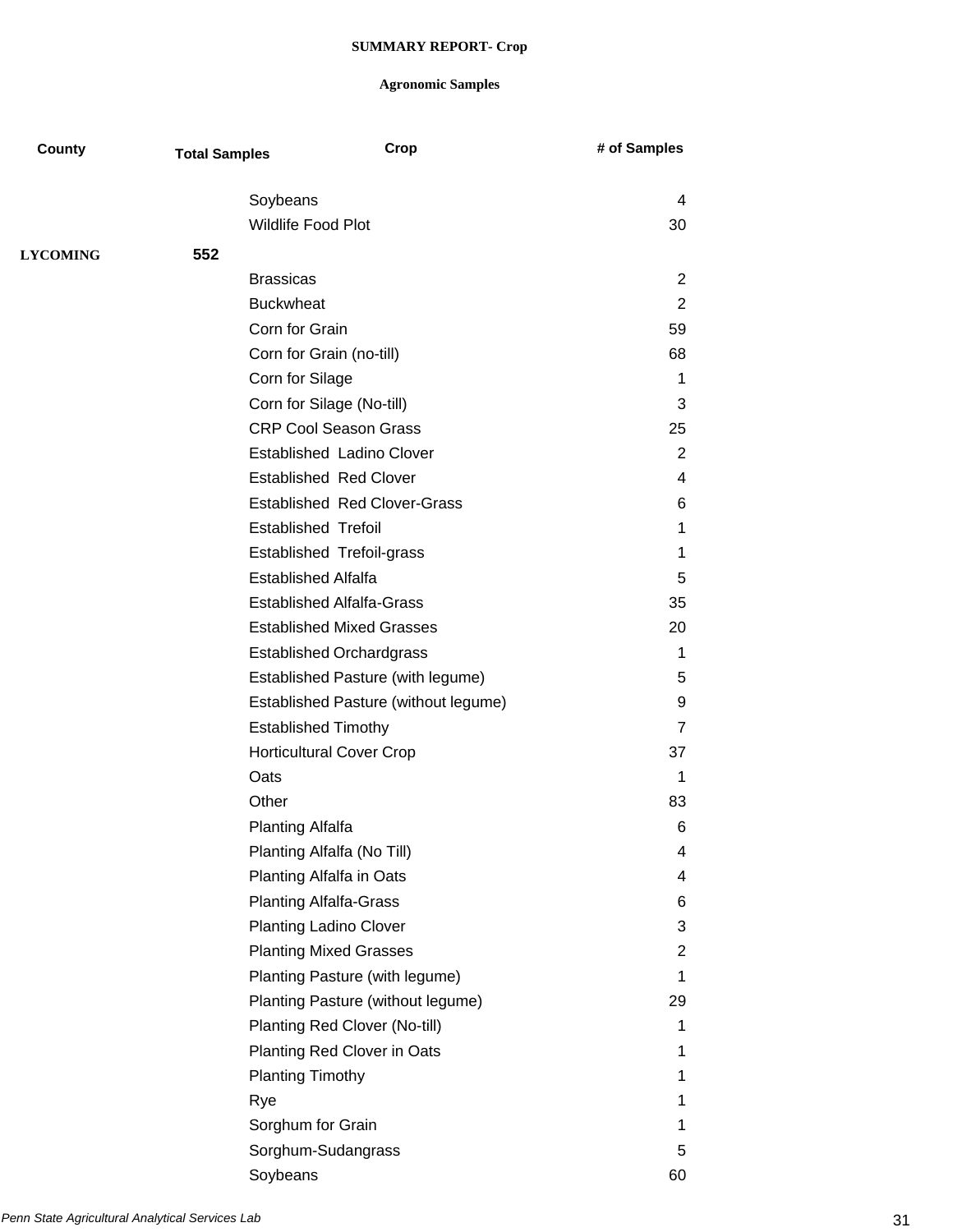| County          | <b>Total Samples</b> | Crop                                 | # of Samples   |
|-----------------|----------------------|--------------------------------------|----------------|
|                 |                      | Soybeans                             | 4              |
|                 |                      | <b>Wildlife Food Plot</b>            | 30             |
| <b>LYCOMING</b> | 552                  |                                      |                |
|                 |                      | <b>Brassicas</b>                     | 2              |
|                 |                      | <b>Buckwheat</b>                     | 2              |
|                 |                      | Corn for Grain                       | 59             |
|                 |                      | Corn for Grain (no-till)             | 68             |
|                 |                      | Corn for Silage                      | 1              |
|                 |                      | Corn for Silage (No-till)            | 3              |
|                 |                      | <b>CRP Cool Season Grass</b>         | 25             |
|                 |                      | Established Ladino Clover            | $\overline{2}$ |
|                 |                      | <b>Established Red Clover</b>        | 4              |
|                 |                      | <b>Established Red Clover-Grass</b>  | 6              |
|                 |                      | <b>Established Trefoil</b>           | 1              |
|                 |                      | Established Trefoil-grass            | 1              |
|                 |                      | <b>Established Alfalfa</b>           | 5              |
|                 |                      | <b>Established Alfalfa-Grass</b>     | 35             |
|                 |                      | <b>Established Mixed Grasses</b>     | 20             |
|                 |                      | <b>Established Orchardgrass</b>      | 1              |
|                 |                      | Established Pasture (with legume)    | 5              |
|                 |                      | Established Pasture (without legume) | 9              |
|                 |                      | <b>Established Timothy</b>           | $\overline{7}$ |
|                 |                      | <b>Horticultural Cover Crop</b>      | 37             |
|                 | Oats                 |                                      | 1              |
|                 | Other                |                                      | 83             |
|                 |                      | <b>Planting Alfalfa</b>              | 6              |
|                 |                      | Planting Alfalfa (No Till)           | 4              |
|                 |                      | Planting Alfalfa in Oats             | 4              |
|                 |                      | <b>Planting Alfalfa-Grass</b>        | 6              |
|                 |                      | <b>Planting Ladino Clover</b>        | 3              |
|                 |                      | <b>Planting Mixed Grasses</b>        | 2              |
|                 |                      | Planting Pasture (with legume)       | 1              |
|                 |                      | Planting Pasture (without legume)    | 29             |
|                 |                      | Planting Red Clover (No-till)        | 1              |
|                 |                      | Planting Red Clover in Oats          | 1              |
|                 |                      | <b>Planting Timothy</b>              | 1              |
|                 | Rye                  |                                      | 1              |
|                 |                      | Sorghum for Grain                    | 1              |
|                 |                      | Sorghum-Sudangrass                   | 5              |
|                 |                      | Soybeans                             | 60             |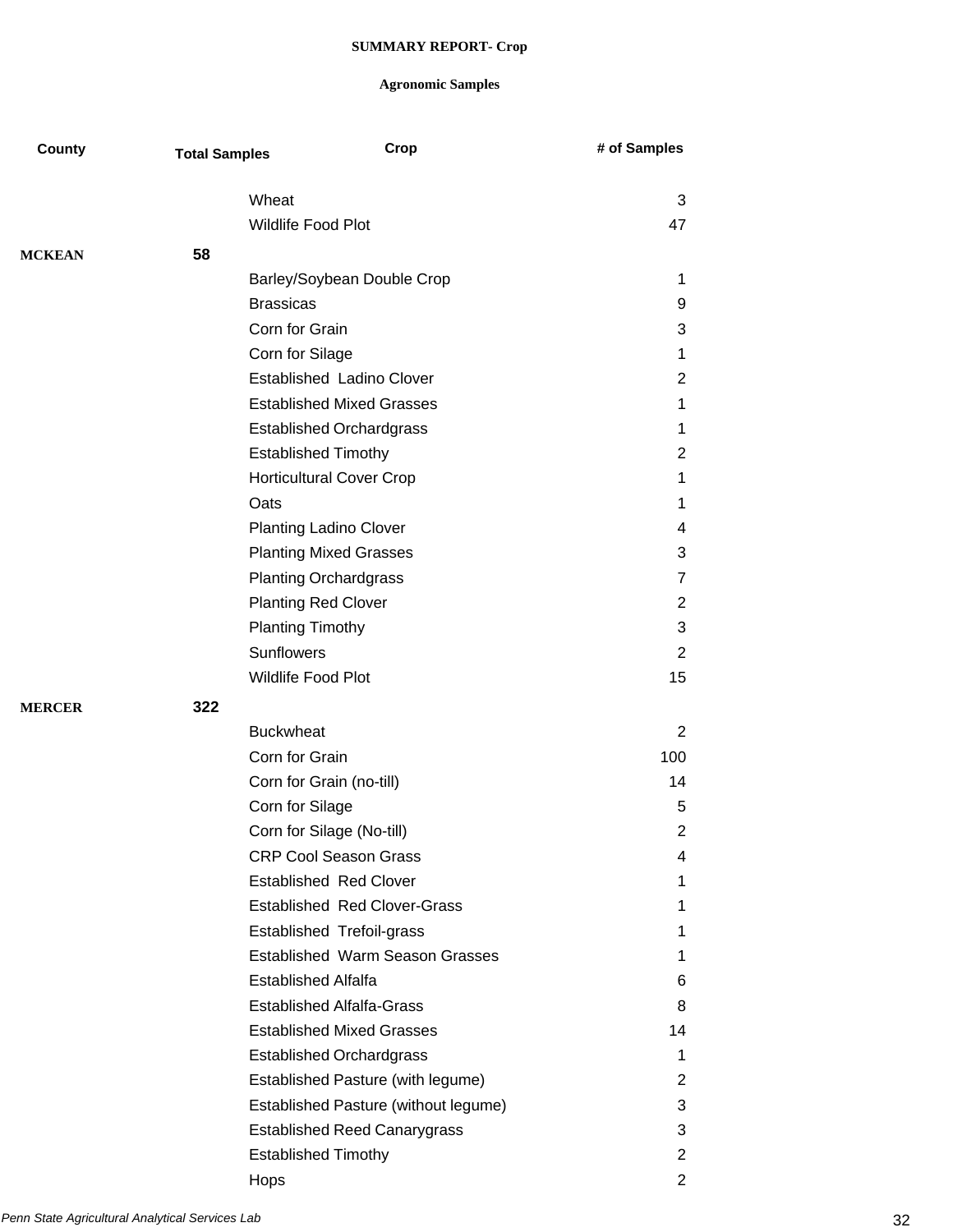| County        | <b>Total Samples</b> | Crop                                   | # of Samples   |
|---------------|----------------------|----------------------------------------|----------------|
|               |                      | Wheat                                  | 3              |
|               |                      | <b>Wildlife Food Plot</b>              | 47             |
| <b>MCKEAN</b> | 58                   |                                        |                |
|               |                      | Barley/Soybean Double Crop             | 1              |
|               |                      | <b>Brassicas</b>                       | 9              |
|               |                      | Corn for Grain                         | 3              |
|               |                      | Corn for Silage                        | 1              |
|               |                      | <b>Established Ladino Clover</b>       | 2              |
|               |                      | <b>Established Mixed Grasses</b>       | 1              |
|               |                      | <b>Established Orchardgrass</b>        | 1              |
|               |                      | <b>Established Timothy</b>             | 2              |
|               |                      | <b>Horticultural Cover Crop</b>        | 1              |
|               |                      | Oats                                   | 1              |
|               |                      | <b>Planting Ladino Clover</b>          | 4              |
|               |                      | <b>Planting Mixed Grasses</b>          | 3              |
|               |                      | <b>Planting Orchardgrass</b>           | 7              |
|               |                      | <b>Planting Red Clover</b>             | 2              |
|               |                      | <b>Planting Timothy</b>                | 3              |
|               |                      | Sunflowers                             | $\overline{2}$ |
|               |                      | Wildlife Food Plot                     | 15             |
| <b>MERCER</b> | 322                  |                                        |                |
|               |                      | <b>Buckwheat</b>                       | 2              |
|               |                      | Corn for Grain                         | 100            |
|               |                      | Corn for Grain (no-till)               | 14             |
|               |                      | Corn for Silage                        | 5              |
|               |                      | Corn for Silage (No-till)              | $\overline{2}$ |
|               |                      | <b>CRP Cool Season Grass</b>           | 4              |
|               |                      | <b>Established Red Clover</b>          | 1              |
|               |                      | <b>Established Red Clover-Grass</b>    | 1              |
|               |                      | Established Trefoil-grass              | 1              |
|               |                      | <b>Established Warm Season Grasses</b> | 1              |
|               |                      | <b>Established Alfalfa</b>             | 6              |
|               |                      | <b>Established Alfalfa-Grass</b>       | 8              |
|               |                      | <b>Established Mixed Grasses</b>       | 14             |
|               |                      | <b>Established Orchardgrass</b>        | 1              |
|               |                      | Established Pasture (with legume)      | $\overline{2}$ |
|               |                      | Established Pasture (without legume)   | 3              |
|               |                      | <b>Established Reed Canarygrass</b>    | 3              |
|               |                      | <b>Established Timothy</b>             | $\overline{2}$ |
|               |                      | Hops                                   | $\overline{2}$ |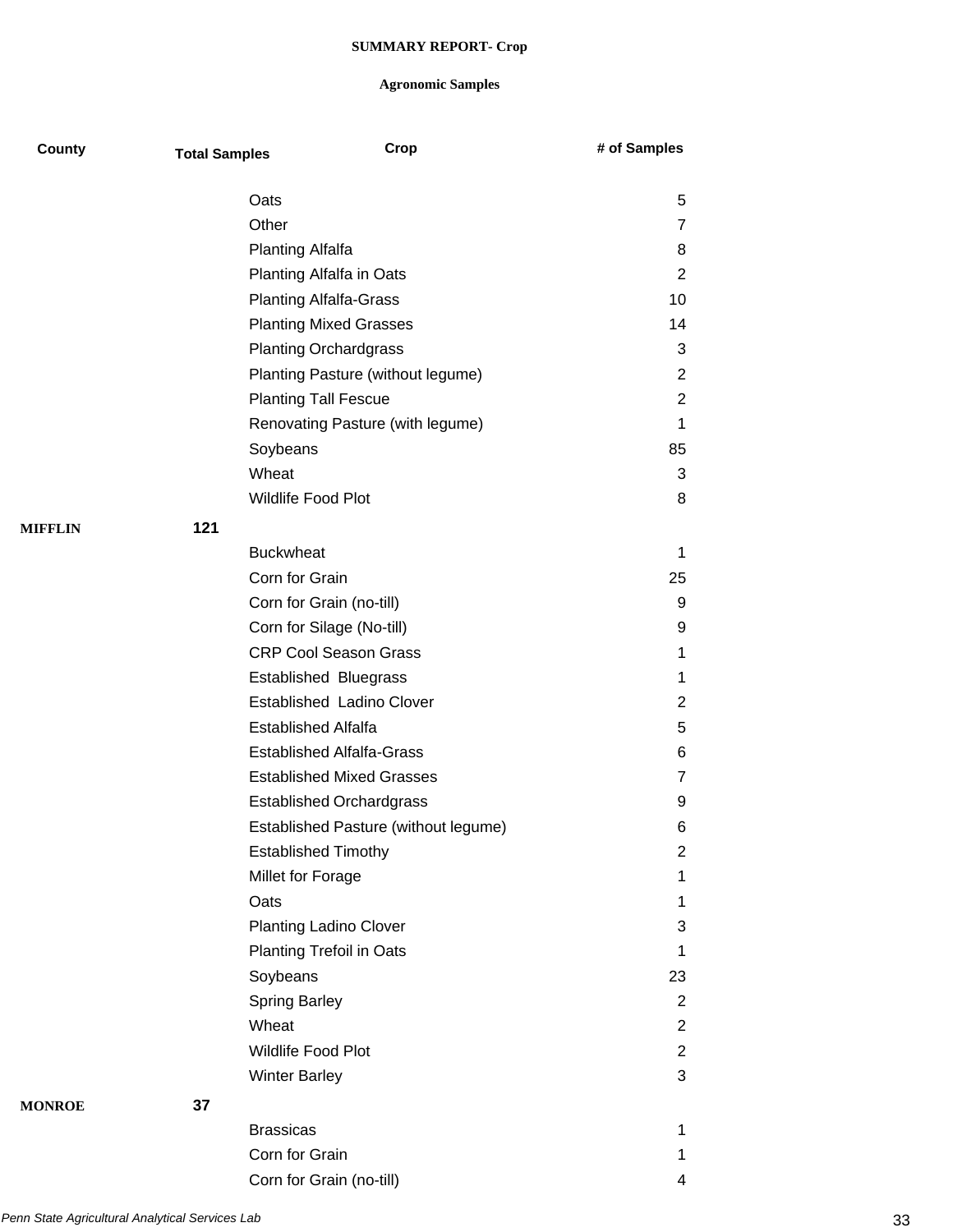| County         | <b>Total Samples</b> | Crop                                 | # of Samples   |
|----------------|----------------------|--------------------------------------|----------------|
|                |                      | Oats                                 | 5              |
|                |                      | Other                                | 7              |
|                |                      | <b>Planting Alfalfa</b>              | 8              |
|                |                      | Planting Alfalfa in Oats             | $\overline{2}$ |
|                |                      | <b>Planting Alfalfa-Grass</b>        | 10             |
|                |                      | <b>Planting Mixed Grasses</b>        | 14             |
|                |                      | <b>Planting Orchardgrass</b>         | 3              |
|                |                      | Planting Pasture (without legume)    | 2              |
|                |                      | <b>Planting Tall Fescue</b>          | $\overline{2}$ |
|                |                      | Renovating Pasture (with legume)     | 1              |
|                |                      | Soybeans                             | 85             |
|                |                      | Wheat                                | 3              |
|                |                      | Wildlife Food Plot                   | 8              |
| <b>MIFFLIN</b> | 121                  |                                      |                |
|                |                      | <b>Buckwheat</b>                     | 1              |
|                |                      | Corn for Grain                       | 25             |
|                |                      | Corn for Grain (no-till)             | 9              |
|                |                      | Corn for Silage (No-till)            | 9              |
|                |                      | <b>CRP Cool Season Grass</b>         | 1              |
|                |                      | <b>Established Bluegrass</b>         | 1              |
|                |                      | Established Ladino Clover            | $\overline{2}$ |
|                |                      | <b>Established Alfalfa</b>           | 5              |
|                |                      | <b>Established Alfalfa-Grass</b>     | 6              |
|                |                      | <b>Established Mixed Grasses</b>     | 7              |
|                |                      | <b>Established Orchardgrass</b>      | 9              |
|                |                      | Established Pasture (without legume) | 6              |
|                |                      | <b>Established Timothy</b>           | $\overline{2}$ |
|                |                      | Millet for Forage                    | 1              |
|                |                      | Oats                                 | 1              |
|                |                      | <b>Planting Ladino Clover</b>        | 3              |
|                |                      | Planting Trefoil in Oats             | 1              |
|                |                      | Soybeans                             | 23             |
|                |                      | <b>Spring Barley</b>                 | 2              |
|                |                      | Wheat                                | $\overline{2}$ |
|                |                      | Wildlife Food Plot                   | $\overline{2}$ |
|                |                      | <b>Winter Barley</b>                 | 3              |
| <b>MONROE</b>  | 37                   |                                      |                |
|                |                      | <b>Brassicas</b>                     | 1              |
|                |                      | Corn for Grain                       | 1              |
|                |                      | Corn for Grain (no-till)             | 4              |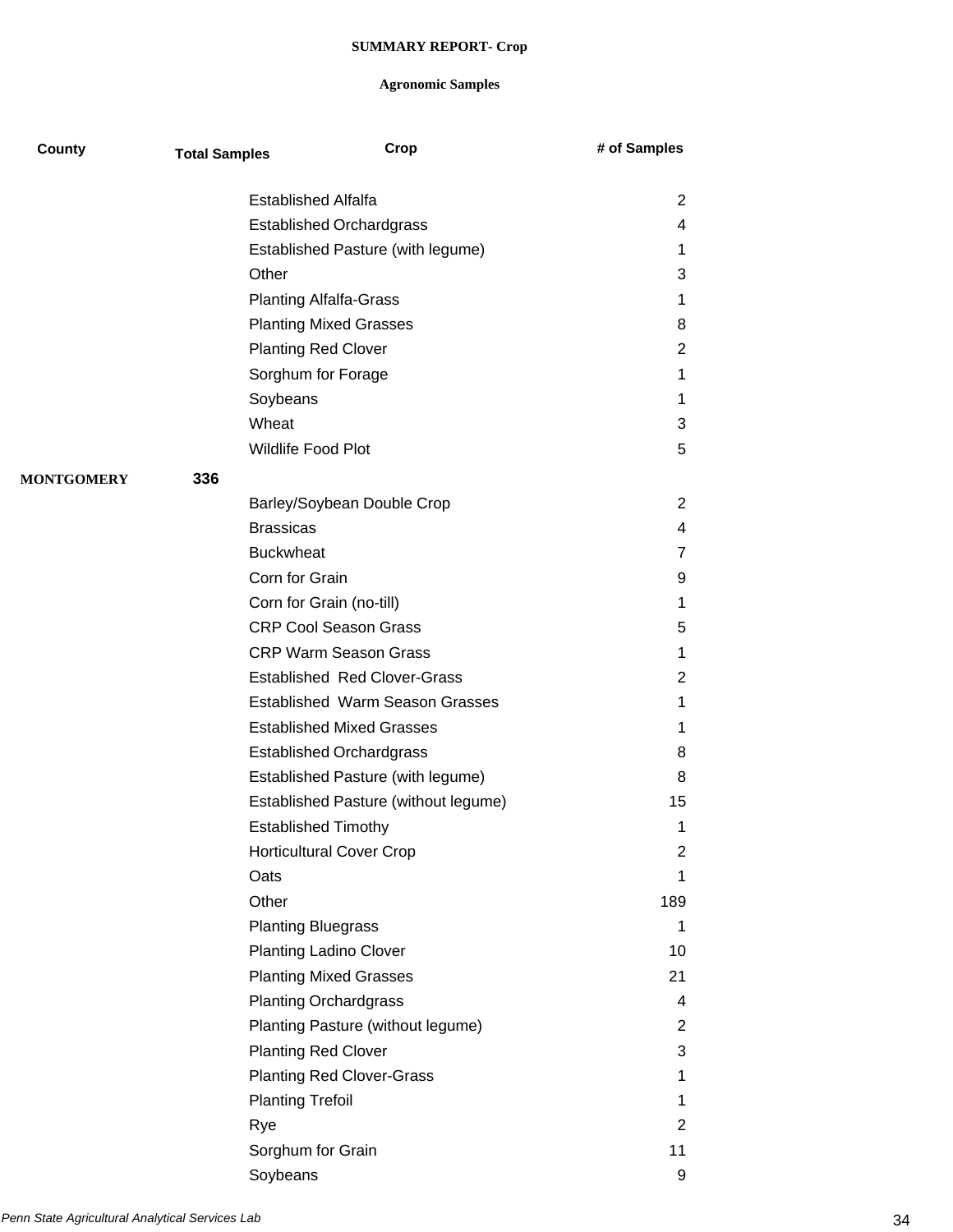| County            | <b>Total Samples</b> | Crop                                   | # of Samples   |
|-------------------|----------------------|----------------------------------------|----------------|
|                   |                      | <b>Established Alfalfa</b>             | 2              |
|                   |                      | <b>Established Orchardgrass</b>        | 4              |
|                   |                      | Established Pasture (with legume)      | 1              |
|                   | Other                |                                        | 3              |
|                   |                      | <b>Planting Alfalfa-Grass</b>          | 1              |
|                   |                      | <b>Planting Mixed Grasses</b>          | 8              |
|                   |                      | <b>Planting Red Clover</b>             | 2              |
|                   |                      | Sorghum for Forage                     | 1              |
|                   |                      | Soybeans                               | 1              |
|                   | Wheat                |                                        | 3              |
|                   |                      | Wildlife Food Plot                     | 5              |
| <b>MONTGOMERY</b> | 336                  |                                        |                |
|                   |                      | Barley/Soybean Double Crop             | $\overline{2}$ |
|                   |                      | <b>Brassicas</b>                       | 4              |
|                   |                      | <b>Buckwheat</b>                       | 7              |
|                   |                      | Corn for Grain                         | 9              |
|                   |                      | Corn for Grain (no-till)               | 1              |
|                   |                      | <b>CRP Cool Season Grass</b>           | 5              |
|                   |                      | <b>CRP Warm Season Grass</b>           | 1              |
|                   |                      | <b>Established Red Clover-Grass</b>    | 2              |
|                   |                      | <b>Established Warm Season Grasses</b> | 1              |
|                   |                      | <b>Established Mixed Grasses</b>       | 1              |
|                   |                      | <b>Established Orchardgrass</b>        | 8              |
|                   |                      | Established Pasture (with legume)      | 8              |
|                   |                      | Established Pasture (without legume)   | 15             |
|                   |                      | <b>Established Timothy</b>             | 1              |
|                   |                      | <b>Horticultural Cover Crop</b>        | 2              |
|                   | Oats                 |                                        | 1              |
|                   | Other                |                                        | 189            |
|                   |                      | <b>Planting Bluegrass</b>              | 1              |
|                   |                      | <b>Planting Ladino Clover</b>          | 10             |
|                   |                      | <b>Planting Mixed Grasses</b>          | 21             |
|                   |                      | <b>Planting Orchardgrass</b>           | 4              |
|                   |                      | Planting Pasture (without legume)      | $\overline{2}$ |
|                   |                      | <b>Planting Red Clover</b>             | 3              |
|                   |                      | <b>Planting Red Clover-Grass</b>       | 1              |
|                   |                      | <b>Planting Trefoil</b>                | 1              |
|                   | Rye                  |                                        | $\overline{2}$ |
|                   |                      | Sorghum for Grain                      | 11             |
|                   |                      | Soybeans                               | 9              |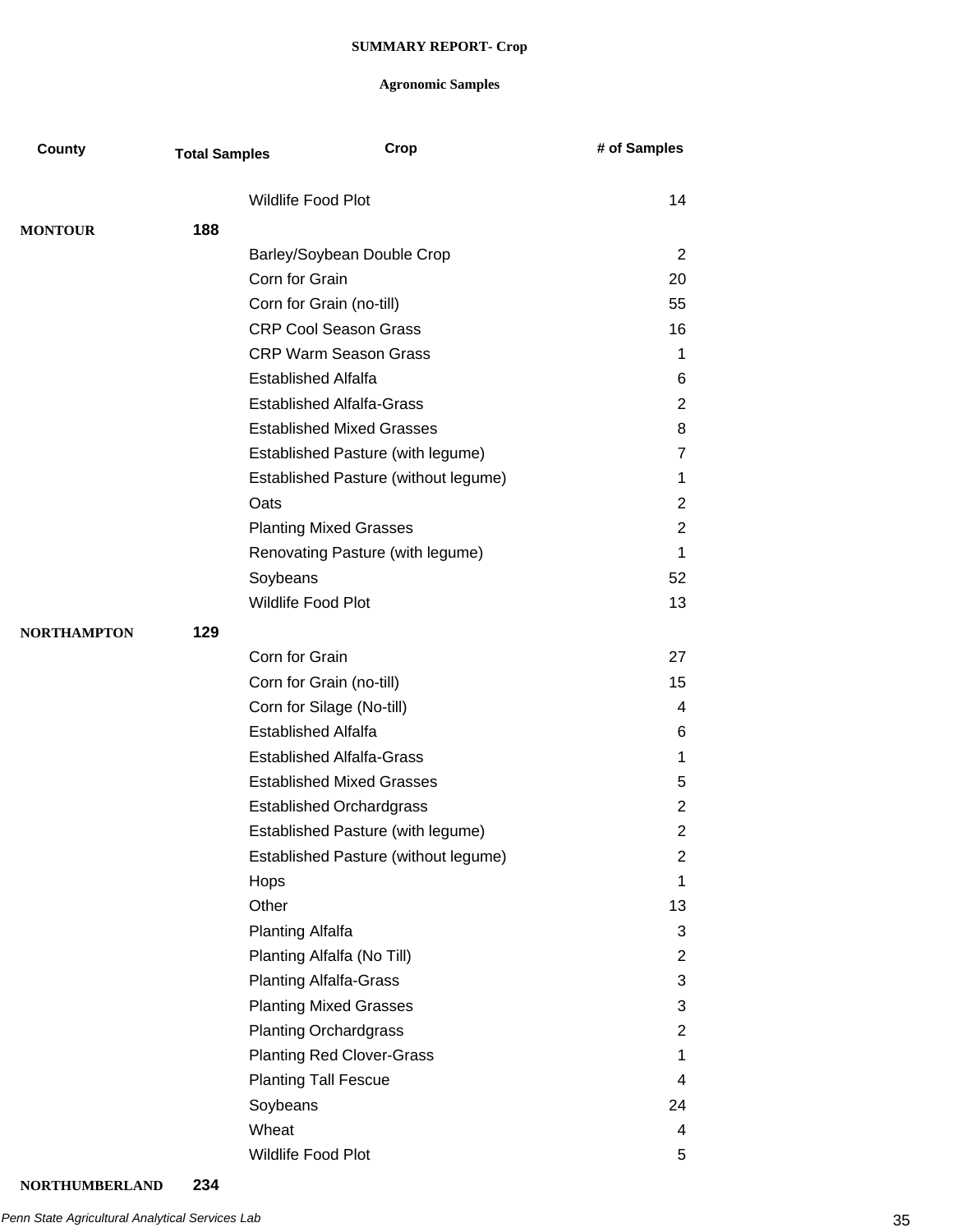| County             | <b>Total Samples</b> |                            | Crop                                 | # of Samples   |
|--------------------|----------------------|----------------------------|--------------------------------------|----------------|
|                    |                      | <b>Wildlife Food Plot</b>  |                                      | 14             |
| <b>MONTOUR</b>     | 188                  |                            |                                      |                |
|                    |                      |                            | Barley/Soybean Double Crop           | 2              |
|                    |                      | Corn for Grain             |                                      | 20             |
|                    |                      |                            | Corn for Grain (no-till)             | 55             |
|                    |                      |                            | <b>CRP Cool Season Grass</b>         | 16             |
|                    |                      |                            | <b>CRP Warm Season Grass</b>         | 1              |
|                    |                      | <b>Established Alfalfa</b> |                                      | 6              |
|                    |                      |                            | <b>Established Alfalfa-Grass</b>     | 2              |
|                    |                      |                            | <b>Established Mixed Grasses</b>     | 8              |
|                    |                      |                            | Established Pasture (with legume)    | 7              |
|                    |                      |                            | Established Pasture (without legume) | 1.             |
|                    |                      | Oats                       |                                      | $\overline{2}$ |
|                    |                      |                            | <b>Planting Mixed Grasses</b>        | 2              |
|                    |                      |                            | Renovating Pasture (with legume)     | 1              |
|                    |                      | Soybeans                   |                                      | 52             |
|                    |                      | Wildlife Food Plot         |                                      | 13             |
| <b>NORTHAMPTON</b> | 129                  |                            |                                      |                |
|                    |                      | Corn for Grain             |                                      | 27             |
|                    |                      |                            | Corn for Grain (no-till)             | 15             |
|                    |                      |                            | Corn for Silage (No-till)            | 4              |
|                    |                      | <b>Established Alfalfa</b> |                                      | 6              |
|                    |                      |                            | <b>Established Alfalfa-Grass</b>     | 1              |
|                    |                      |                            | <b>Established Mixed Grasses</b>     | 5              |
|                    |                      |                            | <b>Established Orchardgrass</b>      | $\overline{2}$ |
|                    |                      |                            | Established Pasture (with legume)    | 2              |
|                    |                      |                            | Established Pasture (without legume) | 2              |
|                    |                      | Hops                       |                                      | $\mathbf 1$    |
|                    |                      | Other                      |                                      | 13             |
|                    |                      | Planting Alfalfa           |                                      | 3              |
|                    |                      |                            | Planting Alfalfa (No Till)           | 2              |
|                    |                      |                            | <b>Planting Alfalfa-Grass</b>        | 3              |
|                    |                      |                            | <b>Planting Mixed Grasses</b>        | 3              |
|                    |                      |                            | <b>Planting Orchardgrass</b>         | 2              |
|                    |                      |                            | <b>Planting Red Clover-Grass</b>     | 1              |
|                    |                      |                            | <b>Planting Tall Fescue</b>          | 4              |
|                    |                      | Soybeans                   |                                      | 24             |
|                    |                      | Wheat                      |                                      | 4              |
|                    |                      | Wildlife Food Plot         |                                      | 5              |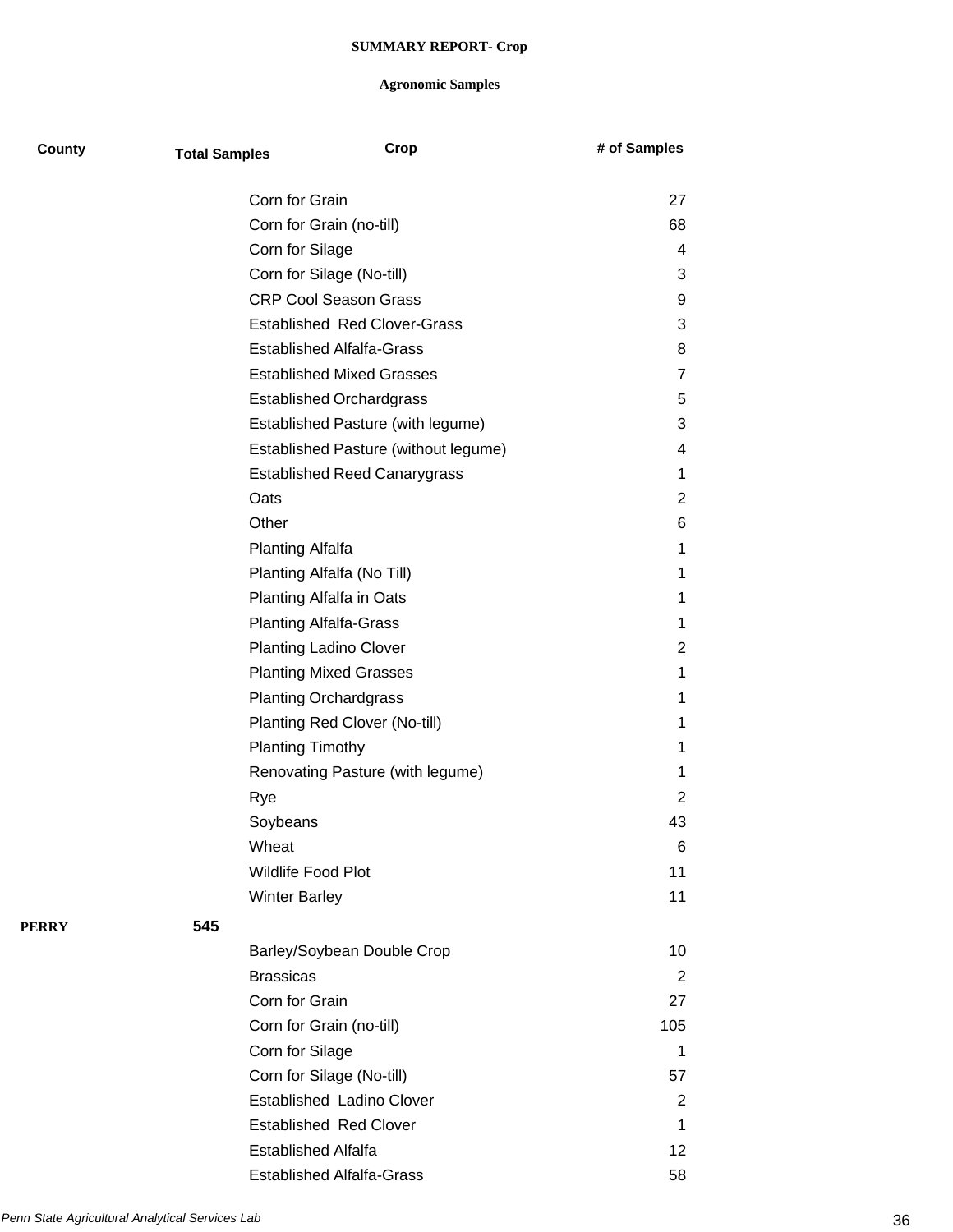| County       | <b>Total Samples</b> |                                  | Crop                                 | # of Samples   |  |
|--------------|----------------------|----------------------------------|--------------------------------------|----------------|--|
|              |                      | Corn for Grain                   |                                      | 27             |  |
|              |                      | Corn for Grain (no-till)         |                                      | 68             |  |
|              |                      | Corn for Silage                  |                                      | 4              |  |
|              |                      | Corn for Silage (No-till)        |                                      | 3              |  |
|              |                      | <b>CRP Cool Season Grass</b>     |                                      | 9              |  |
|              |                      |                                  | <b>Established Red Clover-Grass</b>  | 3              |  |
|              |                      | <b>Established Alfalfa-Grass</b> |                                      | 8              |  |
|              |                      | <b>Established Mixed Grasses</b> |                                      | $\overline{7}$ |  |
|              |                      | <b>Established Orchardgrass</b>  |                                      | 5              |  |
|              |                      |                                  | Established Pasture (with legume)    | 3              |  |
|              |                      |                                  | Established Pasture (without legume) | 4              |  |
|              |                      |                                  | <b>Established Reed Canarygrass</b>  | 1              |  |
|              |                      | Oats                             |                                      | $\overline{2}$ |  |
|              |                      | Other                            |                                      | 6              |  |
|              |                      | <b>Planting Alfalfa</b>          |                                      | 1              |  |
|              |                      | Planting Alfalfa (No Till)       |                                      | 1              |  |
|              |                      | Planting Alfalfa in Oats         |                                      | 1              |  |
|              |                      | <b>Planting Alfalfa-Grass</b>    |                                      | 1              |  |
|              |                      | <b>Planting Ladino Clover</b>    |                                      | 2              |  |
|              |                      | <b>Planting Mixed Grasses</b>    |                                      | 1              |  |
|              |                      | <b>Planting Orchardgrass</b>     |                                      | 1              |  |
|              |                      | Planting Red Clover (No-till)    |                                      | 1              |  |
|              |                      | <b>Planting Timothy</b>          |                                      | 1              |  |
|              |                      |                                  | Renovating Pasture (with legume)     | 1              |  |
|              |                      | Rye                              |                                      | 2              |  |
|              |                      | Soybeans                         |                                      | 43             |  |
|              |                      | Wheat                            |                                      | 6              |  |
|              |                      | Wildlife Food Plot               |                                      | 11             |  |
|              |                      | <b>Winter Barley</b>             |                                      | 11             |  |
| <b>PERRY</b> | 545                  |                                  |                                      |                |  |
|              |                      |                                  | Barley/Soybean Double Crop           | 10             |  |
|              |                      | <b>Brassicas</b>                 |                                      | $\overline{2}$ |  |
|              |                      | Corn for Grain                   |                                      | 27             |  |
|              |                      | Corn for Grain (no-till)         |                                      | 105            |  |
|              |                      | Corn for Silage                  |                                      | 1              |  |
|              |                      | Corn for Silage (No-till)        |                                      | 57             |  |
|              |                      | Established Ladino Clover        |                                      | 2              |  |
|              |                      | <b>Established Red Clover</b>    |                                      | 1              |  |
|              |                      | <b>Established Alfalfa</b>       |                                      | 12             |  |
|              |                      | <b>Established Alfalfa-Grass</b> |                                      | 58             |  |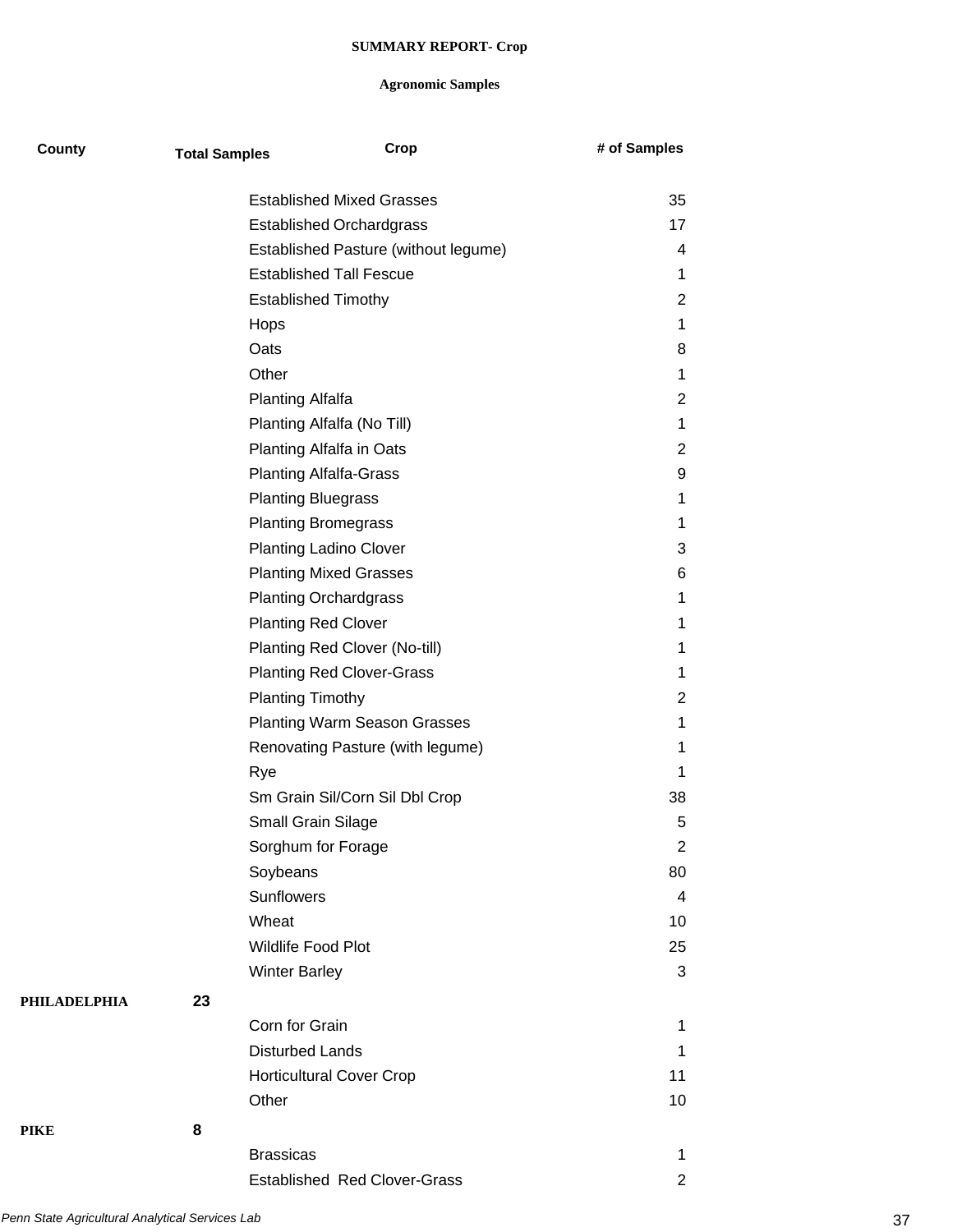| <b>County</b>       | <b>Total Samples</b> | Crop                                 | # of Samples   |
|---------------------|----------------------|--------------------------------------|----------------|
|                     |                      | <b>Established Mixed Grasses</b>     | 35             |
|                     |                      | <b>Established Orchardgrass</b>      | 17             |
|                     |                      | Established Pasture (without legume) | 4              |
|                     |                      | <b>Established Tall Fescue</b>       | 1              |
|                     |                      | <b>Established Timothy</b>           | 2              |
|                     |                      | Hops                                 | 1              |
|                     |                      | Oats                                 | 8              |
|                     |                      | Other                                | 1              |
|                     |                      | <b>Planting Alfalfa</b>              | 2              |
|                     |                      | Planting Alfalfa (No Till)           | 1              |
|                     |                      | Planting Alfalfa in Oats             | 2              |
|                     |                      | <b>Planting Alfalfa-Grass</b>        | 9              |
|                     |                      | <b>Planting Bluegrass</b>            | 1              |
|                     |                      | <b>Planting Bromegrass</b>           | 1              |
|                     |                      | <b>Planting Ladino Clover</b>        | 3              |
|                     |                      | <b>Planting Mixed Grasses</b>        | 6              |
|                     |                      | <b>Planting Orchardgrass</b>         | 1              |
|                     |                      | <b>Planting Red Clover</b>           | 1              |
|                     |                      | Planting Red Clover (No-till)        | 1              |
|                     |                      | <b>Planting Red Clover-Grass</b>     | 1              |
|                     |                      | <b>Planting Timothy</b>              | 2              |
|                     |                      | <b>Planting Warm Season Grasses</b>  | 1              |
|                     |                      | Renovating Pasture (with legume)     | 1              |
|                     |                      | Rye                                  | 1              |
|                     |                      | Sm Grain Sil/Corn Sil Dbl Crop       | 38             |
|                     |                      | Small Grain Silage                   | 5              |
|                     |                      | Sorghum for Forage                   | $\overline{2}$ |
|                     |                      | Soybeans                             | 80             |
|                     |                      | Sunflowers                           | $\overline{4}$ |
|                     |                      | Wheat                                | 10             |
|                     |                      | Wildlife Food Plot                   | 25             |
|                     |                      | <b>Winter Barley</b>                 | $\mathbf{3}$   |
| <b>PHILADELPHIA</b> | 23                   |                                      |                |
|                     |                      | Corn for Grain                       | 1              |
|                     |                      | <b>Disturbed Lands</b>               | 1              |
|                     |                      | <b>Horticultural Cover Crop</b>      | 11             |
|                     |                      | Other                                | 10             |
| <b>PIKE</b>         | 8                    |                                      |                |
|                     |                      | <b>Brassicas</b>                     | 1              |
|                     |                      | <b>Established Red Clover-Grass</b>  | $\overline{2}$ |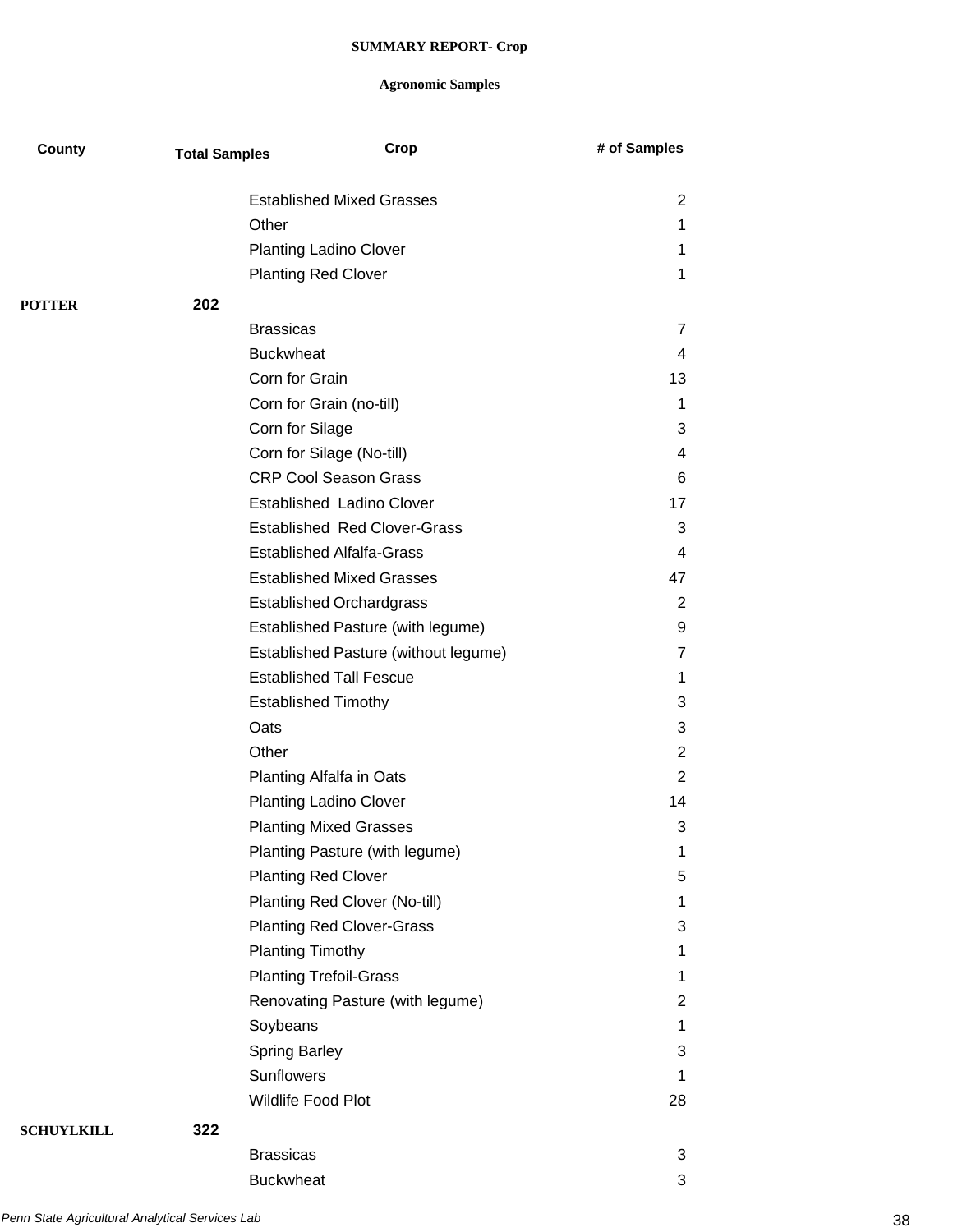| County            | <b>Total Samples</b> |                            | Crop                                 | # of Samples   |
|-------------------|----------------------|----------------------------|--------------------------------------|----------------|
|                   |                      |                            | <b>Established Mixed Grasses</b>     | $\overline{2}$ |
|                   |                      | Other                      |                                      | 1              |
|                   |                      |                            | <b>Planting Ladino Clover</b>        | 1              |
|                   |                      | <b>Planting Red Clover</b> |                                      | 1              |
| <b>POTTER</b>     | 202                  |                            |                                      |                |
|                   |                      | <b>Brassicas</b>           |                                      | $\overline{7}$ |
|                   |                      | <b>Buckwheat</b>           |                                      | 4              |
|                   |                      | Corn for Grain             |                                      | 13             |
|                   |                      |                            | Corn for Grain (no-till)             | 1              |
|                   |                      | Corn for Silage            |                                      | 3              |
|                   |                      |                            | Corn for Silage (No-till)            | 4              |
|                   |                      |                            | <b>CRP Cool Season Grass</b>         | 6              |
|                   |                      |                            | <b>Established Ladino Clover</b>     | 17             |
|                   |                      |                            | <b>Established Red Clover-Grass</b>  | 3              |
|                   |                      |                            | <b>Established Alfalfa-Grass</b>     | 4              |
|                   |                      |                            | <b>Established Mixed Grasses</b>     | 47             |
|                   |                      |                            | <b>Established Orchardgrass</b>      | 2              |
|                   |                      |                            | Established Pasture (with legume)    | 9              |
|                   |                      |                            | Established Pasture (without legume) | $\overline{7}$ |
|                   |                      |                            | <b>Established Tall Fescue</b>       | 1              |
|                   |                      |                            | <b>Established Timothy</b>           | 3              |
|                   |                      | Oats                       |                                      | 3              |
|                   |                      | Other                      |                                      | $\overline{2}$ |
|                   |                      |                            | Planting Alfalfa in Oats             | $\overline{2}$ |
|                   |                      |                            | <b>Planting Ladino Clover</b>        | 14             |
|                   |                      |                            | <b>Planting Mixed Grasses</b>        | 3              |
|                   |                      |                            | Planting Pasture (with legume)       | 1              |
|                   |                      | <b>Planting Red Clover</b> |                                      | 5              |
|                   |                      |                            | Planting Red Clover (No-till)        | 1              |
|                   |                      |                            | <b>Planting Red Clover-Grass</b>     | 3              |
|                   |                      | <b>Planting Timothy</b>    |                                      | 1              |
|                   |                      |                            | <b>Planting Trefoil-Grass</b>        | 1              |
|                   |                      |                            | Renovating Pasture (with legume)     | $\overline{2}$ |
|                   |                      | Soybeans                   |                                      | 1              |
|                   |                      | <b>Spring Barley</b>       |                                      | 3              |
|                   |                      | Sunflowers                 |                                      | 1              |
|                   |                      | Wildlife Food Plot         |                                      | 28             |
| <b>SCHUYLKILL</b> | 322                  |                            |                                      |                |
|                   |                      | <b>Brassicas</b>           |                                      | 3              |
|                   |                      | <b>Buckwheat</b>           |                                      | 3              |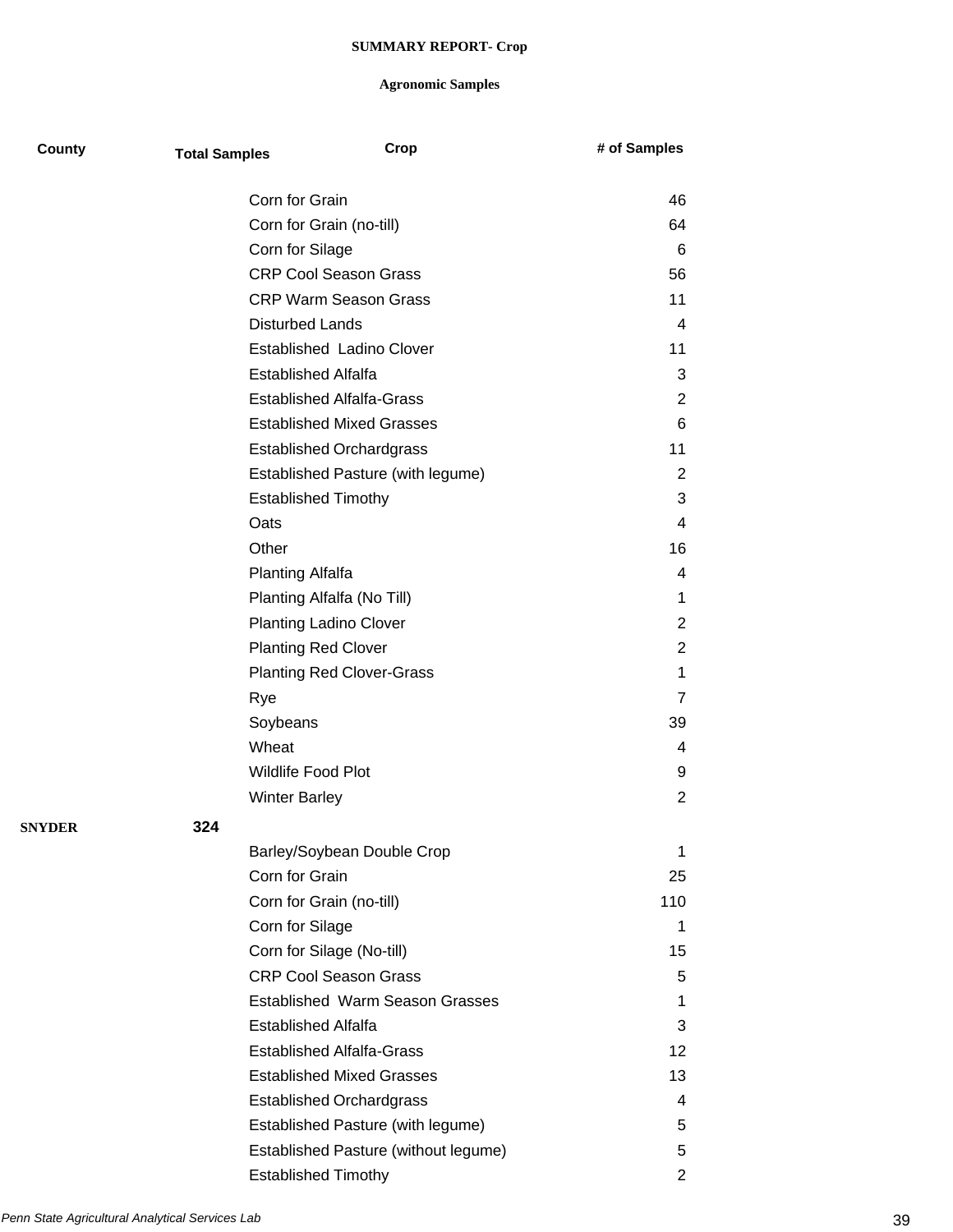| County        | <b>Total Samples</b> |                                  | Crop                                   | # of Samples   |
|---------------|----------------------|----------------------------------|----------------------------------------|----------------|
|               |                      | Corn for Grain                   |                                        | 46             |
|               |                      | Corn for Grain (no-till)         |                                        | 64             |
|               |                      | Corn for Silage                  |                                        | 6              |
|               |                      | <b>CRP Cool Season Grass</b>     |                                        | 56             |
|               |                      | <b>CRP Warm Season Grass</b>     |                                        | 11             |
|               |                      | <b>Disturbed Lands</b>           |                                        | 4              |
|               |                      |                                  | Established Ladino Clover              | 11             |
|               |                      | <b>Established Alfalfa</b>       |                                        | 3              |
|               |                      | <b>Established Alfalfa-Grass</b> |                                        | $\overline{2}$ |
|               |                      |                                  | <b>Established Mixed Grasses</b>       | 6              |
|               |                      | <b>Established Orchardgrass</b>  |                                        | 11             |
|               |                      |                                  | Established Pasture (with legume)      | $\overline{2}$ |
|               |                      | <b>Established Timothy</b>       |                                        | 3              |
|               |                      | Oats                             |                                        | 4              |
|               |                      | Other                            |                                        | 16             |
|               |                      | <b>Planting Alfalfa</b>          |                                        | 4              |
|               |                      | Planting Alfalfa (No Till)       |                                        | 1              |
|               |                      | <b>Planting Ladino Clover</b>    |                                        | $\overline{2}$ |
|               |                      | <b>Planting Red Clover</b>       |                                        | 2              |
|               |                      |                                  | <b>Planting Red Clover-Grass</b>       | 1              |
|               |                      | Rye                              |                                        | 7              |
|               |                      | Soybeans                         |                                        | 39             |
|               |                      | Wheat                            |                                        | 4              |
|               |                      | <b>Wildlife Food Plot</b>        |                                        | 9              |
|               |                      | <b>Winter Barley</b>             |                                        | 2              |
| <b>SNYDER</b> | 324                  |                                  |                                        |                |
|               |                      |                                  | Barley/Soybean Double Crop             | 1              |
|               |                      | Corn for Grain                   |                                        | 25             |
|               |                      | Corn for Grain (no-till)         |                                        | 110            |
|               |                      | Corn for Silage                  |                                        | 1              |
|               |                      | Corn for Silage (No-till)        |                                        | 15             |
|               |                      | <b>CRP Cool Season Grass</b>     |                                        | 5              |
|               |                      |                                  | <b>Established Warm Season Grasses</b> | 1              |
|               |                      | <b>Established Alfalfa</b>       |                                        | 3              |
|               |                      | <b>Established Alfalfa-Grass</b> |                                        | 12             |
|               |                      |                                  | <b>Established Mixed Grasses</b>       | 13             |
|               |                      | <b>Established Orchardgrass</b>  |                                        | 4              |
|               |                      |                                  | Established Pasture (with legume)      | 5              |
|               |                      |                                  | Established Pasture (without legume)   | 5              |
|               |                      | <b>Established Timothy</b>       |                                        | 2              |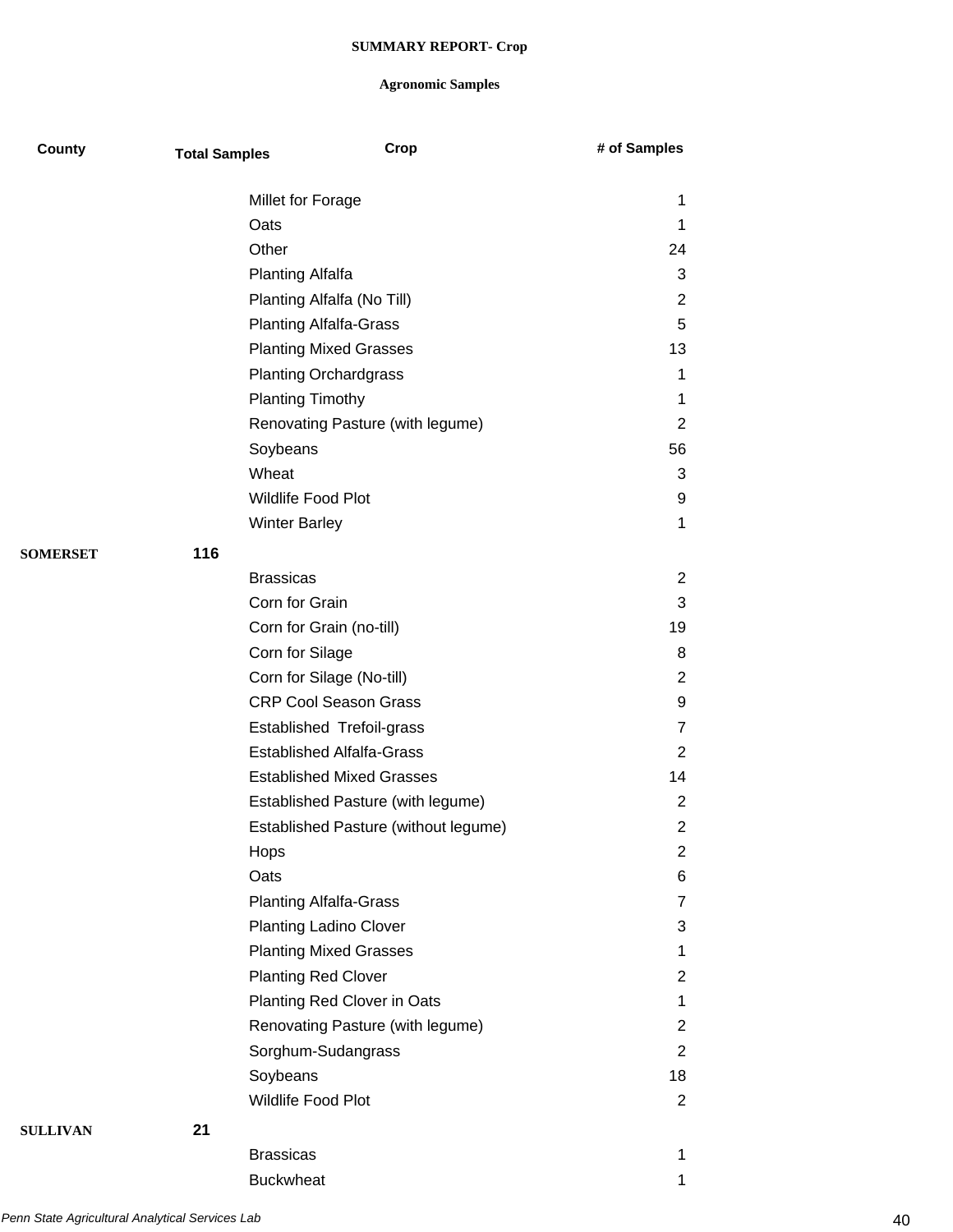| County          | <b>Total Samples</b> | Crop                                 | # of Samples   |
|-----------------|----------------------|--------------------------------------|----------------|
|                 |                      | Millet for Forage                    | 1              |
|                 |                      | Oats                                 | 1              |
|                 |                      | Other                                | 24             |
|                 |                      | <b>Planting Alfalfa</b>              | 3              |
|                 |                      | Planting Alfalfa (No Till)           | $\overline{2}$ |
|                 |                      | <b>Planting Alfalfa-Grass</b>        | 5              |
|                 |                      | <b>Planting Mixed Grasses</b>        | 13             |
|                 |                      | <b>Planting Orchardgrass</b>         | 1              |
|                 |                      | <b>Planting Timothy</b>              | 1              |
|                 |                      | Renovating Pasture (with legume)     | $\overline{2}$ |
|                 |                      | Soybeans                             | 56             |
|                 |                      | Wheat                                | 3              |
|                 |                      | <b>Wildlife Food Plot</b>            | 9              |
|                 |                      | <b>Winter Barley</b>                 | 1              |
| <b>SOMERSET</b> | 116                  |                                      |                |
|                 |                      | <b>Brassicas</b>                     | $\overline{2}$ |
|                 |                      | Corn for Grain                       | 3              |
|                 |                      | Corn for Grain (no-till)             | 19             |
|                 |                      | Corn for Silage                      | 8              |
|                 |                      | Corn for Silage (No-till)            | $\overline{2}$ |
|                 |                      | <b>CRP Cool Season Grass</b>         | 9              |
|                 |                      | Established Trefoil-grass            | $\overline{7}$ |
|                 |                      | <b>Established Alfalfa-Grass</b>     | 2              |
|                 |                      | <b>Established Mixed Grasses</b>     | 14             |
|                 |                      | Established Pasture (with legume)    | $\overline{2}$ |
|                 |                      | Established Pasture (without legume) | $\overline{2}$ |
|                 |                      | Hops                                 | 2              |
|                 |                      | Oats                                 | 6              |
|                 |                      | <b>Planting Alfalfa-Grass</b>        | 7              |
|                 |                      | <b>Planting Ladino Clover</b>        | 3              |
|                 |                      | <b>Planting Mixed Grasses</b>        | 1              |
|                 |                      | <b>Planting Red Clover</b>           | $\overline{2}$ |
|                 |                      | Planting Red Clover in Oats          | 1              |
|                 |                      | Renovating Pasture (with legume)     | $\overline{2}$ |
|                 |                      | Sorghum-Sudangrass                   | $\overline{2}$ |
|                 |                      | Soybeans                             | 18             |
|                 |                      | Wildlife Food Plot                   | $\overline{2}$ |
| <b>SULLIVAN</b> | 21                   |                                      |                |
|                 |                      | <b>Brassicas</b>                     | 1              |
|                 |                      | <b>Buckwheat</b>                     | 1              |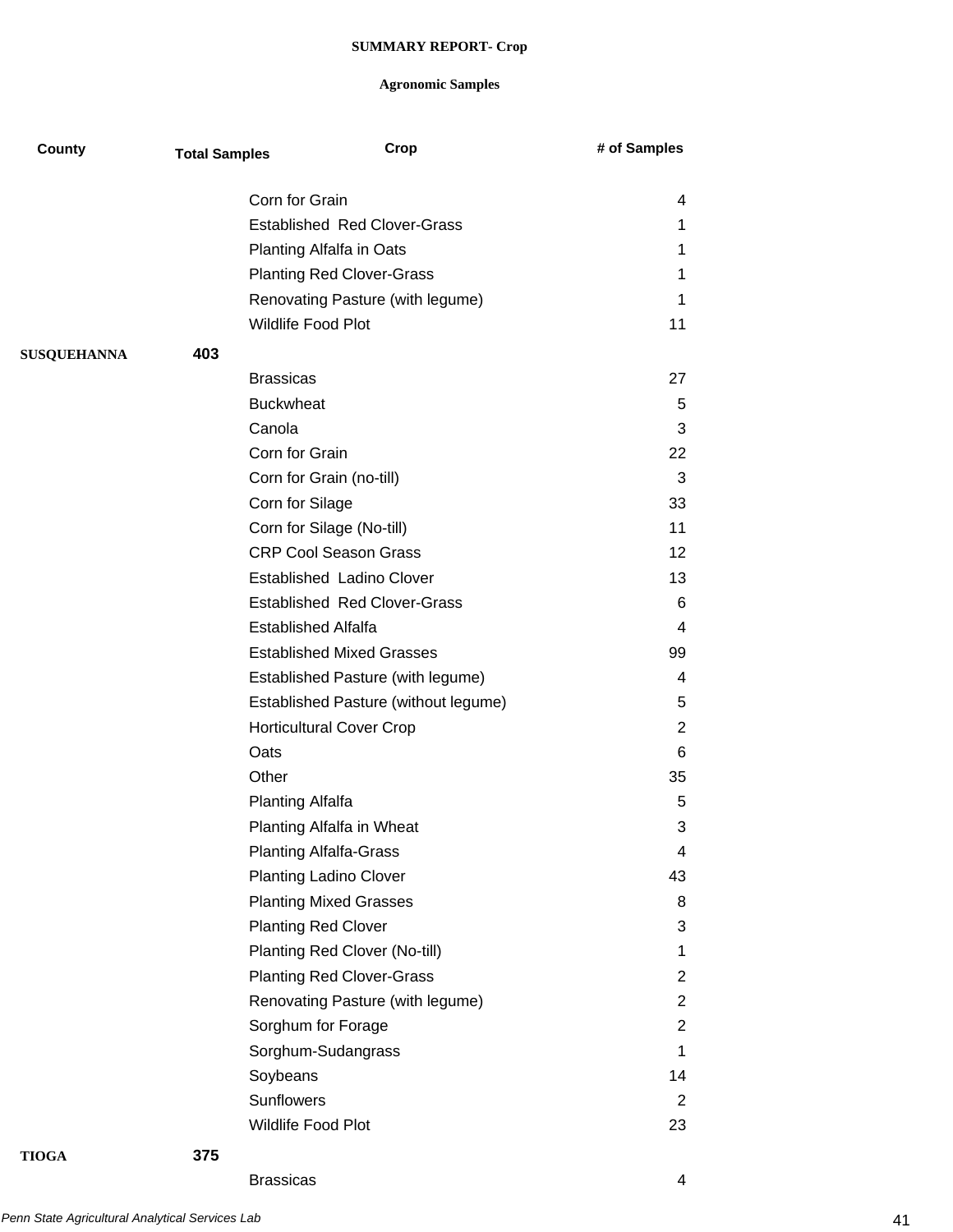## **Agronomic Samples**

| County             | <b>Total Samples</b> |                         | Crop                                                   | # of Samples   |
|--------------------|----------------------|-------------------------|--------------------------------------------------------|----------------|
|                    |                      |                         |                                                        |                |
|                    |                      | Corn for Grain          | <b>Established Red Clover-Grass</b>                    | 4              |
|                    |                      |                         | Planting Alfalfa in Oats                               | 1<br>1         |
|                    |                      |                         |                                                        |                |
|                    |                      |                         | <b>Planting Red Clover-Grass</b>                       | 1              |
|                    |                      |                         | Renovating Pasture (with legume)<br>Wildlife Food Plot | 1              |
|                    |                      |                         |                                                        | 11             |
| <b>SUSQUEHANNA</b> | 403                  |                         |                                                        |                |
|                    |                      | <b>Brassicas</b>        |                                                        | 27             |
|                    |                      | <b>Buckwheat</b>        |                                                        | 5              |
|                    |                      | Canola                  |                                                        | 3              |
|                    |                      | Corn for Grain          |                                                        | 22             |
|                    |                      |                         | Corn for Grain (no-till)                               | 3              |
|                    |                      | Corn for Silage         |                                                        | 33             |
|                    |                      |                         | Corn for Silage (No-till)                              | 11             |
|                    |                      |                         | <b>CRP Cool Season Grass</b>                           | 12             |
|                    |                      |                         | Established Ladino Clover                              | 13             |
|                    |                      |                         | <b>Established Red Clover-Grass</b>                    | 6              |
|                    |                      |                         | <b>Established Alfalfa</b>                             | 4              |
|                    |                      |                         | <b>Established Mixed Grasses</b>                       | 99             |
|                    |                      |                         | Established Pasture (with legume)                      | 4              |
|                    |                      |                         | Established Pasture (without legume)                   | 5              |
|                    |                      |                         | <b>Horticultural Cover Crop</b>                        | 2              |
|                    |                      | Oats                    |                                                        | 6              |
|                    |                      | Other                   |                                                        | 35             |
|                    |                      | <b>Planting Alfalfa</b> |                                                        | 5              |
|                    |                      |                         | Planting Alfalfa in Wheat                              | 3              |
|                    |                      |                         | <b>Planting Alfalfa-Grass</b>                          | 4              |
|                    |                      |                         | <b>Planting Ladino Clover</b>                          | 43             |
|                    |                      |                         | <b>Planting Mixed Grasses</b>                          | 8              |
|                    |                      |                         | <b>Planting Red Clover</b>                             | 3              |
|                    |                      |                         | Planting Red Clover (No-till)                          | $\mathbf 1$    |
|                    |                      |                         | <b>Planting Red Clover-Grass</b>                       | $\overline{2}$ |
|                    |                      |                         | Renovating Pasture (with legume)                       | $\overline{2}$ |
|                    |                      |                         | Sorghum for Forage                                     | 2              |
|                    |                      |                         | Sorghum-Sudangrass                                     | $\mathbf 1$    |
|                    |                      | Soybeans                |                                                        | 14             |
|                    |                      | Sunflowers              |                                                        | $\overline{2}$ |
|                    |                      |                         | Wildlife Food Plot                                     | 23             |
| <b>TIOGA</b>       | 375                  |                         |                                                        |                |

Brassicas 4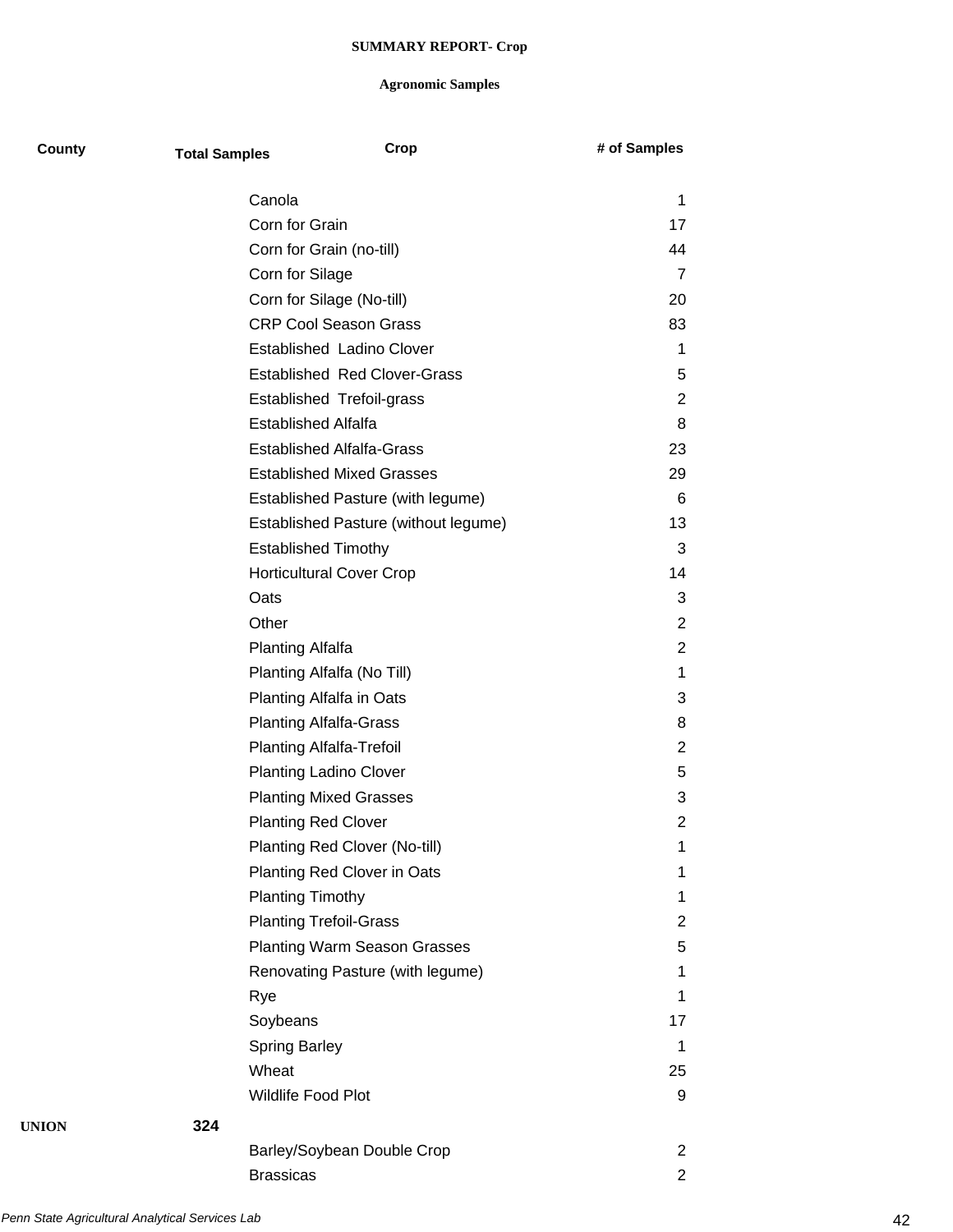| County | <b>Total Samples</b> |                                  | Crop                                 | # of Samples   |  |
|--------|----------------------|----------------------------------|--------------------------------------|----------------|--|
|        |                      | Canola                           |                                      | 1              |  |
|        |                      | Corn for Grain                   |                                      | 17             |  |
|        |                      | Corn for Grain (no-till)         |                                      | 44             |  |
|        |                      | Corn for Silage                  |                                      | $\overline{7}$ |  |
|        |                      | Corn for Silage (No-till)        |                                      | 20             |  |
|        |                      | <b>CRP Cool Season Grass</b>     |                                      | 83             |  |
|        |                      | Established Ladino Clover        |                                      | 1              |  |
|        |                      |                                  | <b>Established Red Clover-Grass</b>  | 5              |  |
|        |                      | <b>Established Trefoil-grass</b> |                                      | $\overline{2}$ |  |
|        |                      | <b>Established Alfalfa</b>       |                                      | 8              |  |
|        |                      | <b>Established Alfalfa-Grass</b> |                                      | 23             |  |
|        |                      |                                  | <b>Established Mixed Grasses</b>     | 29             |  |
|        |                      |                                  | Established Pasture (with legume)    | 6              |  |
|        |                      |                                  | Established Pasture (without legume) | 13             |  |
|        |                      | <b>Established Timothy</b>       |                                      | 3              |  |
|        |                      | <b>Horticultural Cover Crop</b>  |                                      | 14             |  |
|        |                      | Oats                             |                                      | 3              |  |
|        |                      | Other                            |                                      | $\overline{2}$ |  |
|        |                      | <b>Planting Alfalfa</b>          |                                      | $\overline{2}$ |  |
|        |                      | Planting Alfalfa (No Till)       |                                      | 1              |  |
|        |                      | Planting Alfalfa in Oats         |                                      | 3              |  |
|        |                      | <b>Planting Alfalfa-Grass</b>    |                                      | 8              |  |
|        |                      | <b>Planting Alfalfa-Trefoil</b>  |                                      | 2              |  |
|        |                      | <b>Planting Ladino Clover</b>    |                                      | 5              |  |
|        |                      | <b>Planting Mixed Grasses</b>    |                                      | 3              |  |
|        |                      | <b>Planting Red Clover</b>       |                                      | $\overline{2}$ |  |
|        |                      |                                  | Planting Red Clover (No-till)        | 1              |  |
|        |                      |                                  | Planting Red Clover in Oats          | 1              |  |
|        |                      | <b>Planting Timothy</b>          |                                      | 1              |  |
|        |                      | <b>Planting Trefoil-Grass</b>    |                                      | $\overline{2}$ |  |
|        |                      |                                  | <b>Planting Warm Season Grasses</b>  | 5              |  |
|        |                      |                                  | Renovating Pasture (with legume)     | 1              |  |
|        |                      | Rye                              |                                      | 1              |  |
|        |                      | Soybeans                         |                                      | 17             |  |
|        |                      | <b>Spring Barley</b>             |                                      | 1              |  |
|        |                      | Wheat                            |                                      | 25             |  |
|        |                      | Wildlife Food Plot               |                                      | 9              |  |
| UNION  | 324                  |                                  |                                      |                |  |
|        |                      |                                  | Barley/Soybean Double Crop           | 2              |  |
|        |                      | <b>Brassicas</b>                 |                                      | $\overline{2}$ |  |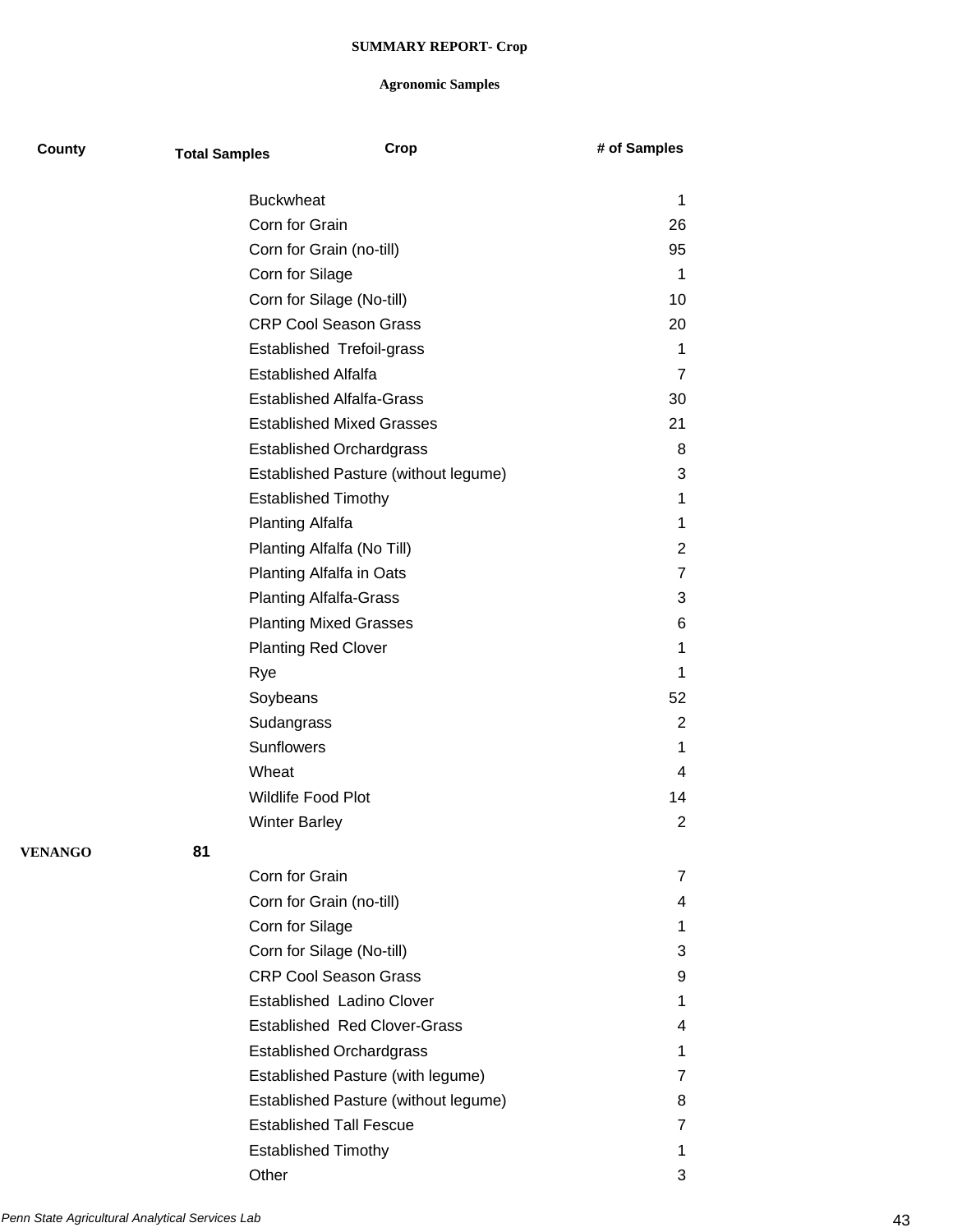| County         | <b>Total Samples</b> | Crop                                 | # of Samples   |
|----------------|----------------------|--------------------------------------|----------------|
|                |                      | <b>Buckwheat</b>                     | 1              |
|                |                      | Corn for Grain                       | 26             |
|                |                      | Corn for Grain (no-till)             | 95             |
|                |                      | Corn for Silage                      | 1              |
|                |                      | Corn for Silage (No-till)            | 10             |
|                |                      | <b>CRP Cool Season Grass</b>         | 20             |
|                |                      | Established Trefoil-grass            | 1              |
|                |                      | <b>Established Alfalfa</b>           | $\overline{7}$ |
|                |                      | <b>Established Alfalfa-Grass</b>     | 30             |
|                |                      | <b>Established Mixed Grasses</b>     | 21             |
|                |                      | <b>Established Orchardgrass</b>      | 8              |
|                |                      | Established Pasture (without legume) | 3              |
|                |                      | <b>Established Timothy</b>           | 1              |
|                |                      | Planting Alfalfa                     | 1              |
|                |                      | Planting Alfalfa (No Till)           | $\overline{2}$ |
|                |                      | Planting Alfalfa in Oats             | $\overline{7}$ |
|                |                      | <b>Planting Alfalfa-Grass</b>        | 3              |
|                |                      | <b>Planting Mixed Grasses</b>        | 6              |
|                |                      | <b>Planting Red Clover</b>           | 1              |
|                |                      | Rye                                  | 1              |
|                |                      | Soybeans                             | 52             |
|                |                      | Sudangrass                           | $\overline{2}$ |
|                |                      | <b>Sunflowers</b>                    | 1              |
|                |                      | Wheat                                | 4              |
|                |                      | <b>Wildlife Food Plot</b>            | 14             |
|                |                      | <b>Winter Barley</b>                 | 2              |
| <b>VENANGO</b> | 81                   |                                      |                |
|                |                      | Corn for Grain                       | 7              |
|                |                      | Corn for Grain (no-till)             | 4              |
|                |                      | Corn for Silage                      | 1.             |
|                |                      | Corn for Silage (No-till)            | 3              |
|                |                      | <b>CRP Cool Season Grass</b>         | 9              |
|                |                      | Established Ladino Clover            | 1.             |
|                |                      | <b>Established Red Clover-Grass</b>  | 4              |
|                |                      | <b>Established Orchardgrass</b>      | 1              |
|                |                      | Established Pasture (with legume)    | 7              |
|                |                      | Established Pasture (without legume) | 8              |
|                |                      | <b>Established Tall Fescue</b>       | 7              |
|                |                      | <b>Established Timothy</b>           | 1              |
|                |                      | Other                                | 3              |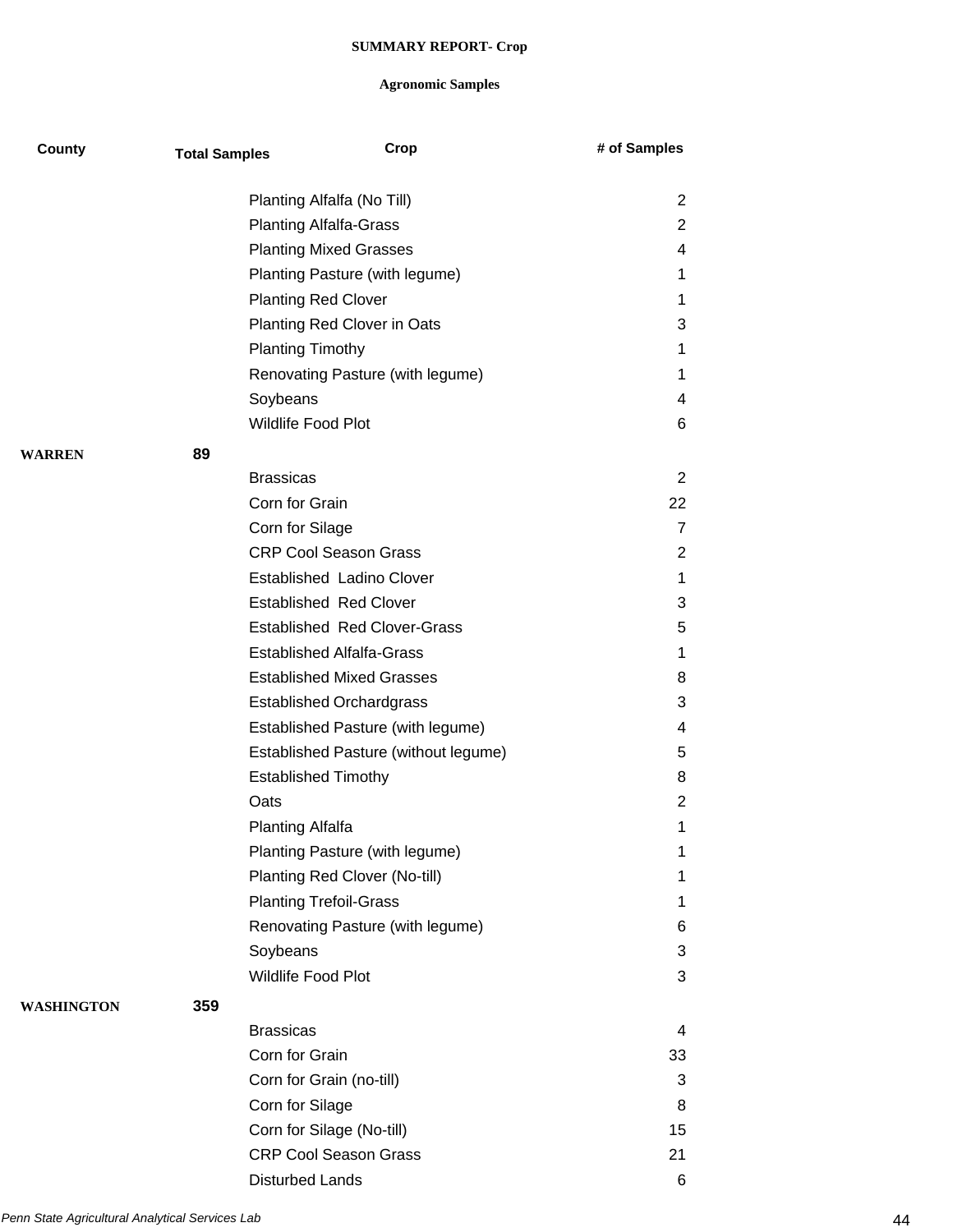| County        | <b>Total Samples</b> |                                  | Crop                                 | # of Samples   |
|---------------|----------------------|----------------------------------|--------------------------------------|----------------|
|               |                      | Planting Alfalfa (No Till)       |                                      | $\overline{2}$ |
|               |                      | <b>Planting Alfalfa-Grass</b>    |                                      | $\overline{2}$ |
|               |                      | <b>Planting Mixed Grasses</b>    |                                      | 4              |
|               |                      |                                  | Planting Pasture (with legume)       | 1              |
|               |                      | <b>Planting Red Clover</b>       |                                      | 1              |
|               |                      |                                  | Planting Red Clover in Oats          | 3              |
|               |                      | <b>Planting Timothy</b>          |                                      | 1              |
|               |                      |                                  | Renovating Pasture (with legume)     | 1              |
|               |                      | Soybeans                         |                                      | 4              |
|               |                      | Wildlife Food Plot               |                                      | 6              |
| <b>WARREN</b> | 89                   |                                  |                                      |                |
|               |                      | <b>Brassicas</b>                 |                                      | 2              |
|               |                      | Corn for Grain                   |                                      | 22             |
|               |                      | Corn for Silage                  |                                      | $\overline{7}$ |
|               |                      | <b>CRP Cool Season Grass</b>     |                                      | $\overline{2}$ |
|               |                      |                                  | <b>Established Ladino Clover</b>     | 1              |
|               |                      | <b>Established Red Clover</b>    |                                      | 3              |
|               |                      |                                  | <b>Established Red Clover-Grass</b>  | 5              |
|               |                      | <b>Established Alfalfa-Grass</b> |                                      | 1              |
|               |                      |                                  | <b>Established Mixed Grasses</b>     | 8              |
|               |                      | <b>Established Orchardgrass</b>  |                                      | 3              |
|               |                      |                                  | Established Pasture (with legume)    | 4              |
|               |                      |                                  | Established Pasture (without legume) | 5              |
|               |                      | <b>Established Timothy</b>       |                                      | 8              |
|               |                      | Oats                             |                                      | $\overline{2}$ |
|               |                      | <b>Planting Alfalfa</b>          |                                      | 1              |
|               |                      |                                  | Planting Pasture (with legume)       | 1              |
|               |                      |                                  | Planting Red Clover (No-till)        | 1              |
|               |                      | <b>Planting Trefoil-Grass</b>    |                                      | 1              |
|               |                      |                                  | Renovating Pasture (with legume)     | 6              |
|               |                      | Soybeans                         |                                      | 3              |
|               |                      | Wildlife Food Plot               |                                      | 3              |
| WASHINGTON    | 359                  |                                  |                                      |                |
|               |                      | <b>Brassicas</b>                 |                                      | 4              |
|               |                      | Corn for Grain                   |                                      | 33             |
|               |                      | Corn for Grain (no-till)         |                                      | 3              |
|               |                      | Corn for Silage                  |                                      | 8              |
|               |                      | Corn for Silage (No-till)        |                                      | 15             |
|               |                      | <b>CRP Cool Season Grass</b>     |                                      | 21             |
|               |                      | <b>Disturbed Lands</b>           |                                      | 6              |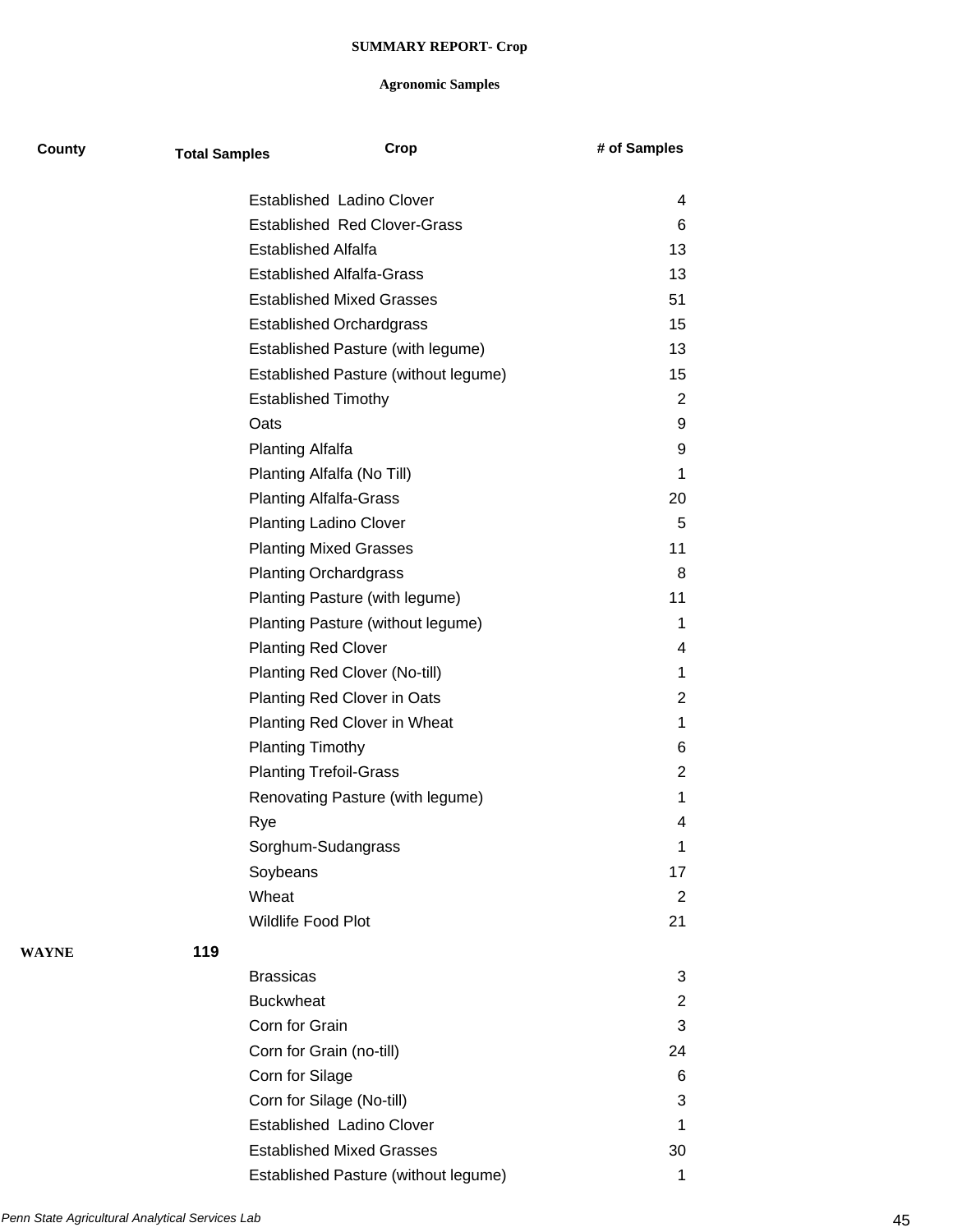| County       | <b>Total Samples</b> | Crop                                 | # of Samples   |
|--------------|----------------------|--------------------------------------|----------------|
|              |                      | Established Ladino Clover            | 4              |
|              |                      | <b>Established Red Clover-Grass</b>  | 6              |
|              |                      | <b>Established Alfalfa</b>           | 13             |
|              |                      | <b>Established Alfalfa-Grass</b>     | 13             |
|              |                      | <b>Established Mixed Grasses</b>     | 51             |
|              |                      | <b>Established Orchardgrass</b>      | 15             |
|              |                      | Established Pasture (with legume)    | 13             |
|              |                      | Established Pasture (without legume) | 15             |
|              |                      | <b>Established Timothy</b>           | $\overline{2}$ |
|              |                      | Oats                                 | 9              |
|              |                      | <b>Planting Alfalfa</b>              | 9              |
|              |                      | Planting Alfalfa (No Till)           | 1              |
|              |                      | <b>Planting Alfalfa-Grass</b>        | 20             |
|              |                      | <b>Planting Ladino Clover</b>        | 5              |
|              |                      | <b>Planting Mixed Grasses</b>        | 11             |
|              |                      | <b>Planting Orchardgrass</b>         | 8              |
|              |                      | Planting Pasture (with legume)       | 11             |
|              |                      | Planting Pasture (without legume)    | 1              |
|              |                      | <b>Planting Red Clover</b>           | 4              |
|              |                      | Planting Red Clover (No-till)        | 1              |
|              |                      | Planting Red Clover in Oats          | 2              |
|              |                      | Planting Red Clover in Wheat         | 1              |
|              |                      | <b>Planting Timothy</b>              | 6              |
|              |                      | <b>Planting Trefoil-Grass</b>        | $\overline{2}$ |
|              |                      | Renovating Pasture (with legume)     | 1              |
|              |                      | Rye                                  | 4              |
|              |                      | Sorghum-Sudangrass                   | 1              |
|              |                      | Soybeans                             | 17             |
|              |                      | Wheat                                | $\overline{2}$ |
|              |                      | Wildlife Food Plot                   | 21             |
| <b>WAYNE</b> | 119                  |                                      |                |
|              |                      | <b>Brassicas</b>                     | 3              |
|              |                      | <b>Buckwheat</b>                     | $\overline{2}$ |
|              |                      | Corn for Grain                       | 3              |
|              |                      | Corn for Grain (no-till)             | 24             |
|              |                      | Corn for Silage                      | 6              |
|              |                      | Corn for Silage (No-till)            | 3              |
|              |                      | <b>Established Ladino Clover</b>     | 1              |
|              |                      | <b>Established Mixed Grasses</b>     | 30             |
|              |                      | Established Pasture (without legume) | 1              |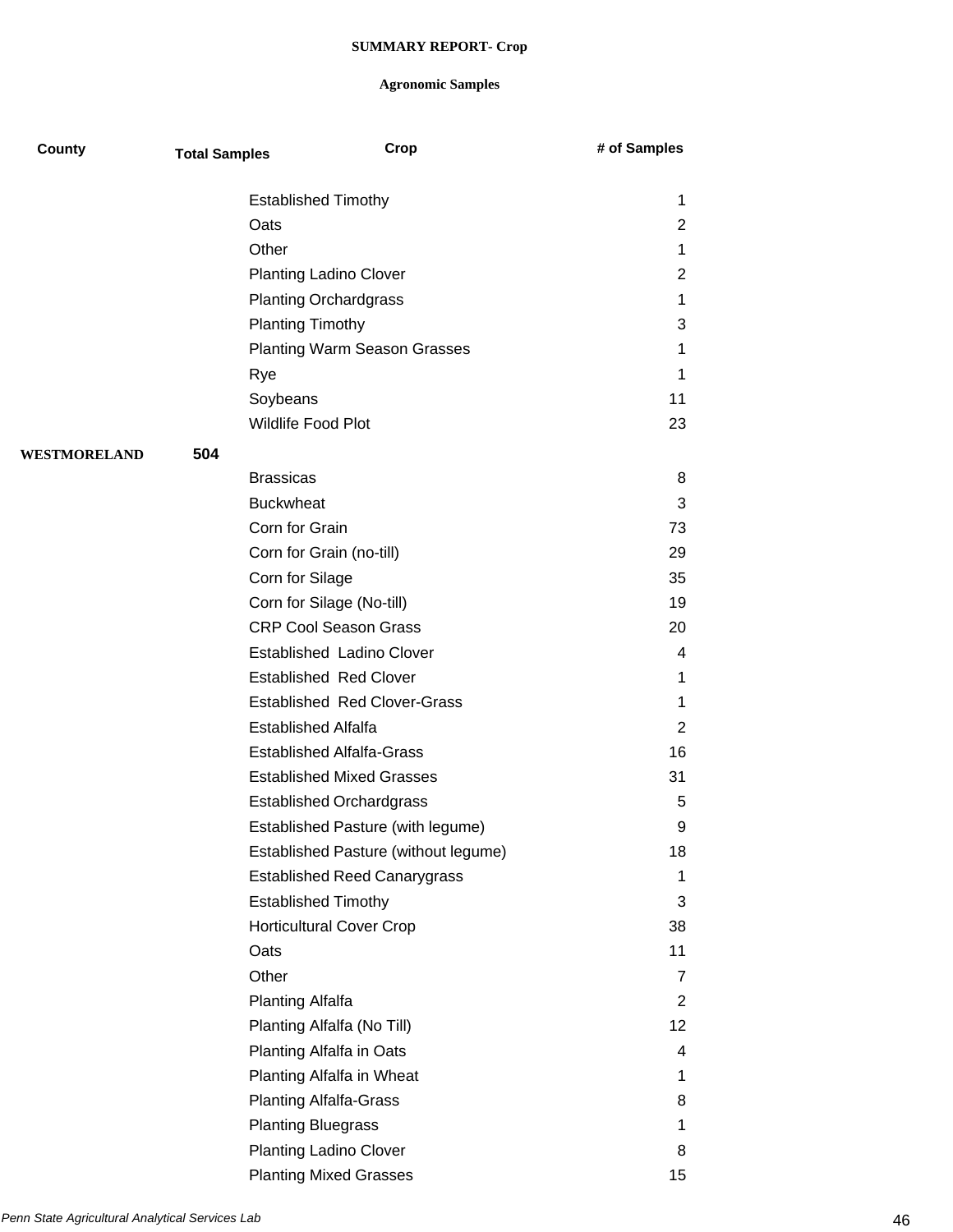| County       | <b>Total Samples</b> | Crop                                 | # of Samples    |
|--------------|----------------------|--------------------------------------|-----------------|
|              |                      | <b>Established Timothy</b>           | 1               |
|              | Oats                 |                                      | $\overline{2}$  |
|              | Other                |                                      | 1               |
|              |                      | <b>Planting Ladino Clover</b>        | $\overline{2}$  |
|              |                      | <b>Planting Orchardgrass</b>         | 1               |
|              |                      | <b>Planting Timothy</b>              | 3               |
|              |                      | <b>Planting Warm Season Grasses</b>  | 1               |
|              | Rye                  |                                      | 1               |
|              |                      | Soybeans                             | 11              |
|              |                      | Wildlife Food Plot                   | 23              |
| WESTMORELAND | 504                  |                                      |                 |
|              |                      | <b>Brassicas</b>                     | 8               |
|              |                      | <b>Buckwheat</b>                     | 3               |
|              |                      | Corn for Grain                       | 73              |
|              |                      | Corn for Grain (no-till)             | 29              |
|              |                      | Corn for Silage                      | 35              |
|              |                      | Corn for Silage (No-till)            | 19              |
|              |                      | <b>CRP Cool Season Grass</b>         | 20              |
|              |                      | <b>Established Ladino Clover</b>     | 4               |
|              |                      | <b>Established Red Clover</b>        | 1               |
|              |                      | <b>Established Red Clover-Grass</b>  | 1               |
|              |                      | <b>Established Alfalfa</b>           | $\overline{2}$  |
|              |                      | <b>Established Alfalfa-Grass</b>     | 16              |
|              |                      | <b>Established Mixed Grasses</b>     | 31              |
|              |                      | <b>Established Orchardgrass</b>      | 5               |
|              |                      | Established Pasture (with legume)    | 9               |
|              |                      | Established Pasture (without legume) | 18              |
|              |                      | <b>Established Reed Canarygrass</b>  | 1               |
|              |                      | <b>Established Timothy</b>           | 3               |
|              |                      | <b>Horticultural Cover Crop</b>      | 38              |
|              | Oats                 |                                      | 11              |
|              | Other                |                                      | $\overline{7}$  |
|              |                      | <b>Planting Alfalfa</b>              | $\overline{2}$  |
|              |                      | Planting Alfalfa (No Till)           | 12 <sub>2</sub> |
|              |                      | Planting Alfalfa in Oats             | 4               |
|              |                      | Planting Alfalfa in Wheat            | 1               |
|              |                      | <b>Planting Alfalfa-Grass</b>        | 8               |
|              |                      | <b>Planting Bluegrass</b>            | 1               |
|              |                      | <b>Planting Ladino Clover</b>        | 8               |
|              |                      | <b>Planting Mixed Grasses</b>        | 15              |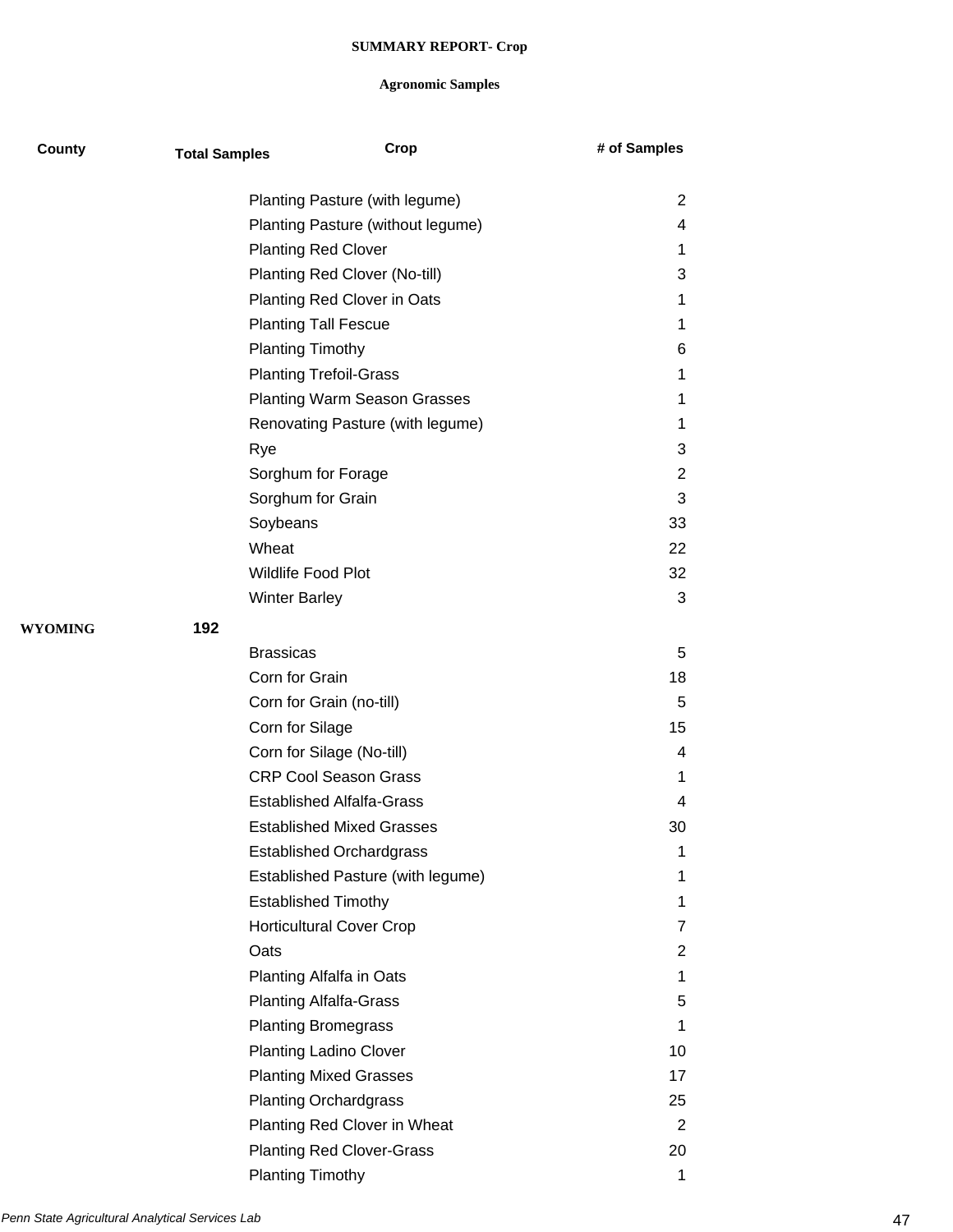| County         | <b>Total Samples</b>              | Crop                                | # of Samples   |
|----------------|-----------------------------------|-------------------------------------|----------------|
|                |                                   | Planting Pasture (with legume)      | 2              |
|                | Planting Pasture (without legume) |                                     | 4              |
|                |                                   | <b>Planting Red Clover</b>          | 1              |
|                |                                   | Planting Red Clover (No-till)       | 3              |
|                |                                   | Planting Red Clover in Oats         | 1              |
|                |                                   | <b>Planting Tall Fescue</b>         | 1              |
|                | <b>Planting Timothy</b>           |                                     | 6              |
|                |                                   | <b>Planting Trefoil-Grass</b>       | 1              |
|                |                                   | <b>Planting Warm Season Grasses</b> | 1              |
|                |                                   | Renovating Pasture (with legume)    | 1              |
|                | Rye                               |                                     | 3              |
|                |                                   | Sorghum for Forage                  | $\overline{2}$ |
|                | Sorghum for Grain                 |                                     | 3              |
|                | Soybeans                          |                                     | 33             |
|                | Wheat                             |                                     | 22             |
|                | <b>Wildlife Food Plot</b>         |                                     | 32             |
|                | <b>Winter Barley</b>              |                                     | 3              |
| <b>WYOMING</b> | 192                               |                                     |                |
|                | <b>Brassicas</b>                  |                                     | 5              |
|                | Corn for Grain                    |                                     | 18             |
|                |                                   | Corn for Grain (no-till)            | 5              |
|                | Corn for Silage                   |                                     | 15             |
|                |                                   | Corn for Silage (No-till)           | 4              |
|                |                                   | <b>CRP Cool Season Grass</b>        | 1              |
|                |                                   | <b>Established Alfalfa-Grass</b>    | 4              |
|                |                                   | <b>Established Mixed Grasses</b>    | 30             |
|                |                                   | <b>Established Orchardgrass</b>     | 1              |
|                |                                   | Established Pasture (with legume)   | 1              |
|                |                                   | <b>Established Timothy</b>          | 1              |
|                |                                   | <b>Horticultural Cover Crop</b>     | 7              |
|                | Oats                              |                                     | 2              |
|                |                                   | Planting Alfalfa in Oats            | 1              |
|                |                                   | <b>Planting Alfalfa-Grass</b>       | 5              |
|                |                                   | <b>Planting Bromegrass</b>          | 1              |
|                |                                   | <b>Planting Ladino Clover</b>       | 10             |
|                |                                   | <b>Planting Mixed Grasses</b>       | 17             |
|                |                                   | <b>Planting Orchardgrass</b>        | 25             |
|                |                                   | Planting Red Clover in Wheat        | 2              |
|                |                                   | <b>Planting Red Clover-Grass</b>    | 20             |
|                | <b>Planting Timothy</b>           |                                     | 1              |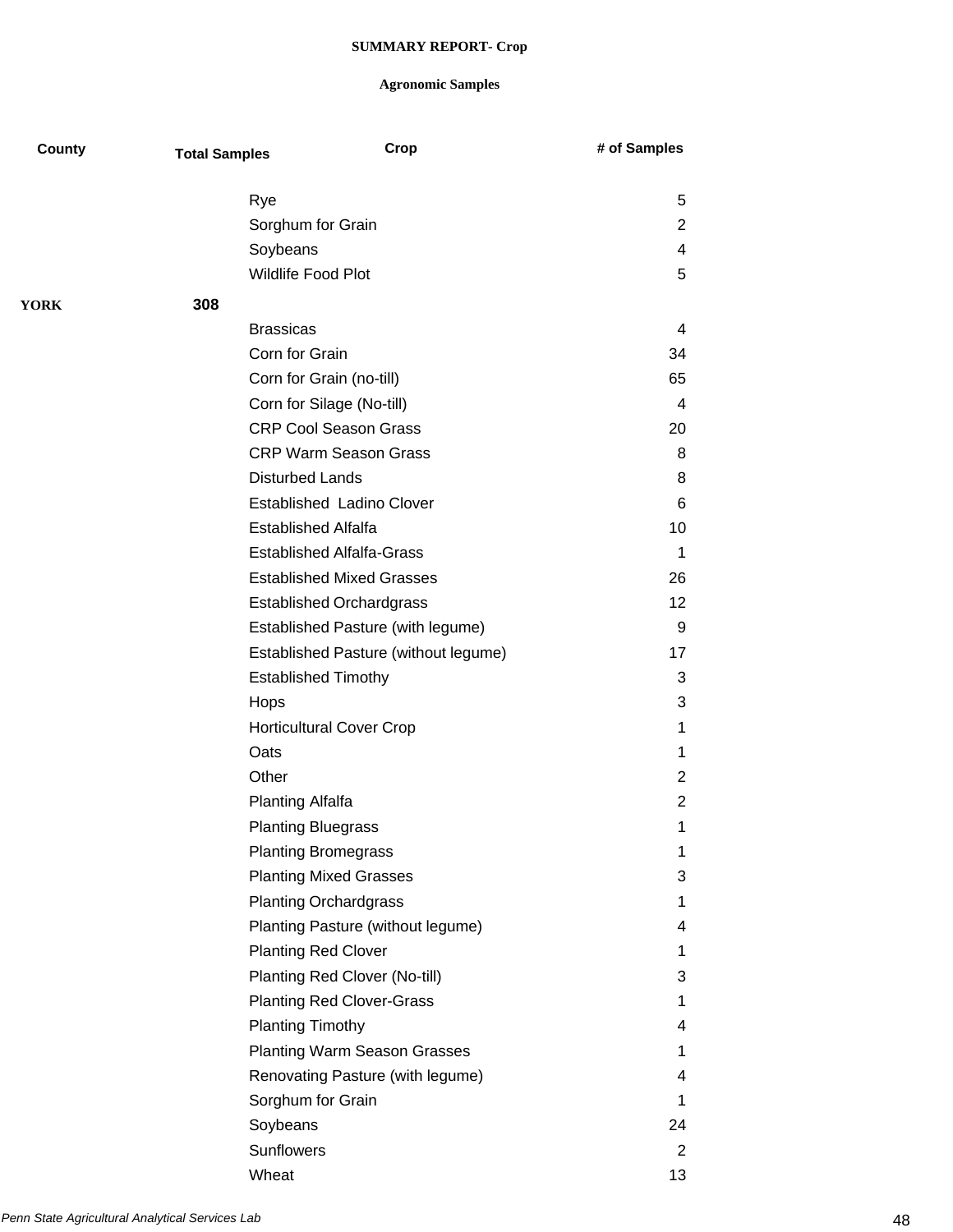## **Agronomic Samples**

| County      | <b>Total Samples</b> | Crop                                 | # of Samples   |
|-------------|----------------------|--------------------------------------|----------------|
|             | Rye                  |                                      | 5              |
|             |                      | Sorghum for Grain                    | 2              |
|             |                      | Soybeans                             | 4              |
|             |                      | Wildlife Food Plot                   | 5              |
| <b>YORK</b> | 308                  |                                      |                |
|             |                      | <b>Brassicas</b>                     | 4              |
|             |                      | Corn for Grain                       | 34             |
|             |                      | Corn for Grain (no-till)             | 65             |
|             |                      | Corn for Silage (No-till)            | $\overline{4}$ |
|             |                      | <b>CRP Cool Season Grass</b>         | 20             |
|             |                      | <b>CRP Warm Season Grass</b>         | 8              |
|             |                      | <b>Disturbed Lands</b>               | 8              |
|             |                      | <b>Established Ladino Clover</b>     | 6              |
|             |                      | <b>Established Alfalfa</b>           | 10             |
|             |                      | <b>Established Alfalfa-Grass</b>     | $\mathbf 1$    |
|             |                      | <b>Established Mixed Grasses</b>     | 26             |
|             |                      | <b>Established Orchardgrass</b>      | 12             |
|             |                      | Established Pasture (with legume)    | 9              |
|             |                      | Established Pasture (without legume) | 17             |
|             |                      | <b>Established Timothy</b>           | 3              |
|             | Hops                 |                                      | 3              |
|             |                      | <b>Horticultural Cover Crop</b>      | 1              |
|             | Oats                 |                                      | 1              |
|             | Other                |                                      | $\overline{2}$ |
|             |                      | <b>Planting Alfalfa</b>              | $\overline{2}$ |
|             |                      | <b>Planting Bluegrass</b>            | 1              |
|             |                      | <b>Planting Bromegrass</b>           | 1              |
|             |                      | <b>Planting Mixed Grasses</b>        | 3              |
|             |                      | <b>Planting Orchardgrass</b>         | 1              |
|             |                      | Planting Pasture (without legume)    | 4              |
|             |                      | <b>Planting Red Clover</b>           | 1              |
|             |                      | Planting Red Clover (No-till)        | 3              |
|             |                      | <b>Planting Red Clover-Grass</b>     | 1              |
|             |                      | <b>Planting Timothy</b>              | 4              |
|             |                      | <b>Planting Warm Season Grasses</b>  | 1              |
|             |                      | Renovating Pasture (with legume)     | 4              |
|             |                      | Sorghum for Grain                    | 1              |
|             |                      | Soybeans                             | 24             |
|             |                      | Sunflowers                           | $\overline{2}$ |
|             |                      |                                      |                |

Wheat 2012 **13**